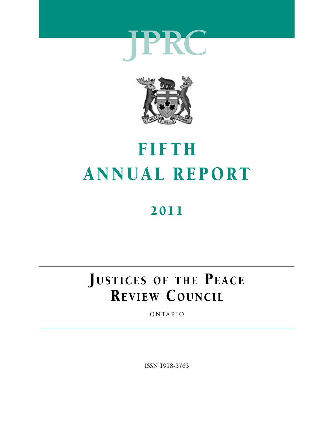



## FIFTH ANNUAL REPORT

## 2011

## JUSTICES OF THE PEACE REVIEW COUNCIL

ONTARIO

ISSN 1918-3763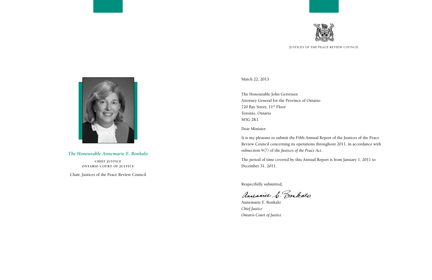*The Honourable Annemarie E. Bonkalo*

**Chief Justice Ontario Court of Justice**

Chair, Justices of the Peace Review Council

March 22, 2013

The Honourable John Gerretsen Attorney General for the Province of Ontario 720 Bay Street, 11<sup>th</sup> Floor Toronto, Ontario M5G 2K1

Dear Minister:

It is my pleasure to submit the Fifth Annual Report of the Justices of the Peace Review Council concerning its operations throughout 2011, in accordance with subsection 9(7) of the *Justices of the Peace Act*.

The period of time covered by this Annual Report is from January 1, 2011 to December 31, 2011.

Respectfully submitted,

andreice C. Bonkalo

Annemarie E. Bonkalo *Chief Justice Ontario Court of Justice*



Justices of the Peace Review Council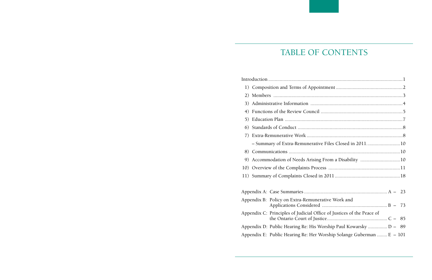## TABLE OF CONTENTS

<span id="page-2-0"></span>

| 2) |  |                                                                       |  |  |
|----|--|-----------------------------------------------------------------------|--|--|
|    |  |                                                                       |  |  |
| 4) |  |                                                                       |  |  |
| 5) |  |                                                                       |  |  |
| 6) |  |                                                                       |  |  |
| 7) |  |                                                                       |  |  |
|    |  | - Summary of Extra-Remunerative Files Closed in 201110                |  |  |
| 8) |  |                                                                       |  |  |
| 9  |  | Accommodation of Needs Arising From a Disability 10                   |  |  |
|    |  |                                                                       |  |  |
|    |  |                                                                       |  |  |
|    |  |                                                                       |  |  |
|    |  |                                                                       |  |  |
|    |  | Appendix B: Policy on Extra-Remunerative Work and                     |  |  |
|    |  | Appendix C: Principles of Judicial Office of Justices of the Peace of |  |  |
|    |  | Appendix D: Public Hearing Re: His Worship Paul Kowarsky  D - 89      |  |  |
|    |  | Appendix E: Public Hearing Re: Her Worship Solange Guberman $E - 101$ |  |  |
|    |  |                                                                       |  |  |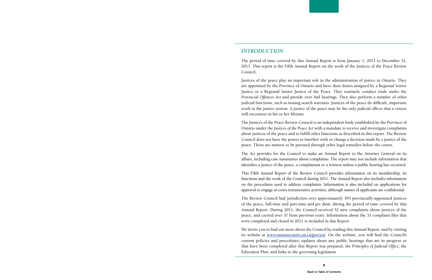#### <span id="page-3-0"></span>*Introduction*

The period of time covered by this Annual Report is from January 1, 2011 to December 31, 2011. This report is the Fifth Annual Report on the work of the Justices of the Peace Review Council.

Justices of the peace play an important role in the administration of justice in Ontario. They are appointed by the Province of Ontario and have their duties assigned by a Regional Senior Justice or a Regional Senior Justice of the Peace. They routinely conduct trials under the *Provincial Offences Act* and preside over bail hearings. They also perform a number of other judicial functions, such as issuing search warrants. Justices of the peace do difficult, important work in the justice system. A justice of the peace may be the only judicial officer that a citizen will encounter in his or her lifetime.

The Justices of the Peace Review Council is an independent body established by the Province of Ontario under the *Justices of the Peace Act* with a mandate to receive and investigate complaints about justices of the peace and to fulfill other functions as described in this report. The Review Council does not have the power to interfere with or change a decision made by a justice of the peace. Those are matters to be pursued through other legal remedies before the courts.

The *Act* provides for the Council to make an Annual Report to the Attorney General on its affairs, including case summaries about complaints. The report may not include information that identifies a justice of the peace, a complainant or a witness unless a public hearing has occurred.

This Fifth Annual Report of the Review Council provides information on its membership, its functions and the work of the Council during 2011. The Annual Report also includes information on the procedures used to address complaints. Information is also included on applications for approval to engage in extra-remunerative activities, although names of applicants are confidential.

The Review Council had jurisdiction over approximately 395 provincially-appointed justices of the peace, full-time and part-time and *per diem,* during the period of time covered by this Annual Report. During 2011, the Council received 52 new complaints about justices of the peace, and carried over 37 from previous years. Information about the 33 complaint files that were completed and closed in 2011 is included in this Report.

We invite you to find out more about the Council by reading this Annual Report, and by visiting its website at **[www.ontariocourts.on.ca/jprc/en/](http://www.ontariocourts.on.ca/jprc/en/)**. On the website, you will find the Council's current policies and procedures; updates about any public hearings that are in progress or that have been completed after this Report was prepared; the *Principles of Judicial Office;* the Education Plan; and links to the governing legislation.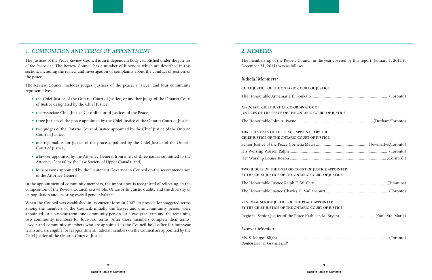## <span id="page-4-0"></span>*1. Composition and Terms of Appointment*

The Justices of the Peace Review Council is an independent body established under the *Justices of the Peace Act.* The Review Council has a number of functions which are described in this section, including the review and investigation of complaints about the conduct of justices of the peace.

The Review Council includes judges, justices of the peace, a lawyer and four community representatives:

- the Chief Justice of the Ontario Court of Justice, or another judge of the Ontario Court of Justice designated by the Chief Justice;
- the Associate Chief Justice Co-ordinator of Justices of the Peace;
- three justices of the peace appointed by the Chief Justice of the Ontario Court of Justice;
- two judges of the Ontario Court of Justice appointed by the Chief Justice of the Ontario Court of Justice;
- one regional senior justice of the peace appointed by the Chief Justice of the Ontario Court of Justice;
- a lawyer appointed by the Attorney General from a list of three names submitted to the Attorney General by the Law Society of Upper Canada; and,
- four persons appointed by the Lieutenant Governor in Council on the recommendation of the Attorney General.

**Associate Chief Justice Co-ordinator of JUSTICES OF THE PEACE OF THE ONTARIO CO** 

In the appointment of community members, the importance is recognized of reflecting, in the composition of the Review Council as a whole, Ontario's linguistic duality and the diversity of its population and ensuring overall gender balance.

When the Council was established in its current form in 2007, to provide for staggered terms among the members of the Council, initially the lawyer and one community person were appointed for a six-year term, one community person for a two-year term and the remaining two community members for four-year terms. After those members complete their terms, lawyer and community members who are appointed to the Council hold office for four-year terms and are eligible for reappointment. Judicial members on the Council are appointed by the Chief Justice of the Ontario Court of Justice.

## *2. Members*

#### The membership of the Review Council in the year covered by this report (January 1, 2011 to

| <b>USTICE</b>                           |
|-----------------------------------------|
| F                                       |
| <b>OURT OF JUSTICE</b>                  |
|                                         |
| Y THE<br>USTICE:                        |
|                                         |
|                                         |
|                                         |
| <b>STICE APPOINTED</b>                  |
| <b>RT OF JUSTICE:</b>                   |
|                                         |
|                                         |
| <b>POINTED</b><br><b>RT OF JUSTICE:</b> |
|                                         |
|                                         |

December 31, 2011) was as follows:

#### *Judicial Members:*

**CHIEF JUSTICE OF THE ONTARIO COURT OF J** 

The Honourable Annemarie E. Bonkalo .....

The Honourable John A. Payne......................................................................(Durham/Toronto)

THREE JUSTICES OF THE PEACE APPOINTED **B CHIEF JUSTICE OF THE ONTARIO COURT OF J** 

Senior Justice of the Peace Cornelia Mews.

His Worship Warren Ralph ..........................................................................................(Toronto)

Her Worship Louise Rozon ........................................................................................(Cornwall)

TWO JUDGES OF THE ONTARIO COURT OF JUSTICE APPOINT BY THE CHIEF JUSTICE OF THE ONTARIO COU

The Honourable Justice Ralph E. W. Carr...

The Honourable Justice Charles H. Vaillance

**REGIONAL SENIOR JUSTICE OF THE PEACE AP BY THE CHIEF JUSTICE OF THE ONTARIO COURT OF THE ONE AREA** 

Regional Senior Justice of the Peace Kathlee

#### *Lawyer Member:*

Ms. S. Margot Blight.....................................................................................................(Toronto) *Borden Ladner Gervais LLP*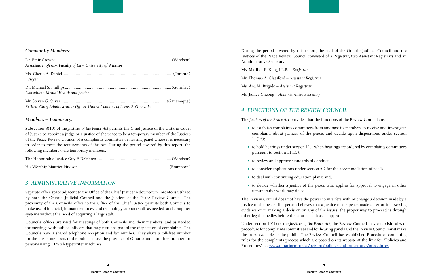#### <span id="page-5-0"></span>*Community Members:*

| Associate Professor, Faculty of Law, University of Windsor                  |  |
|-----------------------------------------------------------------------------|--|
| Lawyer                                                                      |  |
| Consultant, Mental Health and Justice                                       |  |
| Retired, Chief Administrative Officer, United Counties of Leeds & Grenville |  |

#### *Members – Temporary:*

Subsection 8(10) of the *Justices of the Peace Act* permits the Chief Justice of the Ontario Court of Justice to appoint a judge or a justice of the peace to be a temporary member of the Justices of the Peace Review Council of a complaints committee or hearing panel where it is necessary in order to meet the requirements of the *Act*. During the period covered by this report, the following members were temporary members:

## *3. Administrative Information*

Separate office space adjacent to the Office of the Chief Justice in downtown Toronto is utilized by both the Ontario Judicial Council and the Justices of the Peace Review Council. The proximity of the Councils' office to the Office of the Chief Justice permits both Councils to make use of financial, human resources, and technology support staff, as needed, and computer systems without the need of acquiring a large staff.

Councils' offices are used for meetings of both Councils and their members, and as needed for meetings with judicial officers that may result as part of the disposition of complaints. The Councils have a shared telephone reception and fax number. They share a toll-free number for the use of members of the public across the province of Ontario and a toll-free number for persons using TTY/teletypewriter machines.

During the period covered by this report, the staff of the Ontario Judicial Council and the Justices of the Peace Review Council consisted of a Registrar, two Assistant Registrars and an Administrative Secretary:

Ms. Marilyn E. King, LL.B. – *Registrar*

Mr. Thomas A. Glassford – *Assistant Registrar* 

Ms. Ana M. Brigido – *Assistant Registrar*

Ms. Janice Cheong – *Administrative Secretary*

## *4. Functions of the Review Council*

The *Justices of the Peace Act* provides that the functions of the Review Council are:

 to establish complaints committees from amongst its members to receive and investigate complaints about justices of the peace, and decide upon dispositions under section

 $\bullet$  to hold hearings under section 11.1 when hearings are ordered by complaints committees

• to decide whether a justice of the peace who applies for approval to engage in other

- 11(15);
- pursuant to section 11(15);
- to review and approve standards of conduct;
- to consider applications under section 5.2 for the accommodation of needs;
- $\bullet$  to deal with continuing education plans; and,
- remunerative work may do so.

The Review Council does not have the power to interfere with or change a decision made by a justice of the peace. If a person believes that a justice of the peace made an error in assessing evidence or in making a decision on any of the issues, the proper way to proceed is through other legal remedies before the courts, such as an appeal.

Under section 10(1) of the *Justices of the Peace Act,* the Review Council may establish rules of procedure for complaints committees and for hearing panels and the Review Council must make the rules available to the public. The Review Council has established Procedures containing rules for the complaints process which are posted on its website at the link for "Policies and Procedures" at: **[www.ontariocourts.ca/ocj/jprc/policies-and-procedures/procedure/](http://www.ontariocourts.ca/ocj/jprc/policies-and-procedures/procedure/).**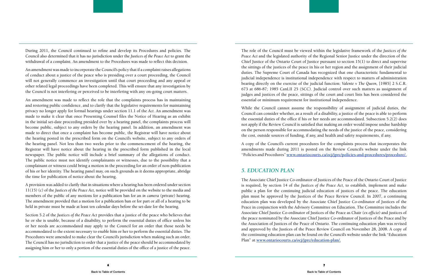<span id="page-6-0"></span>During 2011, the Council continued to refine and develop its Procedures and policies. The Council also determined that it has no jurisdiction under the *Justices of the Peace Act* to grant the withdrawal of a complaint. An amendment to the Procedures was made to reflect this decision.

An amendment was made to incorporate the Council's policy that if a complaint raises allegations of conduct about a justice of the peace who is presiding over a court proceeding, the Council will not generally commence an investigation until that court proceeding and any appeal or other related legal proceedings have been completed. This will ensure that any investigation by the Council is not interfering or perceived to be interfering with any on-going court matters.

An amendment was made to reflect the role that the complaints process has in maintaining and restoring public confidence, and to clarify that the legislative requirements for maintaining privacy no longer apply for formal hearings under section 11.1 of the *Act.* An amendment was made to make it clear that once Presenting Counsel files the Notice of Hearing as an exhibit in the initial set-date proceeding presided over by a hearing panel, the complaints process will become public, subject to any orders by the hearing panel. In addition, an amendment was made to direct that once a complaint has become public, the Registrar will have notice about the hearing posted in the prescribed form on the Council's website, subject to any orders of the hearing panel. Not less than two weeks prior to the commencement of the hearing, the Registrar will have notice about the hearing in the prescribed form published in the local newspaper. The public notice will include a brief summary of the allegations of conduct. The public notice must not identify complainants or witnesses, due to the possibility that a complainant or witness could bring a motion in the proceeding for an order of non-publication of his or her identity. The hearing panel may, on such grounds as it deems appropriate, abridge the time for publication of notice about the hearing.

A provision was added to clarify that in situations where a hearing has been ordered under section 11(15) (c) of the *Justices of the Peace Act,* notice will be provided on the website to the media and members of the public of any motions for a publication ban for an *in camera* (private) hearing. The amendment provided that a motion for a publication ban or for part or all of a hearing to be held in private must be made at least ten calendar days before the set-date for the hearing.

Section 5.2 of the *Justices of the Peace Act* provides that a justice of the peace who believes that he or she is unable, because of a disability, to perform the essential duties of office unless his or her needs are accommodated may apply to the Council for an order that those needs be accommodated to the extent necessary to enable him or her to perform the essential duties. The Procedures were amended to make clear the Council's jurisdiction when making such an order. The Council has no jurisdiction to order that a justice of the peace should be accommodated by assigning him or her to only a portion of the essential duties of the office of a justice of the peace.

The role of the Council must be viewed within the legislative framework of the *Justices of the Peace Act* and the legislated authority of the Regional Senior Justice under the direction of the Chief Justice of the Ontario Court of Justice pursuant to section 15(1) to direct and supervise the sittings of the justices of the peace in his or her region and the assignment of their judicial duties. The Supreme Court of Canada has recognized that one characteristic fundamental to judicial independence is institutional independence with respect to matters of administration bearing directly on the exercise of the judicial function: *Valente v The Queen,* [1985] 2 S.C.R. 673 at 686-87; 1985 CanLII 25 (SCC). Judicial control over such matters as assignment of judges and justices of the peace, sittings of the court and court lists has been considered the essential or minimum requirement for institutional independence.

While the Council cannot assume the responsibility of assignment of judicial duties, the Council can consider whether, as a result of a disability, a justice of the peace is able to perform the essential duties of the office if his or her needs are accommodated. Subsection 5.2(2) does not apply if the Review Council is satisfied that making an order would impose undue hardship on the person responsible for accommodating the needs of the justice of the peace, considering the cost, outside sources of funding, if any, and health and safety requirements, if any.

A copy of the Council's current procedures for the complaints process that incorporates the amendments made during 2011 is posted on the Review Council's website under the link "Policies and Procedures" **www.ontariocourts.ca/ocj/jprc/policies-and-procedures/procedure/.** 

## *5. Education Plan*

The Associate Chief Justice Co-ordinator of Justices of the Peace of the Ontario Court of Justice is required, by section 14 of the *Justices of the Peace Act,* to establish, implement and make public a plan for the continuing judicial education of justices of the peace. The education plan must be approved by the Justices of the Peace Review Council. In 2007, a continuing education plan was developed by the Associate Chief Justice Co-ordinator of Justices of the Peace in conjunction with the Advisory Committee on Education. The Committee includes the Associate Chief Justice Co-ordinator of Justices of the Peace as Chair *(ex officio)* and justices of the peace nominated by the Associate Chief Justice Co-ordinator of Justices of the Peace and by the Association of Justices of the Peace of Ontario. The continuing education plan was revised and approved by the Justices of the Peace Review Council on November 28, 2008. A copy of the continuing education plan can be found on the Council's website under the link "Education Plan" at **[www.ontariocourts.ca/ocj/jprc/education-plan/.](http://www.ontariocourts.ca/ocj/jprc/education-plan/)**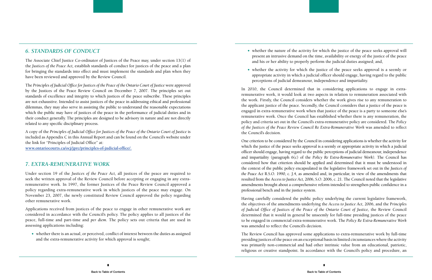## <span id="page-7-0"></span>*6. Standards of Conduct*

The Associate Chief Justice Co-ordinator of Justices of the Peace may, under section 13(1) of the *Justices of the Peace Act,* establish standards of conduct for justices of the peace and a plan for bringing the standards into effect and must implement the standards and plan when they have been reviewed and approved by the Review Council.

The *Principles of Judicial Office for Justices of the Peace of the Ontario Court of Justice* were approved by the Justices of the Peace Review Council on December 7, 2007. The principles set out standards of excellence and integrity to which justices of the peace subscribe. These principles are not exhaustive. Intended to assist justices of the peace in addressing ethical and professional dilemmas, they may also serve in assisting the public to understand the reasonable expectations which the public may have of justices of the peace in the performance of judicial duties and in their conduct generally. The principles are designed to be advisory in nature and are not directly related to any specific disciplinary process.

A copy of the *Principles of Judicial Office for Justices of the Peace of the Ontario Court of Justice* is included as Appendix C in this Annual Report and can be found on the Council's website under the link for "Principles of Judicial Office" at:

**[www.ontariocourts.ca/ocj/jprc/principles-of-judicial-office/.](http://www.ontariocourts.ca/ocj/jprc/principles-of-judicial-office/)**

#### *7. EXTRA-Remunerative Work*

Under section 19 of the *Justices of the Peace Act,* all justices of the peace are required to seek the written approval of the Review Council before accepting or engaging in any extraremunerative work. In 1997, the former Justices of the Peace Review Council approved a policy regarding extra-remunerative work in which justices of the peace may engage. On November 23, 2007, the newly constituted Review Council approved the policy regarding other remunerative work.

Applications received from justices of the peace to engage in other remunerative work are considered in accordance with the Council's policy. The policy applies to all justices of the peace, full-time and part-time and *per diem.* The policy sets out criteria that are used in assessing applications including:

 whether there is an actual, or perceived, conflict of interest between the duties as assigned and the extra-remunerative activity for which approval is sought;

 whether the nature of the activity for which the justice of the peace seeks approval will present an intrusive demand on the time, availability or energy of the justice of the peace

- and his or her ability to properly perform the judicial duties assigned; and,
- perceptions of judicial demeanour, independence and impartiality.

 whether the activity for which the justice of the peace seeks approval is a seemly or appropriate activity in which a judicial officer should engage, having regard to the public

In 2010, the Council determined that in considering applications to engage in extraremunerative work, it would look at two aspects in relation to remuneration associated with the work. Firstly, the Council considers whether the work gives rise to any remuneration to the applicant justice of the peace. Secondly, the Council considers that a justice of the peace is engaged in extra-remunerative work when that justice of the peace is a party to someone else's remunerative work. Once the Council has established whether there is any remuneration, the policy and criteria set out in the Council's extra-remunerative policy are considered. The *Policy of the Justices of the Peace Review Council Re Extra-Remunerative Work* was amended to reflect the Council's decision.

One criterion to be considered by the Council in considering applications is whether the activity for which the justice of the peace seeks approval is a seemly or appropriate activity in which a judicial officer should engage, having regard to the public perceptions of judicial demeanour, independence and impartiality (paragraph 6(c) of the *Policy Re Extra-Remunerative Work).* The Council has considered how that criterion should be applied and determined that it must be understood in the context of the public policy encapsulated in the legislative framework set out in the *Justices of the Peace Act* R.S.O. 1990, c. J.4, as amended and, in particular, in view of the amendments that resulted from the *Access to Justice Act,* 2006, S.O. 2006, c. 21. The Council noted that the legislative amendments brought about a comprehensive reform intended to strengthen public confidence in a professional bench and in the justice system.

Having carefully considered the public policy underlying the current legislative framework, the objectives of the amendments underlying the *Access to Justice Act,* 2006, and the P*rinciples of Judicial Office of Justices of the Peace of the Ontario Court of Justice,* the Review Council determined that it would in general be unseemly for full-time presiding justices of the peace to be engaged in commercial extra-remunerative work. The *Policy Re Extra-Remunerative Work*  was amended to reflect the Council's decision.

The Review Council has approved some applications to extra-remunerative work by full-time presiding justices of the peace on an exceptional basis in limited circumstances where the activity was primarily non-commercial and had other intrinsic value from an educational, patriotic, religious or creative standpoint. In accordance with the Council's policy and procedure, an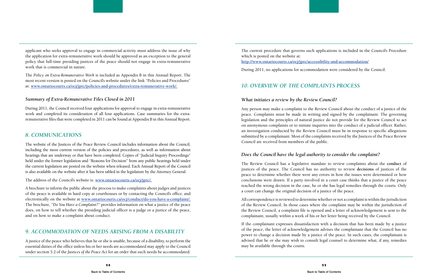<span id="page-8-0"></span>applicant who seeks approval to engage in commercial activity must address the issue of why the application for extra-remunerative work should be approved as an exception to the general policy that full-time presiding justices of the peace should not engage in extra-remunerative work that is commercial in nature.

The *Policy on Extra-Remunerative Work* is included as Appendix B in this Annual Report. The most recent version is posted on the Council's website under the link "Policies and Procedures" at: **[www.ontariocourts.ca/ocj/jprc/policies-and-procedures/extra-remunerative-work/.](http://www.ontariocourts.ca/ocj/jprc/policies-and-procedures/extra-remunerative-work/)**

#### *Summary of Extra-Remunerative Files Closed in 2011*

During 2011, the Council received four applications for approval to engage in extra-remunerative work and completed its consideration of all four applications. Case summaries for the extraremunerative files that were completed in 2011 can be found at Appendix B in this Annual Report.

#### *8. Communications*

The website of the Justices of the Peace Review Council includes information about the Council, including the most current version of the policies and procedures, as well as information about hearings that are underway or that have been completed. Copies of "Judicial Inquiry Proceedings" held under the former legislation and "Reasons for Decision" from any public hearings held under the current legislation are posted on the website when released. Each Annual Report of the Council is also available on the website after it has been tabled in the legislature by the Attorney General.

The address of the Council's website is: **[www.ontariocourts.ca/ocj/jprc/](http://www.ontariocourts.ca/ocj/jprc/).**

A brochure to inform the public about the process to make complaints about judges and justices of the peace is available in hard copy at courthouses or by contacting the Council's office, and electronically on the website at **[www.ontariocourts.ca/ocj/conduct/do-you-have-a-complaint/.](http://www.ontariocourts.ca/ocj/conduct/do-you-have-a-complaint/)**  The brochure, *"Do You Have a Complaint?"* provides information on what a justice of the peace does, on how to tell whether the presiding judicial officer is a judge or a justice of the peace, and on how to make a complaint about conduct.

## *9. ACCOMMODATION OF NEEDS ARISING FROM A DISABILITY*

A justice of the peace who believes that he or she is unable, because of a disability, to perform the essential duties of the office unless his or her needs are accommodated may apply to the Council under section 5.2 of the *Justices of the Peace Act* for an order that such needs be accommodated.

The current procedure that governs such applications is included in the Council's Procedure which is posted on the website at: **<http://www.ontariocourts.ca/ocj/jprc/accessibility-and-accommodation/>**

During 2011, no applications for accommodation were considered by the Council.

## *10. Overview of the Complaints ProceSS*

#### *What initiates a review by the Review Council?*

Any person may make a complaint to the Review Council about the conduct of a justice of the peace. Complaints must be made in writing and signed by the complainant. The governing legislation and the principles of natural justice do not provide for the Review Council to act on anonymous complaints or to initiate inquiries into the conduct of a judicial officer. Rather, an investigation conducted by the Review Council must be in response to specific allegations submitted by a complainant. Most of the complaints received by the Justices of the Peace Review Council are received from members of the public.

#### *Does the Council have the legal authority to consider the complaint?*

The Review Council has a legislative mandate to review complaints about the **conduct** of justices of the peace. The Council has no authority to review **decisions** of justices of the peace to determine whether there were any errors in how the issues were determined or how conclusions were drawn. If a party involved in a court case thinks that a justice of the peace reached the wrong decision in the case, he or she has legal remedies through the courts. Only a court can change the original decision of a justice of the peace.

All correspondence is reviewed to determine whether or not a complaint is within the jurisdiction of the Review Council. In those cases where the complaint may be within the jurisdiction of the Review Council, a complaint file is opened and a letter of acknowledgement is sent to the complainant, usually within a week of his or her letter being received by the Council.

If the complainant expresses dissatisfaction with a decision that has been made by a justice of the peace, the letter of acknowledgement advises the complainant that the Council has no power to change a decision made by a justice of the peace. In such cases, the complainant is advised that he or she may wish to consult legal counsel to determine what, if any, remedies may be available through the courts.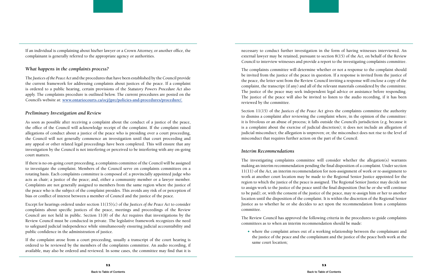If an individual is complaining about his/her lawyer or a Crown Attorney, or another office, the complainant is generally referred to the appropriate agency or authorities.

#### *What happens in the complaints process?*

The *Justices of the Peace Act* and the procedures that have been established by the Council provide the current framework for addressing complaints about justices of the peace. If a complaint is ordered to a public hearing, certain provisions of the *Statutory Powers Procedure Act* also apply. The complaints procedure is outlined below. The current procedures are posted on the Council's website at: **www.ontariocourts.ca/ocj/jprc/policies-and-procedures/procedure/.**

#### *Preliminary Investigation and Review*

As soon as possible after receiving a complaint about the conduct of a justice of the peace, the office of the Council will acknowledge receipt of the complaint. If the complaint raised allegations of conduct about a justice of the peace who is presiding over a court proceeding, the Council will not generally commence an investigation until that court proceeding and any appeal or other related legal proceedings have been completed. This will ensure that any investigation by the Council is not interfering or perceived to be interfering with any on-going court matters.

If there is no on-going court proceeding, a complaints committee of the Council will be assigned to investigate the complaint. Members of the Council serve on complaints committees on a rotating basis. Each complaints committee is composed of: a provincially appointed judge who acts as chair; a justice of the peace; and, either a community member or a lawyer member. Complaints are not generally assigned to members from the same region where the justice of the peace who is the subject of the complaint presides. This avoids any risk of or perception of bias or conflict of interest between a member of Council and the justice of the peace.

Except for hearings ordered under section 11(15)(c) of the *Justices of the Peace Act* to consider complaints about specific justices of the peace, meetings and proceedings of the Review Council are not held in public. Section 11(8) of the *Act* requires that investigations by the Review Council must be conducted in private. The legislative framework recognizes the need to safeguard judicial independence while simultaneously ensuring judicial accountability and public confidence in the administration of justice.

If the complaint arose from a court proceeding, usually a transcript of the court hearing is ordered to be reviewed by the members of the complaints committee. An audio recording, if available, may also be ordered and reviewed. In some cases, the committee may find that it is necessary to conduct further investigation in the form of having witnesses interviewed. An external lawyer may be retained, pursuant to section 8(15) of the *Act,* on behalf of the Review Council to interview witnesses and provide a report to the investigating complaints committee.

The complaints committee will determine whether or not a response to the complaint should be invited from the justice of the peace in question. If a response is invited from the justice of the peace, the letter sent from the Review Council inviting a response will enclose a copy of the complaint, the transcript (if any) and all of the relevant materials considered by the committee. The justice of the peace may seek independent legal advice or assistance before responding. The justice of the peace will also be invited to listen to the audio recording, if it has been reviewed by the committee.

Section 11(15) of the *Justices of the Peace Act* gives the complaints committee the authority to dismiss a complaint after reviewing the complaint where, in the opinion of the committee: it is frivolous or an abuse of process; it falls outside the Council's jurisdiction (e.g. because it is a complaint about the exercise of judicial discretion); it does not include an allegation of judicial misconduct; the allegation is unproven; or, the misconduct does not rise to the level of misconduct that requires further action on the part of the Council.

#### *Interim Recommendations*

The investigating complaints committee will consider whether the allegation(s) warrants making an interim recommendation pending the final disposition of a complaint. Under section 11(11) of the *Act,* an interim recommendation for non-assignment of work or re-assignment to work at another court location may be made to the Regional Senior Justice appointed for the region to which the justice of the peace is assigned. The Regional Senior Justice may decide not to assign work to the justice of the peace until the final disposition (but he or she will continue to be paid); or, with the consent of the justice of the peace, may re-assign him or her to another location until the disposition of the complaint. It is within the discretion of the Regional Senior Justice as to whether he or she decides to act upon the recommendation from a complaints committee.

The Review Council has approved the following criteria in the procedures to guide complaints committees as to when an interim recommendation should be made:

 where the complaint arises out of a working relationship between the complainant and the justice of the peace and the complainant and the justice of the peace both work at the

same court location;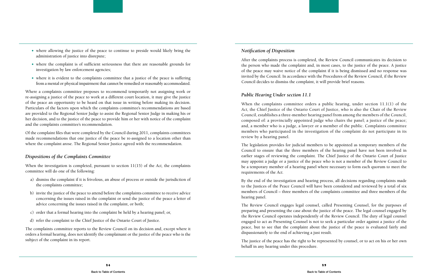- where allowing the justice of the peace to continue to preside would likely bring the administration of justice into disrepute;
- where the complaint is of sufficient seriousness that there are reasonable grounds for investigation by law enforcement agencies;
- where it is evident to the complaints committee that a justice of the peace is suffering from a mental or physical impairment that cannot be remedied or reasonably accommodated.

Where a complaints committee proposes to recommend temporarily not assigning work or re-assigning a justice of the peace to work at a different court location, it may give the justice of the peace an opportunity to be heard on that issue in writing before making its decision. Particulars of the factors upon which the complaints committee's recommendations are based are provided to the Regional Senior Judge to assist the Regional Senior Judge in making his or her decision, and to the justice of the peace to provide him or her with notice of the complaint and the complaints committee's recommendation.

Of the complaint files that were completed by the Council during 2011, complaints committees made recommendations that one justice of the peace be re-assigned to a location other than where the complaint arose. The Regional Senior Justice agreed with the recommendation.

#### *Dispositions of the Complaints Committee*

When the investigation is completed, pursuant to section 11(15) of the *Act,* the complaints committee will do one of the following:

- a) dismiss the complaint if it is frivolous, an abuse of process or outside the jurisdiction of the complaints committee;
- b) invite the justice of the peace to attend before the complaints committee to receive advice concerning the issues raised in the complaint or send the justice of the peace a letter of advice concerning the issues raised in the complaint, or both;
- c) order that a formal hearing into the complaint be held by a hearing panel; or,
- d) refer the complaint to the Chief Justice of the Ontario Court of Justice.

The complaints committee reports to the Review Council on its decision and, except where it orders a formal hearing, does not identify the complainant or the justice of the peace who is the subject of the complaint in its report.

#### *Notification of Disposition*

After the complaints process is completed, the Review Council communicates its decision to the person who made the complaint and, in most cases, to the justice of the peace. A justice of the peace may waive notice of the complaint if it is being dismissed and no response was invited by the Council. In accordance with the Procedures of the Review Council, if the Review Council decides to dismiss the complaint, it will provide brief reasons.

#### *Public Hearing Under section 11.1*

When the complaints committee orders a public hearing, under section 11.1(1) of the *Act,* the Chief Justice of the Ontario Court of Justice, who is also the Chair of the Review Council, establishes a three-member hearing panel from among the members of the Council, composed of: a provincially appointed judge who chairs the panel; a justice of the peace; and, a member who is a judge, a lawyer or a member of the public. Complaints committee members who participated in the investigation of the complaint do not participate in its review by a hearing panel.

The legislation provides for judicial members to be appointed as temporary members of the Council to ensure that the three members of the hearing panel have not been involved in earlier stages of reviewing the complaint. The Chief Justice of the Ontario Court of Justice may appoint a judge or a justice of the peace who is not a member of the Review Council to be a temporary member of a hearing panel where necessary to form each quorum to meet the requirements of the *Act.*

By the end of the investigation and hearing process, all decisions regarding complaints made to the Justices of the Peace Council will have been considered and reviewed by a total of six members of Council – three members of the complaints committee and three members of the hearing panel.

The Review Council engages legal counsel, called Presenting Counsel, for the purposes of preparing and presenting the case about the justice of the peace. The legal counsel engaged by the Review Council operates independently of the Review Council. The duty of legal counsel engaged to act as Presenting Counsel is not to seek a particular order against a justice of the peace, but to see that the complaint about the justice of the peace is evaluated fairly and dispassionately to the end of achieving a just result.

The justice of the peace has the right to be represented by counsel, or to act on his or her own behalf in any hearing under this procedure.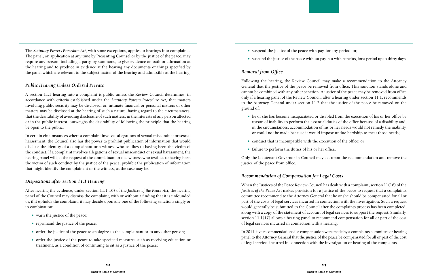The *Statutory Powers Procedure Act,* with some exceptions, applies to hearings into complaints. The panel, on application at any time by Presenting Counsel or by the justice of the peace, may require any person, including a party, by summons, to give evidence on oath or affirmation at the hearing and to produce in evidence at the hearing any documents or things specified by the panel which are relevant to the subject matter of the hearing and admissible at the hearing.

#### *Public Hearing Unless Ordered Private*

A section 11.1 hearing into a complaint is public unless the Review Council determines, in accordance with criteria established under the *Statutory Powers Procedure Act,* that matters involving public security may be disclosed; or, intimate financial or personal matters or other matters may be disclosed at the hearing of such a nature, having regard to the circumstances, that the desirability of avoiding disclosure of such matters, in the interests of any person affected or in the public interest, outweighs the desirability of following the principle that the hearing be open to the public.

- $\bullet$  warn the justice of the peace;
- $\bullet$  reprimand the justice of the peace;
- order the justice of the peace to apologize to the complainant or to any other person;
- order the justice of the peace to take specified measures such as receiving education or treatment, as a condition of continuing to sit as a justice of the peace;
- $\bullet$  suspend the justice of the peace with pay, for any period; or,
- 

In certain circumstances where a complaint involves allegations of sexual misconduct or sexual harassment, the Council also has the power to prohibit publication of information that would disclose the identity of a complainant or a witness who testifies to having been the victim of the conduct. If a complaint involves allegations of sexual misconduct or sexual harassment, the hearing panel will, at the request of the complainant or of a witness who testifies to having been the victim of such conduct by the justice of the peace, prohibit the publication of information that might identify the complainant or the witness, as the case may be.

- 
- conduct that is incompatible with the execution of the office; or
- failure to perform the duties of his or her office.

#### *Dispositions after section 11.1 Hearing*

After hearing the evidence, under section 11.1(10) of the *Justices of the Peace Act,* the hearing panel of the Council may dismiss the complaint, with or without a finding that it is unfounded or, if it upholds the complaint, it may decide upon any one of the following sanctions singly or in combination:

suspend the justice of the peace without pay, but with benefits, for a period up to thirty days.

#### *Removal from Office*

Following the hearing, the Review Council may make a recommendation to the Attorney General that the justice of the peace be removed from office. This sanction stands alone and cannot be combined with any other sanction. A justice of the peace may be removed from office only if a hearing panel of the Review Council, after a hearing under section 11.1, recommends to the Attorney General under section 11.2 that the justice of the peace be removed on the ground of:

 he or she has become incapacitated or disabled from the execution of his or her office by reason of inability to perform the essential duties of the office because of a disability and, in the circumstances, accommodation of his or her needs would not remedy the inability, or could not be made because it would impose undue hardship to meet those needs;

Only the Lieutenant Governor in Council may act upon the recommendation and remove the justice of the peace from office.

## *Recommendation of Compensation for Legal Costs*

When the Justices of the Peace Review Council has dealt with a complaint, section 11(16) of the *Justices of the Peace Act* makes provision for a justice of the peace to request that a complaints committee recommend to the Attorney General that he or she should be compensated for all or part of the costs of legal services incurred in connection with the investigation. Such a request would generally be submitted to the Council after the complaints process has been completed, along with a copy of the statement of account of legal services to support the request. Similarly, section 11.1(17) allows a hearing panel to recommend compensation for all or part of the cost of legal services incurred in connection with a hearing.

In 2011, five recommendations for compensation were made by a complaints committee or hearing panel to the Attorney General that the justice of the peace be compensated for all or part of the cost of legal services incurred in connection with the investigation or hearing of the complaints.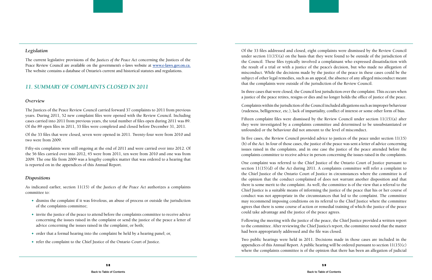#### <span id="page-12-0"></span>*Legislation*

The current legislative provisions of the *Justices of the Peace Act* concerning the Justices of the Peace Review Council are available on the government's e-laws website at **[www.e-laws.gov.on.ca.](http://www.e-laws.gov.on.ca)** The website contains a database of Ontario's current and historical statutes and regulations.

#### *11. Summary of Complaints Closed in 2011*

#### *Overview*

The Justices of the Peace Review Council carried forward 37 complaints to 2011 from previous years. During 2011, 52 new complaint files were opened with the Review Council. Including cases carried into 2011 from previous years, the total number of files open during 2011 was 89. Of the 89 open files in 2011, 33 files were completed and closed before December 31, 2011.

Of the 33 files that were closed, seven were opened in 2011. Twenty-four were from 2010 and two were from 2009.

Fifty-six complaints were still ongoing at the end of 2011 and were carried over into 2012. Of the 56 files carried over into 2012, 45 were from 2011, ten were from 2010 and one was from 2009. The one file from 2009 was a lengthy complex matter that was ordered to a hearing that is reported on in the appendices of this Annual Report.

#### *Dispositions*

As indicated earlier, section 11(15) of the *Justices of the Peace Act* authorizes a complaints committee to:

- dismiss the complaint if it was frivolous, an abuse of process or outside the jurisdiction of the complaints committee;
- invite the justice of the peace to attend before the complaints committee to receive advice concerning the issues raised in the complaint or send the justice of the peace a letter of advice concerning the issues raised in the complaint, or both;
- order that a formal hearing into the complaint be held by a hearing panel; or,
- refer the complaint to the Chief Justice of the Ontario Court of Justice.

Of the 33 files addressed and closed, eight complaints were dismissed by the Review Council under section 11(15)(a) on the basis that they were found to be outside of the jurisdiction of the Council. These files typically involved a complainant who expressed dissatisfaction with the result of a trial or with a justice of the peace's decision, but who made no allegation of misconduct. While the decisions made by the justice of the peace in these cases could be the subject of other legal remedies, such as an appeal, the absence of any alleged misconduct meant that the complaints were outside of the jurisdiction of the Review Council.

In three cases that were closed, the Council lost jurisdiction over the complaint. This occurs when a justice of the peace retires, resigns or dies and no longer holds the office of justice of the peace.

Complaints within the jurisdiction of the Council included allegations such as improper behaviour (rudeness, belligerence, etc.), lack of impartiality, conflict of interest or some other form of bias.

Fifteen complaint files were dismissed by the Review Council under section 11(15)(a) after they were investigated by a complaints committee and determined to be unsubstantiated or unfounded or the behaviour did not amount to the level of misconduct.

In five cases, the Review Council provided advice to justices of the peace under section 11(15) (b) of the *Act.* In four of those cases, the justice of the peace was sent a letter of advice concerning issues raised in the complaints, and in one case the justice of the peace attended before the complaints committee to receive advice in person concerning the issues raised in the complaints.

One complaint was referred to the Chief Justice of the Ontario Court of Justice pursuant to section 11(15)(d) of the *Act* during 2011. A complaints committee will refer a complaint to the Chief Justice of the Ontario Court of Justice in circumstances where the committee is of the opinion that the conduct complained of does not warrant another disposition and that there is some merit to the complaint. As well, the committee is of the view that a referral to the Chief Justice is a suitable means of informing the justice of the peace that his or her course of conduct was not appropriate in the circumstances that led to the complaint. The committee may recommend imposing conditions on its referral to the Chief Justice where the committee agrees that there is some course of action or remedial training of which the justice of the peace could take advantage and the justice of the peace agrees.

Following the meeting with the justice of the peace, the Chief Justice provided a written report to the committee. After reviewing the Chief Justice's report, the committee noted that the matter had been appropriately addressed and the file was closed.

Two public hearings were held in 2011. Decisions made in those cases are included in the appendices of this Annual Report. A public hearing will be ordered pursuant to section 11(15)(c) where the complaints committee is of the opinion that there has been an allegation of judicial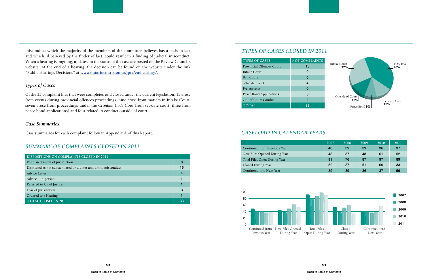misconduct which the majority of the members of the committee believes has a basis in fact and which, if believed by the finder of fact, could result in a finding of judicial misconduct. When a hearing is ongoing, updates on the status of the case are posted on the Review Council's website. At the end of a hearing, the decision can be found on the website under the link "Public Hearings Decisions" at **[www.ontariocourts.on.ca/jprc/en/hearings/](http://www.ontariocourts.on.ca/jprc/en/hearings/).**

#### *Types of Cases*

Of the 33 complaint files that were completed and closed under the current legislation, 13 arose from events during provincial offences proceedings, nine arose from matters in Intake Court, seven arose from proceedings under the *Criminal Code* (four from set-date court, three from peace bond applications) and four related to conduct outside of court.

#### *Case Summaries*

Case summaries for each complaint follow in Appendix A of this Report.

## *SUMMARY OF COMPLAINTS CLOSED IN 2011*

| DISPOSITIONS ON COMPLAINTS CLOSED IN 2011                      |     |
|----------------------------------------------------------------|-----|
| Dismissed as out of jurisdiction                               | 8   |
| Dismissed as not substantiated or did not amount to misconduct |     |
| <b>Advice Letter</b>                                           | 4   |
| Advice - In-person                                             |     |
| Referred to Chief Justice                                      |     |
| Loss of Jurisdiction                                           | 3   |
| Ordered to a Hearing                                           |     |
| <b>TOTAL CLOSED IN 2011</b>                                    | -33 |

#### *TYPES OF CASES CLOSED IN 2011*

#### *CASELOAD IN CALENDAR YEARS*

| <b>TYPES OF CASES</b>            | # OF COMPLAINTS |
|----------------------------------|-----------------|
| <b>Provincial Offences Court</b> | 13              |
| Intake Court                     | 9               |
| <b>Bail Court</b>                | 0               |
| Set-date Court                   | 4               |
| Pre-enquêtes                     | 0               |
| Peace Bond Applications          | 3               |
| Out of Court Conduct             | 4               |
| <b>TOTAL</b>                     | 33              |



|                              | 2007 | 2008 | 2009 | 2010 | 2011 |
|------------------------------|------|------|------|------|------|
| Continued from Previous Year | 48   | 39   | 39   | 36   | -37  |
| New Files Opened During Year | 43   | 37   | 48   | 61   | 52   |
| Total Files Open During Year | 91   | 76   | 87   | 97   | 89   |
| Closed During Year           | 52   | 37   | 51   | 60   | 33   |
| Continued into Next Year     | 39   | 39   | 36   | 37   | 56   |

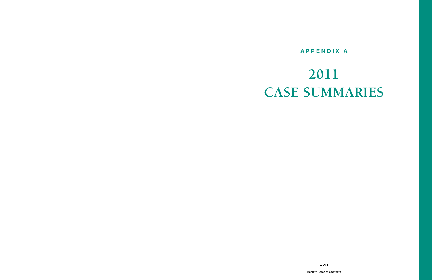## **APPENDIX A**

# <span id="page-14-0"></span>**2011 CASE SUMMARIES**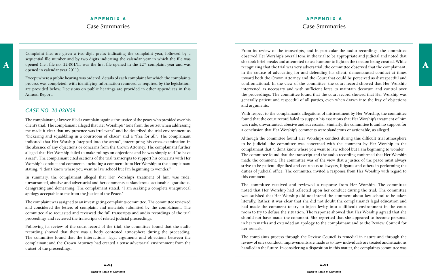Complaint files are given a two-digit prefix indicating the complaint year, followed by a sequential file number and by two digits indicating the calendar year in which the file was opened in calendar year 2011).

Except where a public hearing was ordered, details of each complaint for which the complaints process was completed, with identifying information removed as required by the legislation, are provided below. Decisions on public hearings are provided in other appendices in this Annual Report.

#### *case No. 20-020/09*

The complainant, a lawyer, filed a complaint against the justice of the peace who presided over his client's trial. The complainant alleged that Her Worship's "tone from the outset when addressing me made it clear that my presence was irrelevant" and he described the trial environment as "bickering and squabbling in a courtroom of chaos" and a "free for all". The complainant indicated that Her Worship "stepped into the arena", interrupting his cross-examination in the absence of any objections or concerns from the Crown Attorney. The complainant further alleged that Her Worship failed to make rulings on objections and he was simply told "to have a seat". The complainant cited sections of the trial transcripts to support his concerns with Her Worship's conduct and comments, including a comment from Her Worship to the complainant stating, "I don't know where you went to law school but I'm beginning to wonder."

A opened (i.e., file no. 22-001/11 was the first file opened in the 22<sup>nd</sup> complaint year and was she took brief breaks and attempted to use humour to lighten the tension being created. While<br>recognizing that the trial was From its review of the transcripts, and in particular the audio recordings, the committee observed Her Worship's overall tone in the trial to be appropriate and judicial and noted that she took brief breaks and attempted to use humour to lighten the tension being created. While recognizing that the trial was very adversarial, the committee observed that the complainant, in the course of advocating for and defending his client, demonstrated conduct at times toward both the Crown Attorney and the Court that could be perceived as disrespectful and confrontational. In the view of the committee, the court record showed that Her Worship intervened as necessary and with sufficient force to maintain decorum and control over the proceedings. The committee found that the court record showed that Her Worship was generally patient and respectful of all parties, even when drawn into the fray of objections and arguments.

In summary, the complainant alleged that Her Worship's treatment of him was rude, unwarranted, abusive and adversarial and her comments as slanderous, actionable, gratuitous, denigrating and demeaning. The complainant stated, "I am seeking a complete unequivocal apology acceptable to me from the Justice of the Peace."

The complaint was assigned to an investigating complaints committee. The committee reviewed and considered the letters of complaint and materials submitted by the complainant. The committee also requested and reviewed the full transcripts and audio recordings of the trial proceedings and reviewed the transcripts of related judicial proceedings.

Following its review of the court record of the trial, the committee found that the audio recording showed that there was a hotly contested atmosphere during the proceeding. The committee found that the interactions, legal arguments and objections between the complainant and the Crown Attorney had created a tense adversarial environment from the outset of the proceedings.

With respect to the complainant's allegations of mistreatment by Her Worship, the committee found that the court record failed to support his assertions that Her Worship's treatment of him was rude, unwarranted, abusive and adversarial. Similarly, the committee found no support for a conclusion that Her Worship's comments were slanderous or actionable, as alleged.

Although the committee found Her Worship's conduct during this difficult trial atmosphere to be judicial, the committee was concerned with the comment by Her Worship to the complainant that "I don't know where you went to law school but I am beginning to wonder". The committee found that the transcript and the audio recording confirmed that Her Worship made the comment. The committee was of the view that a justice of the peace must always strive to be patient, dignified and courteous to lawyers, litigants and others in performing the duties of judicial office. The committee invited a response from Her Worship with regard to this comment.

The committee received and reviewed a response from Her Worship. The committee noted that Her Worship had reflected upon her conduct during the trial. The committee was satisfied that Her Worship did not intend the comment about law school to be taken literally. Rather, it was clear that she did not doubt the complainant's legal education and had made the comment to try to inject levity into a difficult environment in the court room to try to defuse the situation. The response showed that Her Worship agreed that she should not have made the comment. She regretted that she appeared to become personal in her remarks and extended an apology to the complainant and to the Review Council for her remark.

The complaints process through the Review Council is remedial in nature and through the review of one's conduct, improvements are made as to how individuals are treated and situations handled in the future. In considering a disposition in this matter, the complaints committee was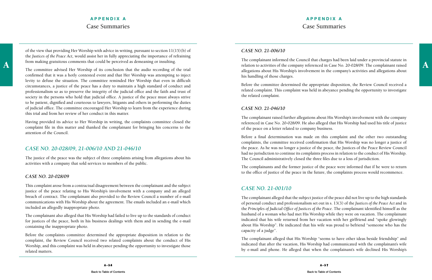## **APPENDIX A** Case Summaries

of the view that providing Her Worship with advice in writing, pursuant to section 11(15)(b) of the *Justices of the Peace Act,* would assist her in fully appreciating the importance of refraining from making gratuitous comments that could be perceived as demeaning or insulting.

The committee advised Her Worship of its conclusion that the audio recording of the trial confirmed that it was a hotly contested event and that Her Worship was attempting to inject levity to defuse the situation. The committee reminded Her Worship that even in difficult circumstances, a justice of the peace has a duty to maintain a high standard of conduct and professionalism so as to preserve the integrity of the judicial office and the faith and trust of society in the persons who hold that judicial office. A justice of the peace must always strive to be patient, dignified and courteous to lawyers, litigants and others in performing the duties of judicial office. The committee encouraged Her Worship to learn from the experience during this trial and from her review of her conduct in this matter.

Having provided its advice to Her Worship in writing, the complaints committee closed the complaint file in this matter and thanked the complainant for bringing his concerns to the attention of the Council.

## *CASE NO. 20-028/09, 21-006/10 and 21-046/10*

rom making gratuitous comments that could be perceived as demeaning or insulting.<br>
The committee edviced Her Worship of its conclusion that the sudio recording of the trial The complainant informed the Council that charges had been laid under a provincial statute in allegations about His Worship's involvement in the company's activities and allegations about his handling of those charges.

The justice of the peace was the subject of three complaints arising from allegations about his activities with a company that sold services to members of the public.

#### *CASE NO. 20-028/09*

This complaint arose from a contractual disagreement between the complainant and the subject justice of the peace relating to His Worship's involvement with a company and an alleged breach of contract. The complainant also provided to the Review Council a number of e-mail communications with His Worship about the agreement. The emails included an e-mail which included an allegedly inappropriate photo.

The complainant also alleged that His Worship had failed to live up to the standards of conduct for justices of the peace, both in his business dealings with them and in sending the e-mail containing the inappropriate photo.

Before the complaints committee determined the appropriate disposition in relation to the complaint, the Review Council received two related complaints about the conduct of His Worship, and this complaint was held in abeyance pending the opportunity to investigate those related matters.

#### *CASE NO. 21-006/10*

Before the committee determined the appropriate disposition, the Review Council received a related complaint. This complaint was held in abeyance pending the opportunity to investigate the related complaint.

#### *CASE NO. 21-046/10*

The complainant raised further allegations about His Worship's involvement with the company referenced in Case No. 20-028/09. He also alleged that His Worship had used his title of justice of the peace on a letter related to company business.

Before a final determination was made on this complaint and the other two outstanding complaints, the committee received confirmation that His Worship was no longer a justice of the peace. As he was no longer a justice of the peace, the Justices of the Peace Review Council had no jurisdiction to continue its complaints process in relation to the conduct of His Worship. The Council administratively closed the three files due to a loss of jurisdiction.

The complainants and the former justice of the peace were informed that if he were to return to the office of justice of the peace in the future, the complaints process would recommence.

## *CASE NO. 21-001/10*

The complainant alleged that the subject justice of the peace did not live up to the high standards of personal conduct and professionalism set out in s. 13(3) of the *Justices of the Peace Act* and in the *Principles of Judicial Office of Justices of the Peace.* The complainant identified himself as the husband of a woman who had met His Worship while they were on vacation. The complainant indicated that his wife returned from her vacation with her girlfriend and "spoke glowingly about His Worship". He indicated that his wife was proud to befriend "someone who has the capacity of a judge".

The complainant alleged that His Worship "seems to have other ideas beside friendship" and indicated that after the vacation, His Worship had communicated with the complainant's wife by e-mail and phone. He alleged that when the complainant's wife declined His Worship's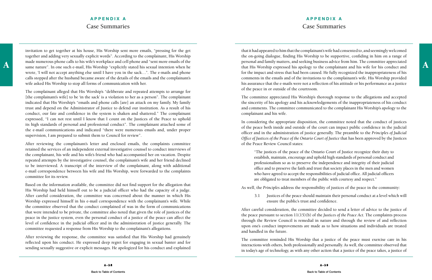## **APPENDIX A** Case Summaries

A and the made numerous phone calls to his wite's workplace and cell phone and "sent more emails of the personal and family matters, and seeking business advice from him. I he committee appreciated same nature". In one suc invitation to get together at his house, His Worship sent more emails, "pressing for the get together and adding very sexually explicit words". According to the complainant, His Worship made numerous phone calls to his wife's workplace and cell phone and "sent more emails of the wrote, 'I will not accept anything else until I have you in the sack...". The e-mails and phone calls stopped after the husband became aware of the details of the emails and the complainant's wife asked His Worship to stop all forms of communication with her.

The complainant alleged that His Worship's "deliberate and repeated attempts to arrange for [the complainant's wife] to be 'in the sack' is a violation to her as a person". The complainant indicated that His Worship's "emails and phone calls [are] an attack on my family. My family trust and depend on the Administrator of Justice to defend our institution. As a result of his conduct, our fate and confidence in the system is shaken and shattered." The complainant expressed, "I can not rest until I know that I count on the Justices of the Peace to uphold its high standards of personal and professional conduct". The complainant attached some of the e-mail communications and indicated "there were numerous emails and, under proper supervision, I am prepared to submit them to Council for review".

After reviewing the complainant's letter and enclosed emails, the complaints committee retained the services of an independent external investigative counsel to conduct interviews of the complainant, his wife and his wife's friend who had accompanied her on vacation. Despite repeated attempts by the investigative counsel, the complainant's wife and her friend declined to be interviewed. A transcript of the interview of the complainant, along with additional e-mail correspondence between his wife and His Worship, were forwarded to the complaints committee for its review.

Based on the information available, the committee did not find support for the allegation that His Worship had held himself out to be a judicial officer who had the capacity of a judge. After careful consideration, the committee was concerned about the manner in which His Worship expressed himself in his e-mail correspondence with the complainant's wife. While the committee observed that the conduct complained of was in the form of communications that were intended to be private, the committee also noted that given the role of justices of the peace in the justice system, even the personal conduct of a justice of the peace can affect the level of confidence in the judicial officer and in the administration of justice generally. The committee requested a response from His Worship to the complainant's allegations.

After reviewing the response, the committee was satisfied that His Worship had genuinely reflected upon his conduct. He expressed deep regret for engaging in sexual banter and for sending sexually suggestive or explicit messages. He apologized for his conduct and explained

that it had appeared to him that the complainant's wife had consented to, and seemingly welcomed the on-going dialogue, finding His Worship to be supportive, confiding in him on a range of personal and family matters, and seeking business advice from him. The committee appreciated that His Worship expressed his apology to the complainant and his wife for his conduct and for the impact and stress that had been caused. He fully recognized the inappropriateness of his comments in the emails and of the invitations to the complainant's wife. His Worship provided his assurance that the e-mails were not a reflection of his attitude or his performance as a justice of the peace in or outside of the courtroom.

The committee appreciated His Worship's thorough response to the allegations and accepted the sincerity of his apology and his acknowledgements of the inappropriateness of his conduct and comments. The committee communicated to the complainant His Worship's apology to the complainant and his wife.

In considering the appropriate disposition, the committee noted that the conduct of justices of the peace both inside and outside of the court can impact public confidence in the judicial officer and in the administration of justice generally. The preamble to the *Principles of Judicial Office of Justices of the Peace of the Ontario Court of Justice* that has been approved by the Justices of the Peace Review Council states:

"The justices of the peace of the Ontario Court of Justice recognize their duty to establish, maintain, encourage and uphold high standards of personal conduct and professionalism so as to preserve the independence and integrity of their judicial office and to preserve the faith and trust that society places in the men and women who have agreed to accept the responsibilities of judicial office. All judicial officers are obligated to treat members of the public with courtesy and respect."

As well, the *Principles* address the responsibility of justices of the peace in the community:

3.1 Justices of the peace should maintain their personal conduct at a level which will

ensure the public's trust and confidence.

After careful consideration, the committee decided to send a letter of advice to the justice of the peace pursuant to section 11(15)(b) of the *Justices of the Peace Act.* The complaints process through the Review Council is remedial in nature and through the review of and reflection upon one's conduct improvements are made as to how situations and individuals are treated and handled in the future.

The committee reminded His Worship that a justice of the peace must exercise care in his interactions with others, both professionally and personally. As well, the committee observed that in today's age of technology, as with any other action that a justice of the peace takes, a justice of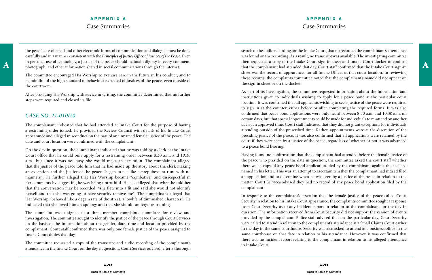## **APPENDIX A** Case Summaries

the peace's use of email and other electronic forms of communication and dialogue must be done carefully and in a manner consistent with the *Principles of Justice Office of Justices of the Peace.* Even in personal use of technology, a justice of the peace should maintain dignity in every comment, photograph, and other information shared in social communications through the internet.

The committee encouraged His Worship to exercise care in the future in his conduct, and to be mindful of the high standard of behaviour expected of justices of the peace, even outside of the courtroom.

After providing His Worship with advice in writing, the committee determined that no further steps were required and closed its file.

## *CASE NO. 21-010/10*

The complainant indicated that he had attended at Intake Court for the purpose of having a restraining order issued. He provided the Review Council with details of his Intake Court appearance and alleged misconduct on the part of an unnamed female justice of the peace. The date and court location were confirmed with the complainant.

A a universional use of technology, a justice of the peace should maintain dignity in every comment, then requested a copy of the Intake Court sign-in sheet and Intake Court docket to confirmed that the Court sign-in photo search of the audio recording for the Intake Court, that no record of the complainant's attendance was found on the recording. As a result, no transcript was available. The investigating committee then requested a copy of the Intake Court sign-in sheet and Intake Court docket to confirm sheet was the record of appearances for all Intake Offices at that court location. In reviewing these records, the complaints committee noted that the complainant's name did not appear on the sign-in sheet or on the docket.

On the day in question, the complainant indicated that he was told by a clerk at the Intake Court office that he could only apply for a restraining order between 8:30 a.m. and 10:30 a.m., but since it was not busy, she would make an exception. The complainant alleged that the justice of the peace told him that he had made up the story about the clerk making an exception and the justice of the peace "began to act like a prepubescent runt with no manners". He further alleged that Her Worship became "combative" and disrespectful in her comments by suggesting he was being untruthful. He also alleged that when he told her that the conversation may be recorded, "she flew into a fit and said she would not identify herself and that she was going to have security remove me". The complainant alleged that Her Worship "behaved like a degenerate of the street, a lowlife of diminished character". He indicated that she owed him an apology and that she should undergo re-training.

The complaint was assigned to a three member complaints committee for review and investigation. The committee sought to identify the justice of the peace through Court Services on the basis of the information about the gender, date, time and location provided by the complainant. Court staff confirmed there was only one female justice of the peace assigned to Intake Court duties that day.

The committee requested a copy of the transcript and audio recording of the complainant's attendance in the Intake Court on the day in question. Court Services advised, after a thorough

As part of its investigation, the committee requested information about the information and instructions given to individuals wishing to apply for a peace bond at the particular court location. It was confirmed that all applicants wishing to see a justice of the peace were required to sign in at the counter, either before or after completing the required forms. It was also confirmed that peace bond applications were only heard between 8:30 a.m. and 10:30 a.m. on certain days, but that special appointments could be made for individuals to re-attend on another day at an approved time. Court staff indicated that they did not grant exceptions for individuals attending outside of the prescribed time. Rather, appointments were at the discretion of the presiding justice of the peace. It was also confirmed that all applications were retained by the court if they were seen by a justice of the peace, regardless of whether or not it was advanced to a peace bond hearing.

Having found no confirmation that the complainant had attended before the female justice of the peace who presided on the date in question, the committee asked the court staff whether there was a copy of any peace bond application filed by the complainant against the accused named in his letter. This was an attempt to ascertain whether the complainant had indeed filed an application and to determine when he was seen by a justice of the peace in relation to the matter. Court Services advised they had no record of any peace bond application filed by the complainant.

In response to the complainant's assertion that the female justice of the peace called Court Security in relation to his Intake Court appearance, the complaints committee sought a response from Court Security as to any incident report in relation to the complainant for the day in question. The information received from Court Security did not support the version of events provided by the complainant. Police staff advised that on the particular day, Court Security were called to attend in relation to the complainant's attendance at a Small Claims Court earlier in the day in the same courthouse. Security was also asked to attend at a business office in the same courthouse on that date in relation to his attendance. However, it was confirmed that there was no incident report relating to the complainant in relation to his alleged attendance in Intake Court.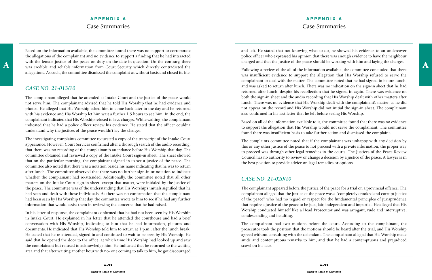## **APPENDIX A** Case Summaries

With the temale justice of the peace on duty on the date in question. On the contrary, there charged and that the justice of the peace should be working with him and laying the charges. Based on the information available, the committee found there was no support to corroborate the allegations of the complainant and no evidence to support a finding that he had interacted with the female justice of the peace on duty on the date in question. On the contrary, there allegations. As such, the committee dismissed the complaint as without basis and closed its file.

#### *CASE NO. 21-013/10*

The complainant alleged that he attended at Intake Court and the justice of the peace would not serve him. The complainant advised that he told His Worship that he had evidence and photos. He alleged that His Worship asked him to come back later in the day and he returned with his evidence and His Worship let him wait a further 1.5 hours to see him. In the end, the complainant indicated that His Worship refused to lays charges. While waiting, the complainant indicated that he had a police officer review his evidence. He stated that the officer couldn't understand why the justices of the peace wouldn't lay the charges.

The investigating complaints committee requested a copy of the transcript of the Intake Court appearance. However, Court Services confirmed after a thorough search of the audio recording, that there was no recording of the complainant's attendance before His Worship that day. The committee obtained and reviewed a copy of the Intake Court sign-in sheet. The sheet showed that on the particular morning, the complainant signed in to see a justice of the peace. The committee also noted that there was a notation beside his name indicating that he was to return after lunch. The committee observed that there was no further sign-in or notation to indicate whether the complainant had re-attended. Additionally, the committee noted that all other matters on the Intake Court sign-in sheet, except that matter, were initialed by the justice of the peace. The committee was of the understanding that His Worship's initials signified that he had seen and dealt with those individuals. As there was no confirmation that the complainant had been seen by His Worship that day, the committee wrote to him to see if he had any further information that would assist them in reviewing the concerns that he had raised.

In his letter of response, the complainant confirmed that he had not been seen by His Worship in Intake Court. He explained in his letter that he attended the courthouse and had a brief conversation with His Worship, indicating to him that he had information, pictures and documents. He indicated that His Worship told him to return at 1 p.m., after the lunch break. He stated that he re-attended, signed in and continued to wait to be seen by His Worship. He said that he opened the door to the office, at which time His Worship had looked up and saw the complainant but refused to acknowledge him. He indicated that he returned to the waiting area and that after waiting another hour with no- one coming to talk to him, he got discouraged

and left. He stated that not knowing what to do, he showed his evidence to an undercover police officer who expressed his opinion that there was enough evidence to have the neighbour charged and that the justice of the peace should be working with him and laying the charges.

Following a review of the all of the information available, the committee concluded that there was insufficient evidence to support the allegation that His Worship refused to serve the complainant or deal with the matter. The committee noted that he had signed in before lunch, and was asked to return after lunch. There was no indication on the sign-in sheet that he had returned after lunch, despite his recollection that he signed in again. There was evidence on both the sign-in sheet and the audio recording that His Worship dealt with other matters after lunch. There was no evidence that His Worship dealt with the complainant's matter, as he did not appear on the record and His Worship did not initial the sign-in sheet. The complainant also confirmed in his last letter that he left before seeing His Worship.

Based on all of the information available to it, the committee found that there was no evidence to support the allegation that His Worship would not serve the complainant. The committee found there was insufficient basis to take further action and dismissed the complaint.

The complaints committee noted that if the complainant was unhappy with any decision by this or any other justice of the peace to not proceed with a private information, the proper way to proceed was through other legal remedies in the courts. The Justices of the Peace Review Council has no authority to review or change a decision by a justice of the peace. A lawyer is in the best position to provide advice on legal remedies or options.

#### *CASE NO. 21-020/10*

The complainant appeared before the justice of the peace for a trial on a provincial offence. The complainant alleged that the justice of the peace was a "completely crooked and corrupt justice of the peace" who had no regard or respect for the fundamental principles of jurisprudence that require a justice of the peace to be just, fair, independent and impartial. He alleged that His Worship conducted himself like a Head Prosecutor and was arrogant, rude and interruptive, condescending and insulting.

The complainant had two motions before the court. According to the complainant, the prosecutor took the position that the motions should be heard after the trial, and His Worship agreed without consulting with the defendant. The complainant alleged that His Worship made snide and contemptuous remarks to him, and that he had a contemptuous and prejudiced scowl on his face.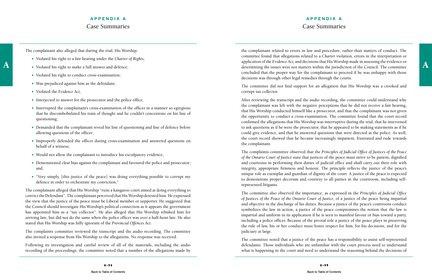## **APPENDIX A** Case Summaries

The complainant also alleged that during the trial, His Worship:

- Violated his right to a fair hearing under the *Charter of Rights;*
- Violated his right to make a full answer and defence;
- Violated his right to conduct cross-examination;
- Was prejudiced against him as the defendant;
- Violated the *Evidence Act;*
- Interjected to answer for the prosecutor and the police office;
- Interrupted the complainant's cross-examination of the officer in a manner so egregious that he discombobulated his train of thought and he couldn't concentrate on his line of questioning;
- Demanded that the complainant reveal his line of questioning and line of defence before allowing questions of the officer;
- Improperly defended the officer during cross-examination and answered questions on behalf of a witness;
- Would not allow the complainant to introduce his exculpatory evidence;
- Demonstrated clear bias against the complainant and favoured the police and prosecutor; and,
- "Very simply, [this justice of the peace] was doing everything possible to corrupt my defence in order to orchestrate my conviction."

A violated his right to make a full answer and defence;<br>A violated his right to make a full answer and defence;<br>A determining the issues were not matters within the jurisdiction of the Council. The committee the complainant related to errors in law and procedure, rather than matters of conduct. The committee found that allegations related to a *Charter* violation, errors in the interpretation or application of the *Evidence Act,* and decisions that His Worship made in assessing the evidence or concluded that the proper way for the complainant to proceed if he was unhappy with those decisions was through other legal remedies through the courts.

The complainant alleged that His Worship "runs a kangaroo court aimed at doing everything to convict the Defendant". The complainant perceived that His Worship detested him. He expressed the view that the justice of the peace must be Liberal member or supporter. He suggested that the Council should investigate His Worship's political connection as it appears the government has appointed him as a "tax collector". He also alleged that His Worship rebuked him for arriving late, but did not do the same when the police officer was over a half-hour late. He also stated that His Worship was fully ignorant of the *Provincial Offences Act.*

The complaints committee reviewed the transcript and the audio recording. The committee also invited a response from His Worship to the allegations. No response was received.

Following its investigation and careful review of all of the materials, including the audio recording of the proceedings, the committee noted that a number of the allegations made by The committee did not find support for an allegation that His Worship was a crooked and corrupt tax collector.

After reviewing the transcript and the audio recording, the committee could understand why the complainant was left with the negative perceptions that he did not receive a fair hearing, that His Worship conducted himself like a prosecutor, and that the complainant was not given the opportunity to conduct a cross-examination. The committee found that the court record confirmed the allegations that His Worship was interruptive during the trial, that he intervened to ask questions as if he were the prosecutor, that he appeared to be making statements as if he could give evidence, and that he answered questions that were directed at the police. As well, the court record showed that he became increasingly impatient, frustrated and rude towards the complainant.

The complaints committee observed that the *Principles of Judicial Office of Justices of the Peace of the Ontario Court of Justice* state that justices of the peace must strive to be patient, dignified and courteous in performing their duties of judicial office and shall carry out their role with integrity, appropriate firmness and honour. The principle reflects the justice of the peace's unique role as exemplar and guardian of dignity of the court. A justice of the peace is expected to demonstrate proper decorum and courtesy to all parties in the courtroom, including selfrepresented litigants.

The committee also observed the importance, as expressed in the *Principles of Judicial Office of Justices of the Peace of the Ontario Court of Justice,* of a justice of the peace being impartial and objective in the discharge of his duties. Because a justice of the peace's courtroom conduct symbolizes the law in action, a justice of the peace compromises the notion that the law is impartial and uniform in its application if he is seen to manifest favour or bias toward a party, including a police officer. Because of the pivotal role a justice of the peace plays in preserving the rule of law, his or her conduct must foster respect for him, for his decisions, and for the judiciary at large.

The committee noted that a justice of the peace has a responsibility to assist self-represented defendants. Those individuals who are unfamiliar with the court process need to understand what is happening in the court and need to understand the reasoning behind the decisions of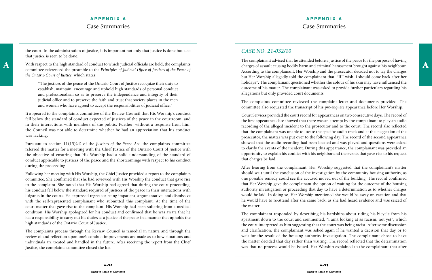the court. In the administration of justice, it is important not only that justice is done but also that justice is **seen** to be done.

## **APPENDIX A** Case Summaries

## **APPENDIX A** Case Summaries

committee referenced the preamble to the *Principles of Judicial Office of Justices of the Peace of the Ontario Court of Justice,* which states:

"The justices of the peace of the Ontario Court of Justice recognize their duty to establish, maintain, encourage and uphold high standards of personal conduct and professionalism so as to preserve the independence and integrity of their judicial office and to preserve the faith and trust that society places in the men and women who have agreed to accept the responsibilities of judicial office."

It appeared to the complaints committee of the Review Council that His Worship's conduct fell below the standard of conduct expected of justices of the peace in the courtroom, and in their interactions with members of the public. Further, without a response from him, the Council was not able to determine whether he had an appreciation that his conduct was lacking.

Pursuant to section 11(15)(d) of the *Justices of the Peace Act,* the complaints committee referred the matter for a meeting with the Chief Justice of the Ontario Court of Justice with the objective of ensuring that His Worship had a solid understanding of the standard of conduct applicable to justices of the peace and the shortcomings with respect to his conduct during the proceeding.

With respect to the high standard of conduct to which judicial officials are held, the complaints charges of assault causing bodily harm and criminal harassment brought against his neighbour. The complainant advised that he attended before a justice of the peace for the purpose of having charges of assault causing bodily harm and criminal harassment brought against his neighbour. According to the complainant, Her Worship and the prosecutor decided not to lay the charges but Her Worship allegedly told the complainant that, "If I wish, I should come back after her holidays". The complainant questioned whether the colour of his skin may have influenced the outcome of his matter. The complainant was asked to provide further particulars regarding his allegations but only provided court documents.

Following her meeting with His Worship, the Chief Justice provided a report to the complaints committee. She confirmed that she had reviewed with His Worship the conduct that gave rise to the complaint. She noted that His Worship had agreed that during the court proceeding, his conduct fell below the standard required of justices of the peace in their interactions with litigants in the courts. He expressed regret for being impatient, argumentative, and dismissive with the self-represented complainant who submitted this complaint. At the time of the court matter that gave rise to the complaint, His Worship had been suffering from a medical condition. His Worship apologized for his conduct and confirmed that he was aware that he has a responsibility to carry out his duties as a justice of the peace in a manner that upholds the high standards of the Ontario Court of Justice.

The complaints process through the Review Council is remedial in nature and through the review of and reflection upon one's conduct improvements are made as to how situations and individuals are treated and handled in the future. After receiving the report from the Chief Justice, the complaints committee closed the file.

## *CASE NO. 21-032/10*

The complaints committee reviewed the complaint letter and documents provided. The committee also requested the transcript of his *pre-enquête* appearance before Her Worship.

Court Services provided the court record for appearances on two consecutive days. The record of the first appearance date showed that there was an attempt by the complainant to play an audio recording of the alleged incident to the prosecutor and to the court. The record also reflected that the complainant was unable to locate the specific audio track and at the suggestion of the prosecutor, the matter was put over to the following day. The record of the second appearance showed that the audio recording had been located and was played and questions were asked to clarify the events of the incident. During this appearance, the complainant was provided an opportunity to explain his conflict with his neighbor and the events that gave rise to his request that charges be laid.

After hearing from the complainant, Her Worship suggested that the complainant's matter should wait until the conclusion of the investigation by the community housing authority, as one possible remedy could see the accused moved out of the building. The record confirmed that Her Worship gave the complainant the option of waiting for the outcome of the housing authority investigation or proceeding that day to have a determination as to whether charges would be laid. In doing so, Her Worship mentioned she would be away on vacation and that he would have to re-attend after she came back, as she had heard evidence and was seized of the matter.

The complainant responded by describing his hardships about riding his bicycle from his apartment down to the court and commented, "I ain't looking at as racism, not yet", which the court interpreted as him suggesting that the court was being racist. After some discussion and clarification, the complainant was asked again if he wanted a decision that day or to wait for the result of the housing authority investigation. The complainant chose to have the matter decided that day rather than waiting. The record reflected that the determination was that no process would be issued. Her Worship explained to the complainant that after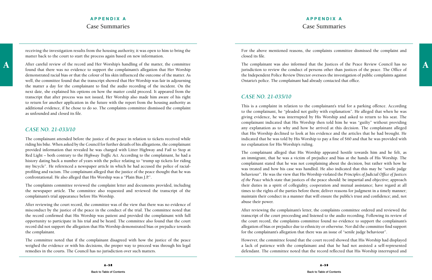receiving the investigation results from the housing authority, it was open to him to bring the matter back to the court to start the process again based on new information.

found that there was no evidence to support the complainant's allegation that Her Worship demonstrated racial bias or that the colour of his skin influenced the outcome of the matter. As well, the committee found that the transcript showed that Her Worship was fair in adjourning the matter a day for the complainant to find the audio recording of the incident. On the next date, she explained his options on how the matter could proceed. It appeared from the transcript that after process was not issued, Her Worship also made him aware of his right to return for another application in the future with the report from the housing authority as additional evidence, if he chose to do so. The complaints committee dismissed the complaint as unfounded and closed its file.

#### *CASE NO. 21-033/10*

The complainant attended before the justice of the peace in relation to tickets received while riding his bike. When asked by the Council for further details of his allegations, the complainant provided information that revealed he was charged with Litter Highway and Fail to Stop at Red Light – both contrary to the *Highway Traffic Act.* According to the complainant, he had a history dating back a number of years with the police relating to "trump up tickets for riding my bicycle". He referenced a newspaper article in which he had accused the police of racialprofiling and racism. The complainant alleged that the justice of the peace thought that he was confrontational. He also alleged that His Worship was a "Plain Bias J.P.".

A After careful review of the record and Her Worship's handling of the matter, the committee The complainant was also informed that the Justices of the Peace Review Council has no<br>found that there we no evidence to cumpert The complainant was also informed that the Justices of the Peace Review Council has no jurisdiction to review the conduct of persons other than justices of the peace. The Office of the Independent Police Review Director oversees the investigation of public complaints against Ontario's police. The complainant had already contacted that office.

The complaints committee reviewed the complaint letter and documents provided, including the newspaper article. The committee also requested and reviewed the transcript of the complainant's trial appearance before His Worship.

After reviewing the court record, the committee was of the view that there was no evidence of misconduct by the justice of the peace in the conduct of the trial. The committee noted that the record confirmed that His Worship was patient and provided the complainant with full opportunity to participate in his trial and be heard. The committee also found that the court record did not support the allegation that His Worship demonstrated bias or prejudice towards the complainant.

The committee noted that if the complainant disagreed with how the justice of the peace weighed the evidence or with his decisions, the proper way to proceed was through his legal remedies in the courts. The Council has no jurisdiction over such matters.

For the above mentioned reasons, the complaints committee dismissed the complaint and closed its file.

## *CASE NO. 21-035/10*

This is a complaint in relation to the complainant's trial for a parking offence. According to the complainant, he "pleaded not guilty with explanation". He alleged that when he was giving evidence, he was interrupted by His Worship and asked to return to his seat. The complainant indicated that His Worship then told him he was "guilty" without providing any explanation as to why and how he arrived at this decision. The complainant alleged that His Worship declined to look at his evidence and the articles that he had brought. He indicated that he was told by His Worship to pay a fine of \$60 and that he was provided with no explanation for His Worship's ruling.

The complainant alleged that His Worship appeared hostile towards him and he felt, as an immigrant, that he was a victim of prejudice and bias at the hands of His Worship. The complainant stated that he was not complaining about the decision, but rather with how he was treated and how his case was handled. He also indicated that this may be "senile judge behaviour". He was the view that His Worship violated the *Principles of Judicial Office of Justices of the Peace* which state that justices of the peace should: be impartial and objective; approach their duties in a spirit of collegiality, cooperation and mutual assistance; have regard at all times to the rights of the parties before them; deliver reasons for judgment in a timely manner; maintain their conduct in a manner that will ensure the public's trust and confidence; and, not abuse their power.

After reviewing the complainant's letter, the complaints committee ordered and reviewed the transcript of the court proceeding and listened to the audio recording. Following its review of the court record, the complaints committee found no evidence to support the complainant's allegation of bias or prejudice due to ethnicity or otherwise. Nor did the committee find support for the complainant's allegation that there was an issue of "senile judge behaviour".

However, the committee found that the court record showed that His Worship had displayed a lack of patience with the complainant and that he had not assisted a self-represented defendant. The committee noted that the record reflected that His Worship interrupted and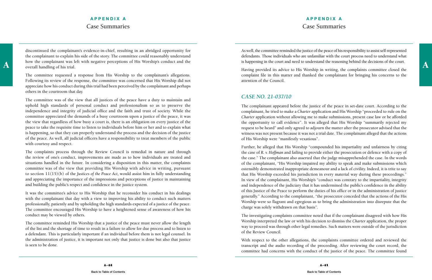## **APPENDIX A** Case Summaries

how the complainant was left with negative perceptions of His Worship's conduct and the is happening in the court and need to understand the reasoning behind the decisions of the court.<br>A surject overall handling of his tr discontinued the complainant's evidence-in-chief, resulting in an abridged opportunity for the complainant to explain his side of the story. The committee could reasonably understand overall handling of his trial.

The committee requested a response from His Worship to the complainant's allegations. Following its review of the response, the committee was concerned that His Worship did not appreciate how his conduct during this trial had been perceived by the complainant and perhaps others in the courtroom that day.

The committee was of the view that all justices of the peace have a duty to maintain and uphold high standards of personal conduct and professionalism so as to preserve the independence and integrity of judicial office and the faith and trust of society. While the committee appreciated the demands of a busy courtroom upon a justice of the peace, it was the view that regardless of how busy a court is, there is an obligation on every justice of the peace to take the requisite time to listen to individuals before him or her and to explain what is happening, so that they can properly understand the process and the decision of the justice of the peace. As well, all judicial officers have a responsibility to treat members of the public with courtesy and respect.

The complaints process through the Review Council is remedial in nature and through the review of one's conduct, improvements are made as to how individuals are treated and situations handled in the future. In considering a disposition in this matter, the complaints committee was of the view that providing His Worship with advice in writing, pursuant to section 11(15)(b) of the *Justices of the Peace Act,* would assist him in fully understanding and appreciating the importance of the impressions and perceptions of justice in maintaining and building the public's respect and confidence in the justice system.

It was the committee's advice to His Worship that he reconsider his conduct in his dealings with the complainant that day with a view to improving his ability to conduct such matters professionally, patiently and by upholding the high standards expected of a justice of the peace. The committee encouraged His Worship to have a heightened sense of awareness of how his conduct may be viewed by others.

The committee reminded His Worship that a justice of the peace must never allow the length of the list and the shortage of time to result in a failure to allow for due process and to listen to a defendant. This is particularly important if an individual before them is not legal counsel. In the administration of justice, it is important not only that justice is done but also that justice is seen to be done.

As well, the committee reminded the justice of the peace of his responsibility to assist self-represented defendants. Those individuals who are unfamiliar with the court process need to understand what is happening in the court and need to understand the reasoning behind the decisions of the court.

Having provided its advice to His Worship in writing, the complaints committee closed the complaint file in this matter and thanked the complainant for bringing his concerns to the attention of the Council.

## *CASE NO. 21-037/10*

The complainant appeared before the justice of the peace in set-date court. According to the complainant, he tried to make a *Charter* application and His Worship "proceeded to rule on the *Charter* application without allowing me to make submissions, present case law or be afforded the opportunity to call evidence". It was alleged that His Worship "summarily rejected my request to be heard" and only agreed to adjourn the matter after the prosecutor advised that the witness was not present because it was not a trial date. The complainant alleged that the actions of His Worship were "manifestly vexatious".

Further, he alleged that His Worship "compounded his impartiality and unfairness by citing the case of *R. v. Hoffman* and failing to provide either the prosecution or defence with a copy of the case." The complainant also asserted that the judge misapprehended the case. In the words of the complainant, "His Worship impaired my ability to speak and make submissions which ostensibly demonstrated inappropriate demeanour and a lack of civility. Indeed, it is trite to say that His Worship exceeded his jurisdiction in every material way during these proceedings." In view of the complainant, His Worship's "conduct was contrary to the impartiality, integrity and independence of the judiciary that it has undermined the public's confidence in the ability of this Justice of the Peace to perform the duties of his office or in the administration of justice generally." According to the complainant, "the prosecutor conceded that the actions of the His Worship were so flagrant and egregious as to bring the administration into disrepute that the charge was solely withdrawn on that basis".

The investigating complaints committee noted that if the complainant disagreed with how His Worship interpreted the law or with his decision to dismiss the *Charter* application, the proper way to proceed was through other legal remedies. Such matters were outside of the jurisdiction of the Review Council.

With respect to the other allegations, the complaints committee ordered and reviewed the transcript and the audio recording of the proceeding. After reviewing the court record, the committee had concerns with the conduct of the justice of the peace. The committee found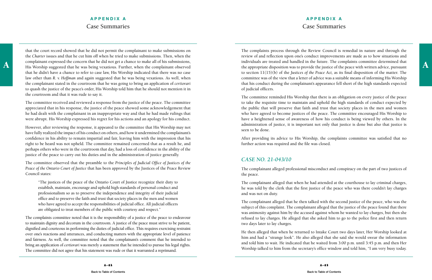## **APPENDIX A** Case Summaries

A a complainant expressed the concern that he did not get a chance to make all of his submissions, and manuful mas to provide the future. The complaints committee determined that the submission was to provide the justice o that the court record showed that he did not permit the complainant to make submissions on the *Charter* issues and that he cut him off when he tried to make submissions. Then, when the complainant expressed the concern that he did not get a chance to make all of his submissions, His Worship suggested that he was being vexatious. Further, when the complainant observed that he didn't have a chance to refer to case law, His Worship indicated that there was no case law other than *R. v. Hoffman* and again suggested that he was being vexatious. As well, when the complainant stated in the courtroom that he was going to bring an application of *certiorari*  to quash the justice of the peace's order, His Worship told him that he should not mention it in the courtroom and that it was rude to say it.

The committee received and reviewed a response from the justice of the peace. The committee appreciated that in his response, the justice of the peace showed some acknowledgement that he had dealt with the complainant in an inappropriate way and that he had made rulings that were abrupt. His Worship expressed his regret for his actions and an apology for his conduct.

However, after reviewing the response, it appeared to the committee that His Worship may not have fully realized the impact of his conduct on others, and how it undermined the complainant's confidence in his ability to remain impartial and fair, leaving him with the impression that his right to be heard was not upheld. The committee remained concerned that as a result he, and perhaps others who were in the courtroom that day, had a loss of confidence in the ability of the justice of the peace to carry out his duties and in the administration of justice generally.

The committee observed that the preamble to the *Principles of Judicial Office of Justices of the Peace of the Ontario Court of Justice* that has been approved by the Justices of the Peace Review Council states:

"The justices of the peace of the Ontario Court of Justice recognize their duty to establish, maintain, encourage and uphold high standards of personal conduct and professionalism so as to preserve the independence and integrity of their judicial office and to preserve the faith and trust that society places in the men and women who have agreed to accept the responsibilities of judicial office. All judicial officers are obligated to treat members of the public with courtesy and respect."

The complaints committee noted that it is the responsibility of a justice of the peace to endeavour to maintain dignity and decorum in the courtroom. A justice of the peace must strive to be patient, dignified and courteous in performing the duties of judicial office. This requires exercising restraint over one's reactions and utterances, and conducting matters with the appropriate level of patience and fairness. As well, the committee noted that the complainant's comment that he intended to bring an application of *certiorari* was merely a statement that he intended to pursue his legal rights. The committee did not agree that his statement was rude or that it warranted a reprimand.

The complaints process through the Review Council is remedial in nature and through the review of and reflection upon one's conduct improvements are made as to how situations and individuals are treated and handled in the future. The complaints committee determined that to section 11(15)(b) of the *Justices of the Peace Act,* as its final disposition of the matter. The committee was of the view that a letter of advice was a suitable means of informing His Worship that his conduct during the complainant's appearance fell short of the high standards expected of judicial officers.

The committee reminded His Worship that there is an obligation on every justice of the peace to take the requisite time to maintain and uphold the high standards of conduct expected by the public that will preserve that faith and trust that society places in the men and women who have agreed to become justices of the peace. The committee encouraged His Worship to have a heightened sense of awareness of how his conduct is being viewed by others. In the administration of justice, it is important not only that justice is done but also that justice is seen to be done.

After providing its advice to His Worship, the complaints committee was satisfied that no further action was required and the file was closed.

## *CASE NO. 21-043/10*

The complainant alleged professional misconduct and conspiracy on the part of two justices of the peace.

The complainant alleged that when he had attended at the courthouse to lay criminal charges, he was told by the clerk that the first justice of the peace who was there couldn't lay charges and was not on duty.

The complainant alleged that he then talked with the second justice of the peace, who was the subject of this complaint. The complainant alleged that the justice of the peace found that there was animosity against him by the accused against whom he wanted to lay charges, but then she refused to lay charges. He alleged that she asked him to go to the police first and then return two days later to lay charges.

He then alleged that when he returned to Intake Court two days later, Her Worship looked at him and had a "strange look". He also alleged that she said she would swear the information and told him to wait. He indicated that he waited from 3:00 p.m. until 3:45 p.m. and then Her Worship talked to him from the secretary's office window and told him, "I am very busy today.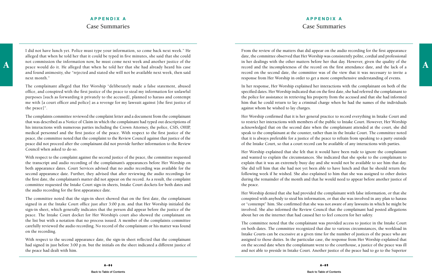## **APPENDIX A** Case Summaries

A a mot commission the information now, he must come next week and another justice of the intermation in her dealings with the other matters before her that day. However, given the quality of the peace would do it. He alle I did not have lunch yet. Police must type your information, so come back next week." He alleged that when he told her that it could be typed in five minutes, she said that she could not commission the information now, he must come next week and another justice of the and found animosity, she "rejected and stated she will not be available next week, then said next month."

The complainant alleged that Her Worship "deliberately made a false statement, abused office, and conspired with the first justice of the peace to steal my information for unlawful purposes [such as forwarding it privately to the accused], planned to harass and contempt me with [a court officer and police] as a revenge for my lawsuit against [the first justice of the peace]".

The complaints committee reviewed the complaint letter and a document from the complainant that was described as a Notice of Claim in which the complainant had typed out descriptions of his interactions with numerous parties including the Crown Attorney, the police, CSIS, OHIP, medical personnel and the first justice of the peace. With respect to the first justice of the peace, the committee noted that the complaint to the Review Council against that justice of the peace did not proceed after the complainant did not provide further information to the Review Council when asked to do so.

With respect to the complaint against the second justice of the peace, the committee requested the transcript and audio recording of the complainant's appearances before Her Worship on both appearance dates. Court Services advised that no audio recording was available for the second appearance date. Further, they advised that after reviewing the audio recordings for the first date, the complainant's matter did not appear on the record. As a result, the complaint committee requested the Intake Court sign-in sheets, Intake Court dockets for both dates and the audio recording for the first appearance date.

The committee noted that the sign-in sheet showed that on the first date, the complainant signed in at the Intake Court office just after 3:00 p.m. and that Her Worship initialed the sign-in sheet, which generally indicates that the person did appear before the justice of the peace. The Intake Court docket for Her Worship's court also showed the complainant on the list but with a notation that no process issued. A member of the complaints committee carefully reviewed the audio recording. No record of the complainant or his matter was found on the recording.

With respect to the second appearance date, the sign-in sheet reflected that the complainant had signed in just before 3:00 p.m. but the initials on the sheet indicated a different justice of the peace had dealt with him.

From the review of the matters that did appear on the audio recording for the first appearance date, the committee observed that Her Worship was consistently polite, cordial and professional in her dealings with the other matters before her that day. However, given the quality of the record and the incompleteness of the record on the first attendance date, and the lack of a record on the second date, the committee was of the view that it was necessary to invite a response from Her Worship in order to get a more comprehensive understanding of events.

In her response, Her Worship explained her interactions with the complainant on both of the specified dates. Her Worship indicated that on the first date, she had referred the complainant to the police for assistance in retrieving his property from the accused and that she had informed him that he could return to lay a criminal charge when he had the names of the individuals against whom he wished to lay charges.

Her Worship confirmed that it is her general practice to record everything in Intake Court and to restrict her interactions with members of the public to Intake Court. However, Her Worship acknowledged that on the second date when the complainant attended at the court, she did speak to the complainant at the counter, rather than in the Intake Court. The committee noted that it is always preferable for a justice of the peace to refrain from speaking to a party outside of the Intake Court, so that a court record can be available of any interactions with parties.

Her Worship explained that she felt that it would have been rude to ignore the complainant and wanted to explain the circumstances. She indicated that she spoke to the complainant to explain that it was an extremely busy day and she would not be available to see him that day. She did tell him that she had not yet been able to have lunch and that he should return the following week if he wished. She also explained to him that she was assigned to other duties during the remainder of the month and that he would need to appear before another justice of the peace.

Her Worship denied that she had provided the complainant with false information, or that she conspired with anybody to steal his information, or that she was involved in any plan to harass or "contempt" him. She confirmed that she was not aware of any lawsuits in which he might be involved. She also informed the Review Council that the complainant had posted allegations about her on the internet that had caused her to feel concern for her safety.

The committee noted that the complainant was provided access to justice in the Intake Court on both dates. The committee recognized that due to various circumstances, the workload in Intake Courts can be excessive at a given time for the number of justices of the peace who are assigned to those duties. In the particular case, the response from Her Worship explained that on the second date when the complainant went to the courthouse, a justice of the peace was ill and not able to preside in Intake Court. Another justice of the peace had to go to the Superior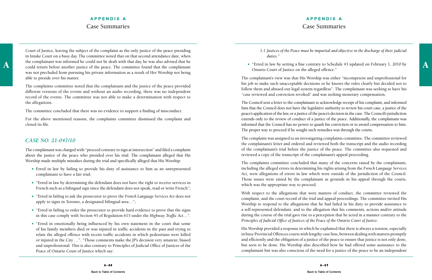## **APPENDIX A** Case Summaries

A the complainant was informed he could not be dealt with that day, he was also advised that he<br>
could return before another justice of the peace. The committee found that the complainant<br>
A contribution is the alleged off Court of Justice, leaving the subject of the complaint as the only justice of the peace presiding in Intake Court on a busy day. The committee noted that on that second attendance date, when the complainant was informed he could not be dealt with that day, he was also advised that he was not precluded from pursuing his private information as a result of Her Worship not being able to preside over his matter.

For the above mentioned reasons, the complaints committee dismissed the complaint and closed its file.

The complaints committee noted that the complainant and the justice of the peace provided different versions of the events and without an audio recording, there was no independent record of the events. The committee was not able to make a determination with respect to the allegations.

The committee concluded that there was no evidence to support a finding of misconduct.

#### *CASE NO. 21-047/10*

The complainant was charged with "proceed contrary to sign at intersection" and filed a complaint about the justice of the peace who presided over his trial. The complainant alleged that His Worship made multiple mistakes during the trial and specifically alleged that His Worship:

- Erred in law by failing to provide his duty of assistance to him as an unrepresented complainant to have a fair trial;
- "Erred in law by determining the defendant does not have the right to receive services in French such as a bilingual sign since the defendant does not speak, read or write French";
- "Erred in failing to ask the prosecutor to prove the *French Language Services Act* does not apply to signs in Toronto, a designated bilingual area…";
- "Erred in failing to order the prosecutor to provide hard evidence to prove that the signs in this case comply with Section 45 of Regulation 615 under the *Highway Traffic Act*…".
- "Erred in emotionally being influenced by his own statement in the court that some of his family members died or was injured in traffic accidents in the past and trying to relate the alleged offence with recent traffic accidents in which pedestrians were killed or injured in the City …". "Those comments make the JP's decision very amateur, biased and unprofessional. This is also contrary to Principles of Judicial Office of Justices of the Peace of Ontario Court of Justice which say:

*1.1 Justices of the Peace must be impartial and objective in the discharge of their judicial* 

"Erred in law by setting a fine contrary to Schedule 43 updated on February 1, 2010 by

- *duties."*
- Ontario Court of Justice on the alleged offence."

The complainant's view was that His Worship was either "incompetent and unprofessional for his job to make such unacceptable decisions or he knows the rules clearly but decided not to follow them and abused our legal system regardless". The complainant was seeking to have his "case reviewed and conviction revoked" and was seeking monetary compensation.

The Council sent a letter to the complainant to acknowledge receipt of his complaint, and informed him that the Council does not have the legislative authority to review his court case, a justice of the peace's application of the law, or a justice of the peace's decision in the case. The Council's jurisdiction extends only to the review of conduct of a justice of the peace. Additionally, the complainant was informed that the Council has no power to quash his conviction or to award compensation to him. The proper way to proceed if he sought such remedies was through the courts.

The complaint was assigned to an investigating complaints committee. The committee reviewed the complainant's letter and ordered and reviewed both the transcript and the audio recording of the complainant's trial before the justice of the peace. The committee also requested and reviewed a copy of the transcript of the complainant's appeal proceeding.

The complaints committee concluded that many of the concerns raised by the complainant, including the alleged errors in determining his rights arising from the *French Language Services Act,* were allegations of errors in law which were outside of the jurisdiction of the Council. Those issues were raised by the complainant as grounds in his appeal through the courts, which was the appropriate way to proceed.

With respect to the allegations that were matters of conduct, the committee reviewed the complaint, and the court record of the trial and appeal proceedings. The committee invited His Worship to respond to the allegations that he had failed in his duty to provide assistance to a self-represented defendant, and to the allegation that his comments, actions and/or attitude during the course of the trial gave rise to a perception that he acted in a manner contrary to the *Principles of Judicial Office of Justices of the Peace of the Ontario Court of Justice.*

His Worship provided a response in which he explained that there is always a tension, especially in busy Provincial Offences courts with lengthy case lists, between dealing with matters promptly and efficiently and the obligation of a justice of the peace to ensure that justice is not only done, but seen to be done. His Worship also described how he had offered some assistance to the complainant but was also conscious of the need for a justice of the peace to be an independent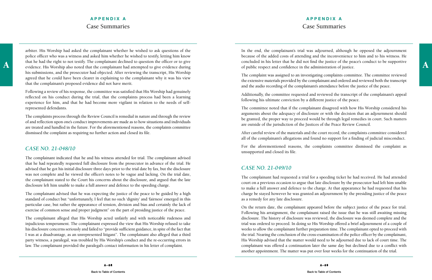## **APPENDIX A** Case Summaries

A that he had the right to not testify. The complainant declined to question the officer or to give concluded in his letter that he did not find the justice of the peace's conduct to be supportive<br>evidence. His Worship als arbiter. His Worship had asked the complainant whether he wished to ask questions of the police officer who was a witness and asked him whether he wished to testify, letting him know that he had the right to not testify. The complainant declined to question the officer or to give his submissions, and the prosecutor had objected. After reviewing the transcript, His Worship agreed that he could have been clearer in explaining to the complainant why it was his view that the complainant's proposed evidence did not have merit.

Following a review of his response, the committee was satisfied that His Worship had genuinely reflected on his conduct during the trial, that the complaints process had been a learning experience for him, and that he had become more vigilant in relation to the needs of selfrepresented defendants.

The complaints process through the Review Council is remedial in nature and through the review of and reflection upon one's conduct improvements are made as to how situations and individuals are treated and handled in the future. For the aforementioned reasons, the complaints committee dismissed the complaint as requiring no further action and closed its file.

#### *CASE NO. 21-048/10*

The complainant indicated that he and his witness attended for trial. The complainant advised that he had repeatedly requested full disclosure from the prosecutor in advance of the trial. He advised that he got his initial disclosure three days prior to the trial date by fax, but the disclosure was not complete and he viewed the officer's notes to be vague and lacking. On the trial date, the complainant stated to the Court his concerns about the disclosure, and argued that the late disclosure left him unable to make a full answer and defence to the speeding charge.

The complainant advised that he was expecting the justice of the peace to be guided by a high standard of conduct but "unfortunately, I feel that no such 'dignity' and 'fairness' emerged in this particular case, but rather the appearance of tension, division and bias and certainly the lack of exercise of common sense and proper judgment" on the part of presiding justice of the peace.

For the aforementioned reasons, the complaints committee dismissed the complaint as unsupported and closed its file.

The complainant alleged that His Worship acted unfairly and with noticeable rudeness and injudicious temperament. The complainant expressed the view that His Worship refused to take his disclosure concerns seriously and failed to "provide sufficient guidance, in spite of the fact that I was at a disadvantage, as an unrepresented litigant". The complainant also alleged that a third party witness, a paralegal, was troubled by His Worship's conduct and the re-occurring errors in law. The complainant provided the paralegal's contact information in his letter of complaint.

In the end, the complainant's trial was adjourned, although he opposed the adjournment because of the added costs of attending and the inconvenience to him and to his witness. He concluded in his letter that he did not find the justice of the peace's conduct to be supportive of public respect and confidence in the administration of justice.

The complaint was assigned to an investigating complaints committee. The committee reviewed the extensive materials provided by the complainant and ordered and reviewed both the transcript and the audio recording of the complainant's attendance before the justice of the peace.

Additionally, the committee requested and reviewed the transcript of the complainant's appeal following his ultimate conviction by a different justice of the peace.

The committee noted that if the complainant disagreed with how His Worship considered his arguments about the adequacy of disclosure or with the decision that an adjournment should be granted, the proper way to proceed would be through legal remedies in court. Such matters are outside of the jurisdiction of the Justices of the Peace Review Council.

After careful review of the materials and the court record, the complaints committee considered all of the complainant's allegations and found no support for a finding of judicial misconduct.

## *CASE NO. 21-049/10*

The complainant had requested a trial for a speeding ticket he had received. He had attended court on a previous occasion to argue that late disclosure by the prosecutor had left him unable to make a full answer and defence to the charge. At that appearance he had requested that his charge be stayed however he was granted an adjournment by the presiding justice of the peace as a remedy for any late disclosure.

On the return date, the complainant appeared before the subject justice of the peace for trial. Following his arraignment, the complainant raised the issue that he was still awaiting missing disclosure. The history of disclosure was reviewed, the disclosure was deemed complete and the trial was ordered to proceed. In doing so His Worship offered a brief adjournment of a couple of weeks to allow the complainant further preparation time. The complainant opted to proceed with the trial. Nearing the conclusion of the cross-examination of the police officer by the complainant, His Worship advised that the matter would need to be adjourned due to lack of court time. The complainant was offered a continuation later the same day but declined due to a conflict with another appointment. The matter was put over four weeks for the continuation of the trial.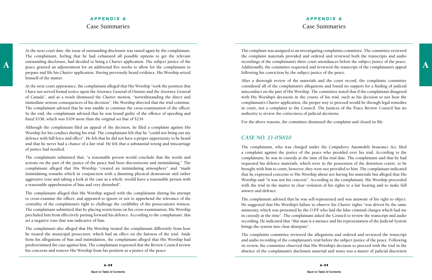## **APPENDIX A** Case Summaries

A a butstanding disclosure, had decided to bring a Charter application. The subject justice of the complainant for the complainant's three court attendances before the subject justice of the peace.<br>A peace granted an adjou At the next court date, the issue of outstanding disclosure was raised again by the complainant. The complainant, feeling that he had exhausted all possible options to get the relevant outstanding disclosure, had decided to bring a *Charter* application. The subject justice of the prepare and file his *Charter* application. Having previously heard evidence, His Worship seized himself of the matter.

At the next court appearance, the complainant alleged that His Worship "took the position that I have not served formal notice upon the Attorney General of Ontario and the Attorney General of Canada", and as a result dismissed the *Charter* motion, "notwithstanding the direct and immediate serious consequences of his decision". His Worship directed that the trial continue. The complainant advised that he was unable to continue the cross-examination of the officer. In the end, the complainant advised that he was found guilty of the offence of speeding and fined \$338, which was \$104 more than the original set fine of \$234.

Although the complainant filed an appeal of the decision, he filed a complaint against His Worship for his conduct during his trial. The complainant felt that he "could not bring out my defence with full force and effect". He felt that he did not have a proper opportunity to be heard and that he never had a chance of a fair trial. He felt that a substantial wrong and miscarriage of justice had resulted.

The complainant submitted that, "a reasonable person would conclude that the words and actions on the part of the justice of the peace had been discourteous and intimidating." The complainant alleged that His Worship "created an intimidating atmosphere" and "made intimidating remarks which in conjunction with a daunting physical demeanour and rather aggressive tone and taking a look at the case as a whole, would leave a reasonable person with a reasonable apprehension of bias and very disturbed".

The complainant alleged that His Worship argued with the complainant during his attempt to cross-examine the officer, and appeared to ignore or not to apprehend the relevance of the centrality of the complainant's right to challenge the credibility of the prosecution's witness. The complainant submitted that by placing restrictions on his cross-examination, His Worship precluded him from effectively putting forward his defence. According to the complainant, this set a negative tone that was indicative of bias.

The complainant also alleged that His Worship treated the complainant differently from how he treated the municipal prosecutor, which had an effect on the fairness of the trial. Aside from his allegations of bias and intimidation, the complainant alleged that His Worship had predetermined the case against him. The complainant requested that the Review Council review his concerns and remove His Worship from his position as a justice of the peace.

The complaint was assigned to an investigating complaints committee. The committee reviewed the complaint materials provided and ordered and reviewed both the transcripts and audio recordings of the complainant's three court attendances before the subject justice of the peace. Additionally, the committee requested and reviewed the transcript of the complainant's appeal following his conviction by the subject justice of the peace.

After a thorough review of the materials and the court record, the complaints committee considered all of the complainant's allegations and found no support for a finding of judicial misconduct on the part of His Worship. The committee noted that if the complainant disagreed with His Worship's decisions in the course of his trial, such as his decision to not hear the complainant's *Charter* application, the proper way to proceed would be through legal remedies in court, not a complaint to the Council. The Justices of the Peace Review Council has no authority to review the correctness of judicial decisions.

For the above reasons, the committee dismissed the complaint and closed its file.

#### *CASE NO. 21-050/10*

The complainant, who was charged under the *Compulsory Automobile Insurance Act,* filed a complaint against the justice of the peace who presided over his trial. According to the complainant, he was in custody at the time of his trial date. The complainant said that he had requested his defence materials, which were in the possession of the detention centre, to be brought with him to court, however, they were not provided to him. The complainant indicated that he expressed concerns to His Worship about not having his materials but alleged that His Worship said "it was not his concern". According to the complainant, His Worship proceeded with the trial in the matter in clear violation of his rights to a fair hearing and to make full answer and defence.

The complainant advised that he was self-represented and was unaware of his right to object. He suggested that His Worship's failure to observe his *Charter* rights "was driven by the same animosity, which was presented by the O.P.P. who laid the false criminal charges which had me in custody at the time". The complainant asked the Council to review the transcript and audio recording. He indicated that "this man is a menace and his representation of the Judicial System brings the system into clear disrepute".

The complaints committee reviewed the allegations and ordered and reviewed the transcript and audio recording of the complainant's trial before the subject justice of the peace. Following its review, the committee observed that His Worship's decision to proceed with the trial in the absence of the complainant's disclosure material and notes was a matter of judicial discretion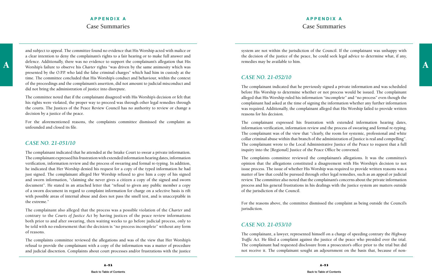## **APPENDIX A** Case Summaries

A defence. Additionally, there was no evidence to support the complainant's allegation that His remedies may be available to him.<br>Worship's failure to observe his *Charter* rights "was driven by the same animosity which wa and subject to appeal. The committee found no evidence that His Worship acted with malice or a clear intention to deny the complainant's rights to a fair hearing or to make full answer and defence. Additionally, there was no evidence to support the complainant's allegation that His presented by the O.P.P. who laid the false criminal charges" which had him in custody at the time. The committee concluded that His Worship's conduct and behaviour, within the context of the proceedings and the complainant's assertion, did not amount to judicial misconduct and did not bring the administration of justice into disrepute.

For the aforementioned reasons, the complaints committee dismissed the complaint as unfounded and closed its file.

The committee noted that if the complainant disagreed with His Worship's decision or felt that his rights were violated, the proper way to proceed was through other legal remedies through the courts. The Justices of the Peace Review Council has no authority to review or change a decision by a justice of the peace.

#### *CASE NO. 21-051/10*

The complainant indicated that he attended at the Intake Court to swear a private information. The complainant expressed his frustration with extended information hearing dates, information verification, information review and the process of swearing and formal re-typing. In addition, he indicated that Her Worship denied his request for a copy of the typed information he had just signed. The complainant alleged Her Worship refused to give him a copy of his signed and sworn information, "claiming she never gives a citizen a copy of the signed and sworn document". He stated in an attached letter that "refusal to given any public member a copy of a sworn document in regard to complaint information for charge on a selective basis is rift with possible areas of internal abuse and does not pass the smell test, and is unacceptable in the extreme."

The complainant also alleged that the process was a possible violation of the *Charter* and contrary to the *Courts of Justice Act* by having justices of the peace review informations both prior to and after swearing, then waiting weeks to go before judicial process, only to be told with no endorsement that the decision is "no process incomplete" without any form of reasons.

The complaints committee reviewed the allegations and was of the view that Her Worship's refusal to provide the complainant with a copy of the information was a matter of procedure and judicial discretion. Complaints about court processes and/or frustrations with the justice

system are not within the jurisdiction of the Council. If the complainant was unhappy with the decision of the justice of the peace, he could seek legal advice to determine what, if any, remedies may be available to him.

## *CASE NO. 21-052/10*

The complainant indicated that he previously signed a private information and was scheduled before His Worship to determine whether or not process would be issued. The complainant alleged that His Worship ruled his information "incomplete" and "no process" even though the complainant had asked at the time of signing the information whether any further information was required. Additionally, the complainant alleged that His Worship failed to provide written reasons for his decision.

The complainant expressed his frustration with extended information hearing dates, information verification, information review and the process of swearing and formal re-typing. The complainant was of the view that "clearly, the room for systemic, professional and white collar criminal abuse within that branch of the administration of Justice is real and compelling". The complainant wrote to the Local Administrative Justice of the Peace to request that a full inquiry into the [Regional] Justice of the Peace Office be convened.

The complaints committee reviewed the complainant's allegations. It was the committee's opinion that the allegations constituted a disagreement with His Worship's decision to not issue process. The issue of whether His Worship was required to provide written reasons was a matter of law that could be pursued through other legal remedies, such as an appeal or judicial review. The committee also noted that the complainant's concerns about the private information process and his general frustrations in his dealings with the justice system are matters outside of the jurisdiction of the Council.

For the reasons above, the committee dismissed the complaint as being outside the Council's jurisdiction.

#### *CASE NO. 21-053/10*

The complainant, a lawyer, represented himself on a charge of speeding contrary the *Highway Traffic Act.* He filed a complaint against the justice of the peace who presided over the trial. The complainant had requested disclosure from a prosecutor's office prior to the trial but did not receive it. The complainant sought an adjournment on the basis that, because of non-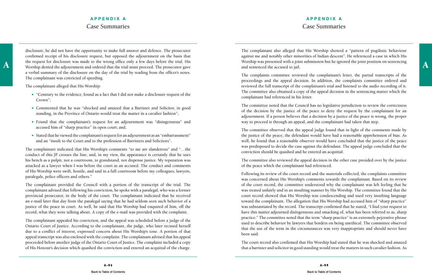## **APPENDIX A** Case Summaries

A the request for disclosure was made to the wrong office only a few days before the trial. His worship was presented with a joint submission but he ignored the joint position on sentencing Worship was presented with a joi disclosure, he did not have the opportunity to make full answer and defence. The prosecutor confirmed receipt of his disclosure request, but opposed the adjournment on the basis that the request for disclosure was made to the wrong office only a few days before the trial. His a verbal summary of the disclosure on the day of the trial by reading from the officer's notes. The complainant was convicted of speeding.

The complainant alleged that His Worship:

- "Contrary to the evidence, found as a fact that I did not make a disclosure request of the Crown";
- Commented that he was "shocked and amazed that a Barrister and Solicitor, in good standing, in the Province of Ontario would treat the matter in a cavalier fashion";
- Found that the complainant's request for an adjournment was "disingenuous" and accused him of "sharp practice" in open court; and,
- Stated that he viewed the complainant's request for an adjournment as an "embarrassment" and an "insult to the Court and to the profession of Barristers and Solicitors".

The complainant indicated that His Worship's comments "to me are slanderous" and "…the conduct of this JP crosses the line, and, in my view, the appearance is certainly that he uses his bench as a pulpit, not a courtroom, to grandstand, not dispense justice. My reputation was attacked as a lawyer when I was before the court as an accused. The conduct and comments of His Worship were swift, hostile, and said in a full courtroom before my colleagues, lawyers, paralegals, police officers and others."

The complainant provided the Council with a portion of the transcript of the trial. The complainant advised that following his conviction, he spoke with a paralegal, who was a former provincial prosecutor, in the body of the court. The complainant indicated that he received an e-mail later that day from the paralegal saying that he had seldom seen such behavior of a justice of the peace in court. As well, he said that His Worship had enquired of him, off the record, what they were talking about. A copy of the e-mail was provided with the complaint.

The complainant appealed his conviction, and the appeal was scheduled before a judge of the Ontario Court of Justice. According to the complainant, the judge, who later recused herself due to a conflict of interest, expressed concern about His Worship's tone. A portion of that appeal transcript was also enclosed with the complaint. The complainant advised that his appeal proceeded before another judge of the Ontario Court of Justice. The complaint included a copy of His Honour's decision which quashed the conviction and entered an acquittal of the charge.

The complainant also alleged that His Worship showed a "pattern of pugilistic behaviour against me and notably other minorities of Indian descent". He referenced a case in which His Worship was presented with a joint submission but he ignored the joint position on sentencing and sentenced the accused to jail.

The complaints committee reviewed the complainant's letter, the partial transcripts of the proceedings and the appeal decision. In addition, the complaints committee ordered and reviewed the full transcript of the complainant's trial and listened to the audio recording of it. The committee also obtained a copy of the appeal decision in the sentencing matter which the complainant had referenced in his letter.

The committee noted that the Council has no legislative jurisdiction to review the correctness of the decision by the justice of the peace to deny the request by the complainant for an adjournment. If a person believes that a decision by a justice of the peace is wrong, the proper way to proceed is through an appeal, and the complainant had taken that step.

The committee observed that the appeal judge found that in light of the comments made by the justice of the peace, the defendant would have had a reasonable apprehension of bias. As well, he found that a reasonable observer would have concluded that the justice of the peace was predisposed to decide the case against the defendant. The appeal judge concluded that the conviction should be quashed and he entered an acquittal.

The committee also reviewed the appeal decision in the other case presided over by the justice of the peace which the complainant had referenced.

Following its review of the court record and the materials collected, the complaints committee was concerned about His Worship's comments towards the complainant. Based on its review of the court record, the committee understood why the complainant was left feeling that he was treated unfairly and in an insulting manner by His Worship. The committee found that the court record showed that His Worship was condescending and used very insulting language toward the complainant. The allegation that His Worship had accused him of "sharp practice" was substantiated by the record. The transcript confirmed that he stated, "I find your request to have this matter adjourned disingenuous and smacking of, what has been referred to as, sharp practice." The committee noted that the term "sharp practice" is an extremely pejorative phrase used to describe behavior by lawyers that borders on being unethical. The committee observed that the use of the term in the circumstances was very inappropriate and should never have been said.

The court record also confirmed that His Worship had stated that he was shocked and amazed that a barrister and solicitor in good standing would treat the matters in such cavalier fashion. As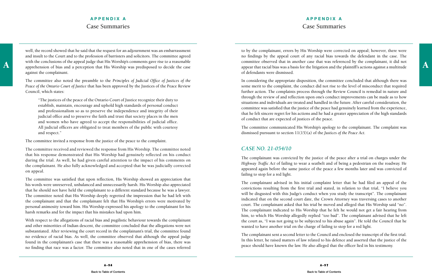## **APPENDIX A** Case Summaries

well, the record showed that he said that the request for an adjournment was an embarrassment and insult to the Court and to the profession of barristers and solicitors. The committee agreed with the conclusions of the appeal judge that His Worship's comments gave rise to a reasonable against the complainant.

The committee also noted the preamble to the *Principles of Judicial Office of Justices of the Peace of the Ontario Court of Justice* that has been approved by the Justices of the Peace Review Council, which states:

"The justices of the peace of the Ontario Court of Justice recognize their duty to establish, maintain, encourage and uphold high standards of personal conduct and professionalism so as to preserve the independence and integrity of their judicial office and to preserve the faith and trust that society places in the men and women who have agreed to accept the responsibilities of judicial office. All judicial officers are obligated to treat members of the public with courtesy and respect."

The committee invited a response from the justice of the peace to the complaint.

The committee received and reviewed the response from His Worship. The committee noted that his response demonstrated that His Worship had genuinely reflected on his conduct during the trial. As well, he had given careful attention to the impact of his comments on the complainant. He also fully acknowledged and accepted that he was judicially corrected on appeal.

with the conclusions of the appeal judge that His Worship's comments gave rise to a reasonable commutice observed that in another case that was referenced by the complainant, it did not apprehension of bias and a perceptio to by the complainant, errors by His Worship were corrected on appeal; however, there were no findings by the appeal court of any racial bias towards the defendant in the case. The committee observed that in another case that was referenced by the complainant, it did not appear that racial bias was a basis for the litigation and the plaintiff's actions against a multitude of defendants were dismissed.

The committee was satisfied that upon reflection, His Worship showed an appreciation that his words were unreserved, unbalanced and unnecessarily harsh. His Worship also appreciated that he should not have held the complainant to a different standard because he was a lawyer. The committee noted that His Worship deeply regretted the impression that he had left with the complainant and that the complainant felt that His Worship's errors were motivated by personal animosity toward him. His Worship expressed his apology to the complainant for his harsh remarks and for the impact that his mistakes had upon him.

With respect to the allegations of racial bias and pugilistic behaviour towards the complainant and other minorities of Indian descent, the committee concluded that the allegations were not substantiated. After reviewing the court record in the complainant's trial, the committee found no evidence of racial bias. As well, the committee observed that although the appeal judge found in the complainant's case that there was a reasonable apprehension of bias, there was no finding that race was a factor. The committee also noted that in one of the cases referred

In considering the appropriate disposition, the committee concluded that although there was some merit to the complaint, the conduct did not rise to the level of misconduct that required further action. The complaints process through the Review Council is remedial in nature and through the review of and reflection upon one's conduct improvements can be made as to how situations and individuals are treated and handled in the future. After careful consideration, the committee was satisfied that the justice of the peace had genuinely learned from the experience, that he felt sincere regret for his actions and he had a greater appreciation of the high standards of conduct that are expected of justices of the peace.

The committee communicated His Worship's apology to the complainant. The complaint was dismissed pursuant to section 11(15)(a) of the *Justices of the Peace Act.*

## *CASE NO. 21-054/10*

The complainant was convicted by the justice of the peace after a trial on charges under the *Highway Traffic Act* of failing to wear a seatbelt and of being a pedestrian on the roadway. He appeared again before the same justice of the peace a few months later and was convicted of failing to stop for a red light.

The complainant advised in his initial complaint letter that he had filed an appeal of the convictions resulting from the first trial and stated, in relation to that trial, "I believe you will be disgusted with this Judge's conduct when you study the transcript". The complainant indicated that on the second court date, the Crown Attorney was traversing cases to another court. The complainant asked that his trial be moved and alleged that His Worship said "no". The complainant indicated to His Worship that he felt he would not get a fair hearing from him, to which His Worship allegedly replied "too bad". The complainant advised that he left the court as, "I was not going to be subjected to his abuse again". He told the Council that he wanted to have another trial on the charge of failing to stop for a red light.

The complainant sent a second letter to the Council and enclosed the transcript of the first trial. In this letter, he raised matters of law related to his defence and asserted that the justice of the peace should have known the law. He also alleged that the officer lied in his testimony.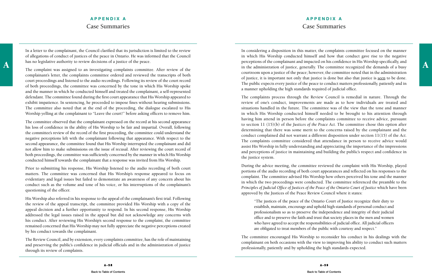## **APPENDIX A** Case Summaries

In a letter to the complainant, the Council clarified that its jurisdiction is limited to the review of allegations of conduct of justices of the peace in Ontario. He was informed that the Council has no legislative authority to review decisions of a justice of the peace.

The complaint was assigned to an investigating complaints committee. After review of the complainant's letter, the complaints committee ordered and reviewed the transcripts of both court proceedings and listened to the audio recordings. Following its review of the court record of both proceedings, the committee was concerned by the tone in which His Worship spoke and the manner in which he conducted himself and treated the complainant, a self-represented defendant. The committee found during the first court appearance that His Worship appeared to exhibit impatience. In sentencing, he proceeded to impose fines without hearing submissions. The committee also noted that at the end of the proceeding, the dialogue escalated to His Worship yelling at the complainant to "Leave the court!" before asking officers to remove him.

The committee observed that the complainant expressed on the record at his second appearance his loss of confidence in the ability of His Worship to be fair and impartial. Overall, following the committee's review of the record of the first proceeding, the committee could understand the negative perceptions left with the complainant following that appearance. With respect to the second appearance, the committee found that His Worship interrupted the complainant and did not allow him to make submissions on the issue of recusal. After reviewing the court record of both proceedings, the committee was sufficiently concerned by the manner in which His Worship conducted himself towards the complainant that a response was invited from His Worship.

has no legislative authority to review decisions of a justice of the peace.<br>The committent view assigned to an investigating committion of the review of the section of intervally. The committee recognized the demands of a In considering a disposition in this matter, the complaints committee focused on the manner in which His Worship conducted himself and how that conduct gave rise to the negative perceptions of the complainant and impacted on his confidence in His Worship specifically, and courtroom upon a justice of the peace; however, the committee noted that in the administration of justice, it is important not only that justice is done but also that justice is seen to be done. The public expects every justice of the peace to conduct matters professionally, patiently and in a manner upholding the high standards required of judicial office.

Prior to submitting his response, His Worship listened to the audio recording of both court matters. The committee was concerned that His Worship's response appeared to focus on evidentiary and legal issues but failed to demonstrate an awareness of any concern about his conduct such as the volume and tone of his voice, or his interruptions of the complainant's questioning of the officer.

His Worship also referred in his response to the appeal of the complainant's first trial. Following the review of the appeal transcript, the committee provided His Worship with a copy of the appeal decision and a further opportunity to respond. In his second response, His Worship addressed the legal issues raised in the appeal but did not acknowledge any concerns with his conduct. After reviewing His Worship's second response to the complaint, the committee remained concerned that His Worship may not fully appreciate the negative perceptions created by his conduct towards the complainant.

The Review Council, and by extension, every complaints committee, has the role of maintaining and preserving the public's confidence in judicial officials and in the administration of justice through its review of complaints.

The complaints process through the Review Council is remedial in nature. Through the review of one's conduct, improvements are made as to how individuals are treated and situations handled in the future. The committee was of the view that the tone and manner in which His Worship conducted himself needed to be brought to his attention through having him attend in person before the complaints committee to receive advice, pursuant to section 11 (15)(b) of the *Justices of the Peace Act.* The committee chose this option after determining that there was some merit to the concerns raised by the complainant and the conduct complained did not warrant a different disposition under section 11(15) of the *Act.* The complaints committee considered that attendance in person to receive advice would assist His Worship in fully understanding and appreciating the importance of the impressions and perceptions of justice in maintaining and building the public's respect and confidence in the justice system.

During the advice meeting, the committee reviewed the complaint with His Worship, played portions of the audio recording of both court appearances and reflected on his responses to the complaint. The committee advised His Worship how others perceived his tone and the manner in which the two proceedings were conducted. The committee referenced the preamble to the *Principles of Judicial Office of Justices of the Peace of the Ontario Court of Justice* which have been approved by the Justices of the Peace Review Council where it states:

"The justices of the peace of the Ontario Court of Justice recognize their duty to establish, maintain, encourage and uphold high standards of personal conduct and professionalism so as to preserve the independence and integrity of their judicial office and to preserve the faith and trust that society places in the men and women who have agreed to accept the responsibilities of judicial office. All judicial officers are obligated to treat members of the public with courtesy and respect."

The committee encouraged His Worship to reconsider his conduct in his dealings with the complainant on both occasions with the view to improving his ability to conduct such matters professionally, patiently and by upholding the high standards expected.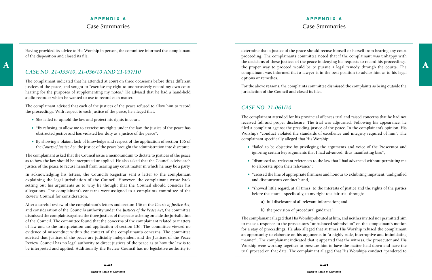## **APPENDIX A** Case Summaries

Having provided its advice to His Worship in person, the committee informed the complainant of the disposition and closed its file.

## *CASE NO. 21-055/10, 21-056/10 AND 21-057/10*

The complainant indicated that he attended at court on three occasions before three different justices of the peace, and sought to "exercise my right to unobtrusively record my own court hearing for the purposes of supplementing my notes." He advised that he had a hand-held audio recorder which he wanted to use to record each matter.

The complainant advised that each of the justices of the peace refused to allow him to record the proceedings. With respect to each justice of the peace, he alleged that:

- She failed to uphold the law and protect his rights in court.
- "By refusing to allow me to exercise my rights under the law, the justice of the peace has obstructed justice and has violated her duty as a justice of the peace".
- By showing a blatant lack of knowledge and respect of the application of section 136 of the *Courts of Justice Act,* the justice of the peace brought the administration into disrepute.

The complainant asked that the Council issue a memorandum to dictate to justices of the peace as to how the law should be interpreted or applied. He also asked that the Council advise each justice of the peace to recuse herself from hearing any court matter in which he may be a party.

the decisions of these justices of the peace in denying his requests to record his proceedings,<br>the proper way to proceed would be to pursue a legal remedy through the courts. The determine that a justice of the peace should recuse himself or herself from hearing any court proceeding. The complainants committee noted that if the complainant was unhappy with the decisions of these justices of the peace in denying his requests to record his proceedings, complainant was informed that a lawyer is in the best position to advise him as to his legal options or remedies.

In acknowledging his letters, the Council's Registrar sent a letter to the complainant explaining the legal jurisdiction of the Council. However, the complainant wrote back setting out his arguments as to why he thought that the Council should consider his allegations. The complainant's concerns were assigned to a complaints committee of the Review Council for consideration.

After a careful review of the complainant's letters and section 136 of the *Courts of Justice Act,*  and consideration of the Council's authority under the *Justices of the Peace Act,* the committee dismissed the complaints against the three justices of the peace as being outside the jurisdiction of the Council. The committee found that the concerns of the complainant related to matters of law and to the interpretation and application of section 136. The committee viewed no evidence of misconduct within the context of the complainant's concerns. The committee advised that justices of the peace are judicially independent and the Justices of the Peace Review Council has no legal authority to direct justices of the peace as to how the law is to be interpreted and applied. Additionally, the Review Council has no legislative authority to

For the above reasons, the complaints committee dismissed the complaints as being outside the jurisdiction of the Council and closed its files.

## *CASE NO. 21-061/10*

The complainant attended for his provincial offences trial and raised concerns that he had not received full and proper disclosure. The trial was adjourned. Following his appearance, he filed a complaint against the presiding justice of the peace. In the complainant's opinion, His Worship's "conduct violated the standards of excellence and integrity required of him". The complainant specifically alleged that His Worship:

 "failed to be objective by privileging the arguments and voice of the Prosecutor and ignoring certain key arguments that I had advanced, thus manifesting bias";

"dismissed as irrelevant references to the law that I had advanced without permitting me

"crossed the line of appropriate firmness and honour to exhibiting impatient, undignified

"showed little regard, at all times, to the interests of justice and the rights of the parties

- 
- to elaborate upon their relevance";
- and discourteous conduct"; and,
- before the court specifically, to my right to a fair trial through:
	- a) full disclosure of all relevant information; and
	- b) the provision of procedural guidance".

The complainant alleged that His Worship shouted at him, and neither invited nor permitted him to make a response to the prosecutor's "unbalanced submission" on the complainant's motion for a stay of proceedings. He also alleged that at times His Worship refused the complainant an opportunity to elaborate on his arguments in "a highly rude, interruptive and intimidating manner". The complainant indicated that it appeared that the witness, the prosecutor and His Worship were working together to pressure him to have the matter held down and have the trial proceed on that date. The complainant alleged that His Worship's conduct "pandered to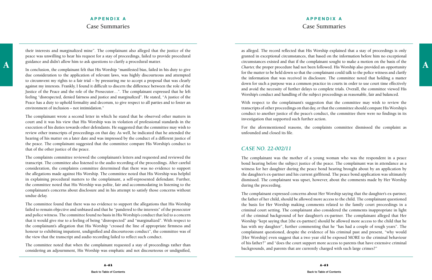## **APPENDIX A** Case Summaries

their interests and marginalized mine". The complainant also alleged that the justice of the peace was unwilling to hear his request for a stay of proceedings, failed to provide procedural guidance and didn't allow him to ask questions to clarify a procedural matter.

In conclusion, the complainant felt that His Worship "manifested bias, failed in his duty to give due consideration to the application of relevant laws, was highly discourteous and attempted to circumvent my rights to a fair trial – by pressuring me to accept a proposal that was clearly against my interests. Frankly, I found it difficult to discern the difference between the role of the Justice of the Peace and the role of the Prosecutor…". The complainant expressed that he left feeling "disrespected, denied fairness and justice and marginalized". He stated, "A justice of the Peace has a duty to uphold formality and decorum, to give respect to all parties and to foster an environment of inclusion – not intimidation."

The complainant wrote a second letter in which he stated that he observed other matters in court and it was his view that His Worship was in violation of professional standards in the execution of his duties towards other defendants. He suggested that the committee may wish to review other transcripts of proceedings on that day. As well, he indicated that he attended the hearing of his matter on a later date and was impressed by the conduct of a different justice of the peace. The complainant suggested that the committee compare His Worship's conduct to that of the other justice of the peace.

A guidance and didn't allow him to ask questions to clarity a procedural matter.<br>The conclusion the complement folt that His Worship "maniforted bise foiled in his duty to give Charter, the proper procedure had not been fo as alleged. The record reflected that His Worship explained that a stay of proceedings is only granted in exceptional circumstances, that based on the information before him no exceptional circumstances existed and that if the complainant sought to make a motion on the basis of the for the matter to be held down so that the complainant could talk to the police witness and clarify the information that was received in disclosure. The committee noted that holding a matter down for such a purpose was a common practice in courts in order to use court time effectively and avoid the necessity of further delays to complete trials. Overall, the committee viewed His Worship's conduct and handling of the subject proceedings as reasonable, fair and balanced.

The complaints committee reviewed the complainant's letters and requested and reviewed the transcript. The committee also listened to the audio recording of the proceedings. After careful consideration, the complaints committee determined that there was no evidence to support the allegations made against His Worship. The committee noted that His Worship was helpful in explaining procedural matters to the complainant, a self-represented defendant. Further, the committee noted that His Worship was polite, fair and accommodating in listening to the complainant's concerns about disclosure and in his attempt to satisfy those concerns without undue delay.

With respect to the complainant's suggestion that the committee may wish to review the transcripts of other proceedings on that day, or that the committee should compare His Worship's conduct to another justice of the peace's conduct, the committee there were no findings in its investigation that supported such further action.

For the aforementioned reasons, the complaints committee dismissed the complaint as unfounded and closed its file.

The committee found that there was no evidence to support the allegations that His Worship failed to remain objective and unbiased and that he "pandered to the interests" of the prosecutor and police witness. The committee found no basis in His Worship's conduct that led to a concern that it would give rise to a feeling of being "disrespected" and "marginalized". With respect to the complainant's allegation that His Worship "crossed the line of appropriate firmness and honour to exhibiting impatient, undignified and discourteous conduct", the committee was of the view that the transcript and audio recording failed to reflect such conduct.

The committee noted that when the complainant requested a stay of proceedings rather than considering an adjournment, His Worship was emphatic and not discourteous or undignified,

#### *CASE NO. 22-002/11*

The complainant was the mother of a young woman who was the respondent in a peace bond hearing before the subject justice of the peace. The complainant was in attendance as a witness for her daughter during the peace bond hearing brought about by an application by the daughter's ex-partner and his current girlfriend. The peace bond application was ultimately dismissed. The complainant was upset, however, about the comments made by Her Worship during the proceeding.

The complainant expressed concerns about Her Worship saying that the daughter's ex-partner, the father of her child, should be allowed more access to the child. The complainant questioned the basis for Her Worship making comments related to the family court proceedings in a criminal court setting. The complainant also considered the comments inappropriate in light of the criminal background of her daughter's ex-partner. The complainant alleged that Her Worship "kept saying that [the ex-partner] should be allowed more access to the child that he has with my daughter", further commenting that he "has had a couple of rough years". The complainant questioned, despite the evidence of his criminal past and present, "why would [Her Worship] even suggest that a two year old be exposed MORE to the criminal behaviour of his father?" and "does the court support more access to parents that have extensive criminal backgrounds, and parents that are currently charged with such large crimes?"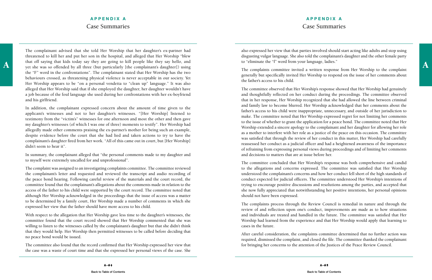## **APPENDIX A** Case Summaries

A a that off saying that kids today say they are going to kill people like they say hello, and to "eliminate the "f" word from your language, ladies."<br>The complaints committee invited a written recognes from Her Worchin to The complainant advised that she told Her Worship that her daughter's ex-partner had threatened to kill her and put her son in the hospital, and alleged that Her Worship "blew that off saying that kids today say they are going to kill people like they say hello, and the "F" word in the confrontations". The complainant stated that Her Worship has the two behaviours crossed, as threatening physical violence is never acceptable in our society. Yet Her Worship appears to be "on a personal vendetta to "clean up" language." It was also alleged that Her Worship said that if she employed the daughter, her daughter wouldn't have a job because of the foul language she used during her confrontations with her ex-boyfriend and his girlfriend.

In addition, the complainant expressed concern about the amount of time given to the applicant's witnesses and not to her daughter's witnesses. "[Her Worship] listened to testimony from the "victim's" witnesses for one afternoon and most the other and then gave my daughter's witnesses (of which I was one of three) moments to testify". Her Worship had allegedly made other comments praising the ex-partner's mother for being such an example, despite evidence before the court that she had lied and taken actions to try to have the complainant's daughter fired from her work. "All of this came out in court, but [Her Worship] didn't seem to hear it".

In summary, the complainant alleged that "the personal comments made to my daughter and to myself were extremely uncalled for and unprofessional".

The complaint was assigned to an investigating complaints committee. The committee reviewed the complainant's letter and requested and reviewed the transcript and audio recording of the peace bond hearing. Following careful review of the materials and the court record, the committee found that the complainant's allegations about the comments made in relation to the access of the father to his child were supported by the court record. The committee noted that although Her Worship acknowledged in the proceedings that the issue of access was a matter to be determined by a family court, Her Worship made a number of comments in which she expressed her view that the father should have more access to his child.

With respect to the allegation that Her Worship gave less time to the daughter's witnesses, the committee found that the court record showed that Her Worship commented that she was willing to listen to the witnesses called by the complainant's daughter but that she didn't think that they would help. Her Worship then permitted witnesses to be called before deciding that no peace bond would be issued.

The committee also found that the record confirmed that Her Worship expressed her view that the case was a waste of court time and that she expressed her personal views of the case. She also expressed her view that that parties involved should start acting like adults and stop using disgusting vulgar language. She also told the complainant's daughter and the other female party to "eliminate the "f" word from your language, ladies."

The complaints committee invited a written response from Her Worship to the complaint generally but specifically invited Her Worship to respond on the issue of her comments about the father's access to his child.

The committee observed that Her Worship's response showed that Her Worship had genuinely and thoughtfully reflected on her conduct during the proceedings. The committee observed that in her response, Her Worship recognized that she had allowed the line between criminal and family law to become blurred. Her Worship acknowledged that her comments about the father's access to his child were inappropriate, unnecessary, and outside of her jurisdiction to make. The committee noted that Her Worship expressed regret for not limiting her comments to the issue of whether to grant the application for a peace bond. The committee noted that Her Worship extended a sincere apology to the complainant and her daughter for allowing her role as a mother to interfere with her role as a justice of the peace on this occasion. The committee was satisfied that through the review of her conduct in this matter, Her Worship had carefully reassessed her conduct as a judicial officer and had a heightened awareness of the importance of refraining from expressing personal views during proceedings and of limiting her comments and decisions to matters that are at issue before her.

The committee concluded that Her Worship's response was both comprehensive and candid to the allegations and concerns expressed. The committee was satisfied that Her Worship understood the complainant's concerns and how her conduct fell short of the high standards of conduct expected for judicial officers. The committee understood Her Worship's intentions of trying to encourage positive discussions and resolutions among the parties, and accepted that she now fully appreciated that notwithstanding her positive intentions, her personal opinions should not have been expressed.

The complaints process through the Review Council is remedial in nature and through the review of and reflection upon one's conduct, improvements are made as to how situations and individuals are treated and handled in the future. The committee was satisfied that Her Worship had learned from the experience and that Her Worship would apply that learning to cases in the future.

After careful consideration, the complaints committee determined that no further action was required, dismissed the complaint, and closed the file. The committee thanked the complainant for bringing her concerns to the attention of the Justices of the Peace Review Council.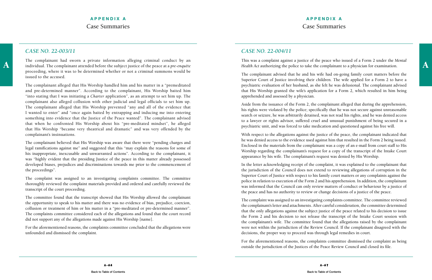A individual. The complainant attended before the subject justice of the peace at a *pre-enquête Health Act* authorizing the police to take the complainant to a physician for examination. The complainant had sworn a private information alleging criminal conduct by an proceeding, where it was to be determined whether or not a criminal summons would be issued to the accused.

The complainant alleged that His Worship handled him and his matter in a "premeditated and pre-determined manner". According to the complainant, His Worship baited him "into stating that I was initiating a *Charter* application", as an attempt to set him up. The complainant also alleged collusion with other judicial and legal officials to set him up. The complainant alleged that His Worship prevented "any and all of the evidence that I wanted to enter" and "once again baited by entrapping and inducing me into entering something into evidence that the Justice of the Peace wanted". The complainant advised that when he confronted His Worship about his "pre-meditated mindset", he alleged that His Worship "became very theatrical and dramatic" and was very offended by the complainant's insinuations.

The complainant believed that His Worship was aware that there were "pending charges and legal ramifications against me" and suggested that this "may explain the reasons for some of his inappropriate, inexcusable and unwarranted actions". According to the complainant, it was "highly evident that the presiding Justice of the peace in this matter already possessed developed biases, prejudices and discriminations towards me prior to the commencement of the proceedings".

The complaint was assigned to an investigating complaints committee. The committee thoroughly reviewed the complaint materials provided and ordered and carefully reviewed the transcript of the court proceeding.

The committee found that the transcript showed that His Worship allowed the complainant the opportunity to speak to his matter and there was no evidence of bias, prejudice, coercion, collusion or treatment of him or his matter in a "pre-meditated or pre-determined manner". The complaints committee considered each of the allegations and found that the court record did not support any of the allegations made against His Worship [name].

For the aforementioned reasons, the complaints committee concluded that the allegations were unfounded and dismissed the complaint.

#### *CASE NO. 22-004/11*

This was a complaint against a justice of the peace who issued of a Form 2 under the *Mental Health Act* authorizing the police to take the complainant to a physician for examination.

For the aforementioned reasons, the complaints committee dismissed the complaint as being outside the jurisdiction of the Justices of the Peace Review Council and closed its file.

The complainant advised that he and his wife had on-going family court matters before the Superior Court of Justice involving their children. The wife applied for a Form 2 to have a psychiatric evaluation of her husband, as she felt he was delusional. The complainant advised that His Worship granted the wife's application for a Form 2, which resulted in him being apprehended and assessed by a physician.

Aside from the issuance of the Form 2, the complainant alleged that during the apprehension, his rights were violated by the police; specifically that he was not secure against unreasonable search or seizure, he was arbitrarily detained, was not read his rights, and he was denied access to a lawyer or rights advisor, suffered cruel and unusual punishment of being secured in a psychiatric unit, and was forced to take medication and questioned against his free will.

With respect to the allegations against the justice of the peace, the complainant indicated that he was denied access to the evidence used against him that resulted in the Form 2 being issued. Enclosed in the materials from the complainant was a copy of an e-mail from court staff to His Worship regarding the complainant's request for a copy of the transcript of the Intake Court appearance by his wife. The complainant's request was denied by His Worship.

In the letter acknowledging receipt of the complaint, it was explained to the complainant that the jurisdiction of the Council does not extend to reviewing allegations of corruption in the Superior Court of Justice with respect to his family court matters or any complaints against the police in relation to execution of the Form 2 and his apprehension. In addition, the complainant was informed that the Council can only review matters of conduct or behaviour by a justice of the peace and has no authority to review or change decisions of a justice of the peace.

The complaint was assigned to an investigating complaints committee. The committee reviewed the complainant's letter and attachments. After careful consideration, the committee determined that the only allegations against the subject justice of the peace related to his decision to issue the Form 2 and his decision to not release the transcript of the Intake Court session with the complainant's wife. The committee found that the allegations raised by the complainant were not within the jurisdiction of the Review Council. If the complainant disagreed with the decisions, the proper way to proceed was through legal remedies in court.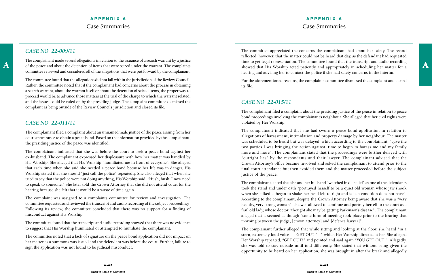A a complement induct several anegations in relation to the issuance of a search warrant. The complaints time to get legal representation. The committee found that the transcript and audio recording of the peace and about The complainant made several allegations in relation to the issuance of a search warrant by a justice of the peace and about the detention of items that were seized under the warrant. The complaints committee reviewed and considered all of the allegations that were put forward by the complainant.

The committee found that the allegations did not fall within the jurisdiction of the Review Council. Rather, the committee noted that if the complainant had concerns about the process in obtaining a search warrant, about the warrant itself or about the detention of seized items, the proper way to proceed would be to advance those matters at the trial of the charge to which the warrant related, and the issues could be ruled on by the presiding judge. The complaint committee dismissed the complaint as being outside of the Review Council's jurisdiction and closed its file.

## *CASE NO. 22-011/11*

The complainant filed a complaint about an unnamed male justice of the peace arising from her court appearance to obtain a peace bond. Based on the information provided by the complainant, the presiding justice of the peace was identified.

The complainant indicated that she was before the court to seek a peace bond against her ex-husband. The complainant expressed her displeasure with how her matter was handled by His Worship. She alleged that His Worship "humiliated me in front of everyone". She alleged that each time when she said she needed a peace bond because her life was in danger, His Worship stated that she should "just call the police" repeatedly. She also alleged that when she tried to say that the police were not doing anything, His Worship said, "Hush, hush, I now need to speak to someone." She later told the Crown Attorney that she did not attend court for the hearing because she felt that it would be a waste of time again.

The complaint was assigned to a complaints committee for review and investigation. The committee requested and reviewed the transcript and audio recording of the subject proceedings. Following its review, the committee concluded that there was no support for a finding of misconduct against His Worship.

The committee found that the transcript and audio recording showed that there was no evidence to suggest that His Worship humiliated or attempted to humiliate the complainant.

The committee noted that a lack of signature on the peace bond application did not impact on her matter as a summons was issued and the defendant was before the court. Further, failure to sign the application was not found to be judicial misconduct.

The committee appreciated the concerns the complainant had about her safety. The record reflected, however, that the matter could not be heard that day, as the defendant had requested time to get legal representation. The committee found that the transcript and audio recording hearing and advising her to contact the police if she had safety concerns in the interim.

For the aforementioned reasons, the complaints committee dismissed the complaint and closed its file.

## *CASE NO. 22-015/11*

The complainant filed a complaint about the presiding justice of the peace in relation to peace bond proceedings involving the complainant's neighbour. She alleged that her civil rights were violated by Her Worship.

The complainant indicated that she had sworn a peace bond application in relation to allegations of harassment, intimidation and property damage by her neighbour. The matter was scheduled to be heard but was delayed, which according to the complainant, "gave the two parties I was bringing the action against, time to begin to harass me and my family more and more". The complainant stated that the proceedings were further delayed with "outright lies" by the respondents and their lawyer. The complainant advised that the Crown Attorney's office became involved and asked the complainant to attend prior to the final court attendance but then avoided them and the matter proceeded before the subject justice of the peace.

The complainant stated that she and her husband "watched in disbelief" as one of the defendants took the stand and under oath "portrayed herself to be a quiet old woman whose jaw shook when she talked… began to shake her head left to right and fake a condition does not have". According to the complainant, despite the Crown Attorney being aware that she was a "very healthy, very strong woman", she was allowed to continue and portray herself to the court as a frail old lady, whose doctor "thought she may be getting Parkinson's disease". The complainant alleged that it seemed as though "some form of meeting took place prior to the hearing that morning between the judge, [crown attorney] and [defence lawyer]".

The complainant further alleged that while sitting and looking at the floor, she heard "in a stern, extremely loud voice — 'GET OUT!'—" which Her Worship directed at her. She alleged Her Worship repeated, "GET OUT!" and pointed and said again "YOU GET OUT!". Allegedly, she was told to stay outside until told differently. She stated that without being given the opportunity to be heard on her application, she was brought in after the break and allegedly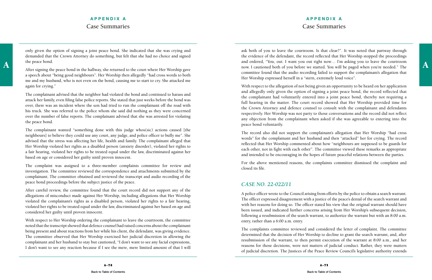## **APPENDIX A** Case Summaries

only given the option of signing a joint peace bond. She indicated that she was crying and demanded that the Crown Attorney do something, but felt that she had no choice and signed the peace bond.

After signing the peace bond in the hallway, she returned to the court where Her Worship gave a speech about "being good neighbours". Her Worship then allegedly "had cross words to both me and my husband, who is not even on the bond, causing me to start to cry. She attacked me again for crying."

The complainant advised that the neighbor had violated the bond and continued to harass and attack her family, even filing false police reports. She stated that just weeks before the bond was over, there was an incident where the son had tried to run the complainant off the road with his truck. She was referred to the police whom she said did nothing as they were concerned over the number of false reports. The complainant advised that she was arrested for violating the peace bond.

The complainant wanted "something done with this judge whos(sic) actions caused [the neighbours] to believe they could use any court, any judge, and police officer to bully me". She advised that the stress was affecting her life, health and family. The complainant alleged that Her Worship violated her rights as a disabled person (anxiety disorder), violated her rights to a fair hearing, violated her rights to be treated equal under the law, discriminated against her based on age or considered her guilty until proven innocent.

A and ordered, "You, out. I want you out right now... I'm asking you to leave the courtroom<br>A fter cigning the paged bord in the hallway che returned to the court where Her Worchip gays ask both of you to leave the courtroom. Is that clear?"*.* It was noted that partway through the evidence of the defendant, the record reflected that Her Worship stopped the proceedings and ordered, "You, out. I want you out right now… I'm asking you to leave the courtroom committee found that the audio recording failed to support the complainant's allegation that Her Worship expressed herself in a "stern, extremely loud voice".

The complaint was assigned to a three-member complaints committee for review and investigation. The committee reviewed the correspondence and attachments submitted by the complainant. The committee obtained and reviewed the transcript and audio recording of the peace bond proceedings before the subject justice of the peace.

After careful review, the committee found that the court record did not support any of the allegations of misconduct made against Her Worship, including allegations that Her Worship violated the complainant's rights as a disabled person, violated her rights to a fair hearing, violated her rights to be treated equal under the law, discriminated against her based on age and considered her guilty until proven innocent.

With respect to Her Worship ordering the complainant to leave the courtroom, the committee noted that the transcript showed that defence counsel had raised concerns about the complainant being present and about reactions from her while his client, the defendant, was giving evidence. The committee observed that Her Worship exercised her judicial discretion in allowing the complainant and her husband to stay but cautioned, "I don't want to see any facial expressions, I don't want to see any reaction because if I see the mere, mere limited amount of that I will

With respect to the allegation of not being given an opportunity to be heard on her application and allegedly only given the option of signing a joint peace bond, the record reflected that the complainant had voluntarily entered into a joint peace bond, thereby not requiring a full hearing in the matter. The court record showed that Her Worship provided time for the Crown Attorney and defence counsel to consult with the complainant and defendants respectively. Her Worship was not party to those conversations and the record did not reflect any objection from the complainant when asked if she was agreeable to entering into the peace bond voluntarily.

The record also did not support the complainant's allegation that Her Worship "had cross words" for the complainant and her husband and then "attacked" her for crying. The record reflected that Her Worship commented about how "neighbours are supposed to be guards for each other, not in fight with each other". The committee viewed these remarks as appropriate and intended to be encouraging in the hopes of future peaceful relations between the parties.

For the above mentioned reasons, the complaints committee dismissed the complaint and closed its file.

#### *CASE NO. 22-022/11*

A police officer wrote to the Council arising from efforts by the police to obtain a search warrant. The officer expressed disagreement with a justice of the peace's denial of the search warrant and with her reasons for doing so. The officer stated his view that the original warrant should have been issued, and indicated further concerns arising from Her Worship's subsequent decision, following a resubmission of the search warrant, to authorize the warrant but with an 8:00 a.m. entry, rather than a 6:00 a.m. entry.

The complaints committee reviewed and considered the letter of complaint. The committee determined that the decision of Her Worship to decline to grant the search warrant, and, after resubmission of the warrant, to then permit execution of the warrant at 8:00 a.m., and her reasons for those decisions, were not matters of judicial conduct. Rather, they were matters of judicial discretion. The Justices of the Peace Review Council's legislative authority extends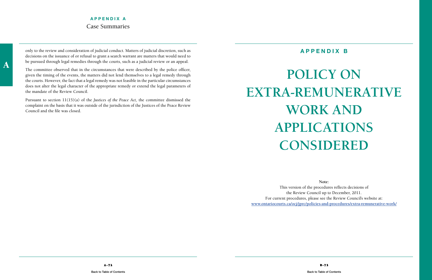<span id="page-39-0"></span>only to the review and consideration of judicial conduct. Matters of judicial discretion, such as decisions on the issuance of or refusal to grant a search warrant are matters that would need to be pursued through legal remedies through the courts, such as a judicial review or an appeal.

The committee observed that in the circumstances that were described by the police officer, given the timing of the events, the matters did not lend themselves to a legal remedy through the courts. However, the fact that a legal remedy was not feasible in the particular circumstances does not alter the legal character of the appropriate remedy or extend the legal parameters of the mandate of the Review Council.

Pursuant to section 11(15)(a) of the *Justices of the Peace Act,* the committee dismissed the complaint on the basis that it was outside of the jurisdiction of the Justices of the Peace Review Council and the file was closed.

## **APPENDIX B**

# **POLICY ON Extra-Remunerative Work And applications considered**

**Note:**  This version of the procedures reflects decisions of the Review Council up to December, 2011. For current procedures, please see the Review Council's website at: **www.ontariocourts.ca/ocj/jprc/policies-and-procedures/extra-remunerative-work/**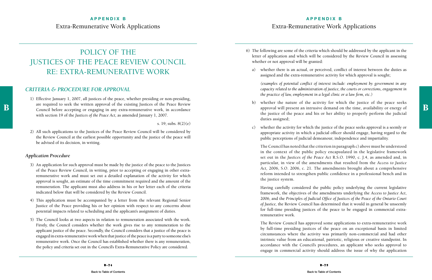## POLICY OF THE JUSTICES OF THE PEACE REVIEW COUNCIL RE: EXTRA-REMUNERATIVE WORK

#### *CRITERIA & PROCEDURE FOR APPROVAL*

B are required to seek the written approval of the existing Justices of the Peace Review approval will present an intrusive demand on the time, availability or energy of approval will present an intrusive demand on the tim 1) Effective January 1, 2007, all justices of the peace, whether presiding or non-presiding, are required to seek the written approval of the existing Justices of the Peace Review with section 19 of the *Justices of the Peace Act,* as amended January 1, 2007.

s. 19; subs. 8(2)(e)

2) All such applications to the Justices of the Peace Review Council will be considered by the Review Council at the earliest possible opportunity and the justice of the peace will be advised of its decision, in writing.

#### *Application Procedure*

whether the nature of the activity for which the justice of the peace seeks approval will present an intrusive demand on the time, availability or energy of the justice of the peace and his or her ability to properly perform the judicial

- 3) An application for such approval must be made by the justice of the peace to the Justices of the Peace Review Council, in writing, prior to accepting or engaging in other extraremunerative work and must set out a detailed explanation of the activity for which approval is sought, an estimate of the time commitment required and the amount of the remuneration. The applicant must also address in his or her letter each of the criteria indicated below that will be considered by the Review Council.
- 4) This application must be accompanied by a letter from the relevant Regional Senior Justice of the Peace providing his or her opinion with respect to any concerns about potential impacts related to scheduling and the applicant's assignment of duties.
- 5) The Council looks at two aspects in relation to remuneration associated with the work. Firstly, the Council considers whether the work gives rise to any remuneration to the applicant justice of the peace. Secondly, the Council considers that a justice of the peace is engaged in extra-remunerative work when that justice of the peace is a party to someone else's remunerative work. Once the Council has established whether there is any remuneration, the policy and criteria set out in the Council's Extra-Remunerative Policy are considered.

6) The following are some of the criteria which should be addressed by the applicant in the letter of application and which will be considered by the Review Council in assessing

- whether or not approval will be granted:
- 

a) whether there is an actual, or perceived, conflict of interest between the duties as assigned and the extra-remunerative activity for which approval is sought;

 *(examples of potential conflict of interest include: employment by government in any capacity related to the administration of justice, the courts or corrections, engagement in the practice of law, employment in a legal clinic or a law firm, etc.)*

- duties assigned;
- 

c) whether the activity for which the justice of the peace seeks approval is a seemly or appropriate activity in which a judicial officer should engage, having regard to the public perceptions of judicial demeanour, independence and impartiality.

 The Council has noted that the criterion in paragraph c) above must be understood in the context of the public policy encapsulated in the legislative framework set out in the *Justices of the Peace Act* R.S.O. 1990, c. J.4, as amended and, in particular, in view of the amendments that resulted from the *Access to Justice Act,* 2006, S.O. 2006, c. 21. The amendments brought about a comprehensive reform intended to strengthen public confidence in a professional bench and in the justice system.

 Having carefully considered the public policy underlying the current legislative framework, the objectives of the amendments underlying the *Access to Justice Act*, 2006, and the *Principles of Judicial Office of Justices of the Peace of the Ontario Court of Justice,* the Review Council has determined that it would in general be unseemly for full-time presiding justices of the peace to be engaged in commercial extraremunerative work.

 The Review Council has approved some applications to extra-remunerative work by full-time presiding justices of the peace on an exceptional basis in limited circumstances where the activity was primarily non-commercial and had other intrinsic value from an educational, patriotic, religious or creative standpoint. In accordance with the Council's procedures, an applicant who seeks approval to engage in commercial activity should address the issue of why the application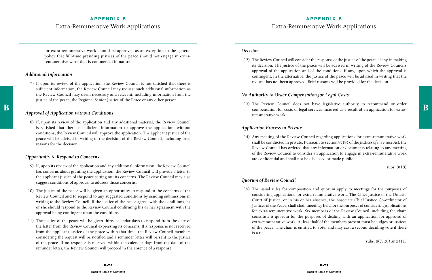## **APPENDIX B** Extra-Remunerative Work Applications

for extra-remunerative work should be approved as an exception to the general policy that full-time presiding justices of the peace should not engage in extraremunerative work that is commercial in nature.

#### *Additional Information*

7) If upon its review of the application, the Review Council is not satisfied that there is sufficient information, the Review Council may request such additional information as the Review Council may deem necessary and relevant, including information from the justice of the peace, the Regional Senior Justice of the Peace or any other person.

#### *Approval of Application without Conditions*

8) If, upon its review of the application and any additional material, the Review Council is satisfied that there is sufficient information to approve the application, without conditions, the Review Council will approve the application. The applicant justice of the peace will be advised in writing of the decision of the Review Council, including brief reasons for the decision.

#### *Opportunity to Respond to Concerns*

 $\mathbf{B}$  and the state of the state of the state of the state of the state of the state of the state of the state of the state of the state of the state of the state of the state of the state of the state of the state of 13) The Review Council does not have legislative authority to recommend or order

- 9) If, upon its review of the application and any additional information, the Review Council has concerns about granting the application, the Review Council will provide a letter to the applicant justice of the peace setting out its concerns. The Review Council may also suggest conditions of approval to address those concerns.
- 10) The justice of the peace will be given an opportunity to respond to the concerns of the Review Council and to respond to any suggested conditions by sending submissions in writing to the Review Council. If the justice of the peace agrees with the conditions, he or she should respond to the Review Council confirming his or her agreement with the approval being contingent upon the conditions.
- 11) The justice of the peace will be given thirty calendar days to respond from the date of the letter from the Review Council expressing its concerns. If a response is not received from the applicant justice of the peace within that time, the Review Council members considering the request will be notified and a reminder letter will be sent to the justice of the peace. If no response is received within ten calendar days from the date of the reminder letter, the Review Council will proceed in the absence of a response.

#### *Decision*

12) The Review Council will consider the response of the justice of the peace, if any, in making its decision. The justice of the peace will be advised in writing of the Review Council's approval of the application and of the conditions, if any, upon which the approval is contingent. In the alternative, the justice of the peace will be advised in writing that the request has not been approved. Brief reasons will be provided for the decision.

#### *No Authority to Order Compensation for Legal Costs*

remunerative work.

#### *Application Process in Private*

14) Any meeting of the Review Council regarding applications for extra-remunerative work shall be conducted in private. Pursuant to section 8(18) of the *Justices of the Peace Act,* the Review Council has ordered that any information or documents relating to any meeting of the Review Council to consider an application to engage in extra-remunerative work

are confidential and shall not be disclosed or made public.

subs. 8(18)

#### *Quorum of Review Council*

15) The usual rules for composition and quorum apply to meetings for the purposes of considering applications for extra-remunerative work. The Chief Justice of the Ontario Court of Justice, or in his or her absence, the Associate Chief Justice Co-ordinator of Justices of the Peace, shall chair meetings held for the purposes of considering applications for extra-remunerative work. Six members of the Review Council, including the chair, constitute a quorum for the purposes of dealing with an application for approval of extra-remunerative work. At least half of the members present must be judges or justices of the peace. The chair is entitled to vote, and may cast a second deciding vote if there

is a tie.

subs. 8(7),(8) and (11)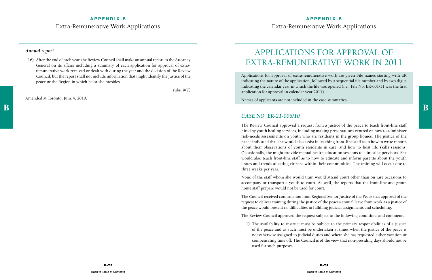## **APPENDIX B** Extra-Remunerative Work Applications

#### *Annual report*

16) After the end of each year, the Review Council shall make an annual report to the Attorney General on its affairs including a summary of each application for approval of extraremunerative work received or dealt with during the year and the decision of the Review Council, but the report shall not include information that might identify the justice of the peace or the Region in which he or she presides.

subs. 9(7)

Amended at Toronto, June 4, 2010.

## Applications for Approval of Extra-Remunerative Work in 2011

Applications for approval of extra-remunerative work are given File names starting with ER indicating the nature of the application, followed by a sequential file number and by two digits indicating the calendar year in which the file was opened (i.e., File No. ER-001/11 was the first application for approval in calendar year 2011).

Names of applicants are not included in the case summaries.

#### *CASE NO. ER-21-006/10*

The Review Council approved a request from a justice of the peace to teach front-line staff hired by youth healing services, including making presentations centred on how to administer risk-needs assessments on youth who are residents in the group homes. The justice of the peace indicated that she would also assist in teaching front-line staff as to how to write reports about their observations of youth residents in care, and how to host life skills sessions. Occasionally, she might provide mental health education sessions to clinical supervisors. She would also teach front-line staff as to how to educate and inform parents about the youth issues and trends affecting citizens within their communities. The training will occur one to three weeks per year.

None of the staff whom she would train would attend court other than on rare occasions to accompany or transport a youth to court. As well, the reports that the front-line and group home staff prepare would not be used for court.

The Council received confirmation from Regional Senior Justice of the Peace that approval of the request to deliver training during the justice of the peace's annual leave from work as a justice of the peace would present no difficulties in fulfilling judicial assignments and scheduling.

The Review Council approved the request subject to the following conditions and comments:

1) The availability to instruct must be subject to the primary responsibilities of a justice of the peace and as such must be undertaken at times when the justice of the peace is not otherwise assigned to judicial duties and where she has requested either vacation or compensating time off. The Council is of the view that non-presiding days should not be

used for such purposes.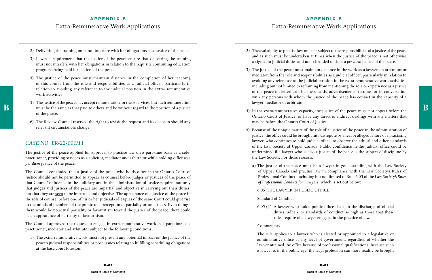## **APPENDIX B** Extra-Remunerative Work Applications

- 2) Delivering the training must not interfere with her obligations as a justice of the peace.
- 3) It was a requirement that the justice of the peace ensure that delivering the training must not interfere with her obligations in relation to the requisite continuing education programs being held for justices of the peace.
- 4) The justice of the peace must maintain distance in the completion of her teaching of this course from the role and responsibilities as a judicial officer, particularly in relation to avoiding any reference to the judicial position in the extra- remunerative work activities.
- A) In the extra-remunerative capacity, the justice of the peace must not appear before the same as that paid to others and be without regard to the position of a justice of the extra-remunerative capacity, the justice of t 5) The justice of the peace may accept remuneration for these services, but such remuneration must be the same as that paid to others and be without regard to the position of a justice of the peace.
	- 6) The Review Council reserved the right to revisit the request and its decision should any relevant circumstances change.

#### *CASE NO. ER-22-001/11*

The justice of the peace applied for approval to practise law on a part-time basis as a solepractitioner, providing services as a solicitor, mediator and arbitrator while holding office as a *per diem* justice of the peace.

The Council concluded that a justice of the peace who holds office in the Ontario Court of Justice should not be permitted to appear as counsel before judges or justices of the peace of that Court. Confidence in the judiciary and in the administration of justice requires not only that judges and justices of the peace are impartial and objective in carrying out their duties, but that they are seen to be impartial and objective. The appearance of a justice of the peace in the role of counsel before one of his or her judicial colleagues of the same Court could give rise in the minds of members of the public to a perception of partiality or unfairness. Even though there would be no actual partiality or favouritism toward the justice of the peace, there could be an appearance of partiality or favouritism.

The Council approved the request to engage in extra-remunerative work as a part-time sole practitioner, mediator and arbitrator subject to the following conditions:

1) The extra-remunerative work must not present any potential impact on the justice of the peace's judicial responsibilities or pose issues relating to fulfilling scheduling obligations at the base court location.

2) The availability to practise law must be subject to the responsibilities of a justice of the peace and as such must be undertaken at times when the justice of the peace is not otherwise assigned to judicial duties and not scheduled to sit as a *per diem* justice of the peace.

3) The justice of the peace must maintain distance in the work as a lawyer, an arbitrator or mediator, from the role and responsibilities as a judicial officer, particularly in relation to avoiding any reference to the judicial position in the extra remunerative work activities, including but not limited to refraining from mentioning the role or experience as a justice of the peace on letterhead, business cards, advertisements, resumes or in conversation with any persons with whom the justice of the peace has contact in the capacity of a

Ontario Court of Justice, or have any direct or indirect dealings with any matters that

5) Because of the unique nature of the role of a justice of the peace in the administration of justice, the office could be brought into disrepute by a real or alleged failure of a practising lawyer, who continues to hold judicial office, to observe the ethical and other standards of the Law Society of Upper Canada. Public confidence in the judicial office could be undermined if a lawyer who is also a justice of the peace is the subject of discipline by

- 
- lawyer, mediator or arbitrator.
- may be before the Ontario Court of Justice.
- the Law Society. For those reasons:
	- *of Professional Conduct for Lawyers,* which is set out below:

a) The justice of the peace must be a lawyer in good standing with the Law Society of Upper Canada and practise law in compliance with the Law Society's Rules of Professional Conduct, including but not limited to Rule 6.05 of the *Law Society's Rules* 

#### 6.05 THE LAWYER IN PUBLIC OFFICE

#### Standard of Conduct

6.05 (1) A lawyer who holds public office shall, in the discharge of official duties, adhere to standards of conduct as high as those that these rules require of a lawyer engaged in the practice of law.

#### Commentary

The rule applies to a lawyer who is elected or appointed to a legislative or administrative office at any level of government, regardless of whether the lawyer attained the office because of professional qualifications. Because such a lawyer is in the public eye, the legal profession can more readily be brought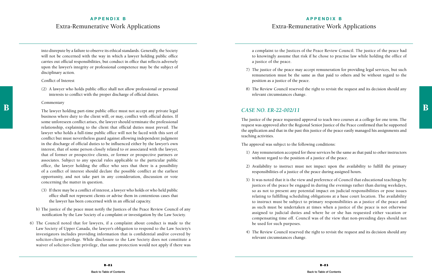## **APPENDIX B** Extra-Remunerative Work Applications

into disrepute by a failure to observe its ethical standards. Generally, the Society will not be concerned with the way in which a lawyer holding public office carries out official responsibilities, but conduct in office that reflects adversely upon the lawyer's integrity or professional competence may be the subject of disciplinary action.

#### Conflict of Interest

(2) A lawyer who holds public office shall not allow professional or personal interests to conflict with the proper discharge of official duties.

#### Commentary

 $B$  and the lawyer holding part-time public office must not accept any private legal CASE NO. ER-22-002/11 business where duty to the client will, or may, conflict with official duties. If some unforeseen conflict arises, the lawyer should terminate the professional relationship, explaining to the client that official duties must prevail. The lawyer who holds a full-time public office will not be faced with this sort of conflict but must nevertheless guard against allowing independent judgment in the discharge of official duties to be influenced either by the lawyer's own interest, that of some person closely related to or associated with the lawyer, that of former or prospective clients, or former or prospective partners or associates. Subject to any special rules applicable to the particular public office, the lawyer holding the office who sees that there is a possibility of a conflict of interest should declare the possible conflict at the earliest opportunity, and not take part in any consideration, discussion or vote concerning the matter in question.

- (3) If there may be a conflict of interest, a lawyer who holds or who held public office shall not represent clients or advise them in contentious cases that the lawyer has been concerned with in an official capacity.
- b) The justice of the peace must notify the Justices of the Peace Review Council of any notification by the Law Society of a complaint or investigation by the Law Society.
- 6) The Council noted that for lawyers, if a complaint about conduct is made to the Law Society of Upper Canada, the lawyer's obligation to respond to the Law Society's investigators includes providing information that is confidential and/or covered by solicitor-client privilege. While disclosure to the Law Society does not constitute a waiver of solicitor-client privilege, that same protection would not apply if there was

a complaint to the Justices of the Peace Review Council. The justice of the peace had to knowingly assume that risk if he chose to practise law while holding the office of a justice of the peace.

7) The justice of the peace may accept remuneration for providing legal services, but such remuneration must be the same as that paid to others and be without regard to the

- position as a justice of the peace.
- relevant circumstances change.

8) The Review Council reserved the right to revisit the request and its decision should any

#### *CASE NO. ER-22-002/11*

The justice of the peace requested approval to teach two courses at a college for one term. The request was approved after the Regional Senior Justice of the Peace confirmed that he supported the application and that in the past this justice of the peace easily managed his assignments and teaching activities.

The approval was subject to the following conditions:

1) Any remuneration accepted for these services be the same as that paid to other instructors

2) Availability to instruct must not impact upon the availability to fulfill the primary

- without regard to the position of a justice of the peace.
- responsibilities of a justice of the peace during assigned hours.
- be used for such purposes.
- relevant circumstances change.

3) It was noted that it is the view and preference of Council that educational teachings by justices of the peace be engaged in during the evenings rather than during weekdays, so as not to present any potential impact on judicial responsibilities or pose issues relating to fulfilling scheduling obligations at a base court location. The availability to instruct must be subject to primary responsibilities as a justice of the peace and as such must be undertaken at times when a justice of the peace is not otherwise assigned to judicial duties and where he or she has requested either vacation or compensating time off. Council was of the view that non-presiding days should not

4) The Review Council reserved the right to revisit the request and its decision should any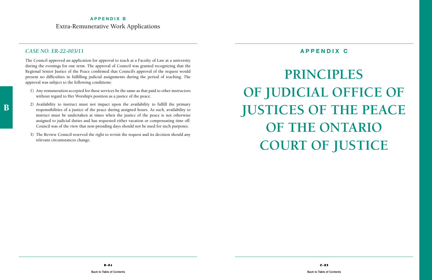## <span id="page-45-0"></span>*CASE NO. ER-22-003/11*

The Council approved an application for approval to teach at a Faculty of Law at a university during the evenings for one term. The approval of Council was granted recognizing that the Regional Senior Justice of the Peace confirmed that Council's approval of the request would present no difficulties in fulfilling judicial assignments during the period of teaching. The approval was subject to the following conditions:

- 1) Any remuneration accepted for these services be the same as that paid to other instructors without regard to Her Worship's position as a justice of the peace.
- 2) Availability to instruct must not impact upon the availability to fulfill the primary responsibilities of a justice of the peace during assigned hours. As such, availability to instruct must be undertaken at times when the justice of the peace is not otherwise assigned to judicial duties and has requested either vacation or compensating time off. Council was of the view that non-presiding days should not be used for such purposes.
- 3) The Review Council reserved the right to revisit the request and its decision should any relevant circumstances change.

## **APPENDIX C**

# **PRINCIPLES OF JUDICIAL OFFICE OF JUSTICES OF THE PEACE OF THE ONTARIO COURT OF JUSTICE**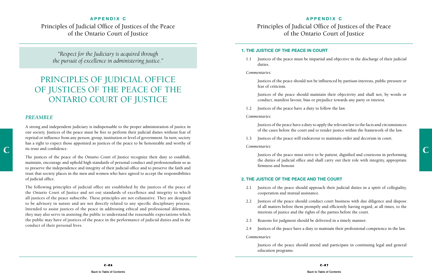## **APPENDIX C** Principles of Judicial Office of Justices of the Peace of the Ontario Court of Justice

#### **APPENDIX C**

Principles of Judicial Office of Justices of the Peace of the Ontario Court of Justice

#### **1. THE JUSTICE OF THE PEACE IN COURT**

1.1 Justices of the peace must be impartial and objective in the discharge of their judicial

duties.

#### *Commentaries:*

Justices of the peace should not be influenced by partisan interests, public pressure or

fear of criticism.

 Justices of the peace should maintain their objectivity and shall not, by words or conduct, manifest favour, bias or prejudice towards any party or interest.

1.2 Justices of the peace have a duty to follow the law.

#### *Commentaries:*

 Justices of the peace have a duty to apply the relevant law to the facts and circumstances of the cases before the court and to render justice within the framework of the law.

1.3 Justices of the peace will endeavour to maintain order and decorum in court.

*Commentaries:*

 Justices of the peace must strive to be patient, dignified and courteous in performing the duties of judicial office and shall carry out their role with integrity, appropriate

2.1 Justices of the peace should approach their judicial duties in a spirit of collegiality,

firmness and honour.

#### **2. THE JUSTICE OF THE PEACE AND THE COURT**

tis trust and confidence. A strong and independent judiciary is indispensable to the proper administration of justice in our society. Justices of the peace must be free to perform their judicial duties without fear of reprisal or influence from any person, group, institution or level of government. In turn, society has a right to expect those appointed as justices of the peace to be honourable and worthy of its trust and confidence.

> 2.2 Justices of the peace should conduct court business with due diligence and dispose of all matters before them promptly and efficiently having regard, at all times, to the

- cooperation and mutual assistance.
- interests of justice and the rights of the parties before the court.
- 2.3 Reasons for judgment should be delivered in a timely manner.
- 

2.4 Justices of the peace have a duty to maintain their professional competence in the law.

*Commentaries:*

Justices of the peace should attend and participate in continuing legal and general

education programs.

*"Respect for the Judiciary is acquired through the pursuit of excellence in administering justice."*

## PRINCIPLES OF JUDICIAL OFFICE of Justices of the Peace of the ONTARIO COURT OF JUSTICE

#### *Preamble*

The justices of the peace of the Ontario Court of Justice recognize their duty to establish, maintain, encourage and uphold high standards of personal conduct and professionalism so as to preserve the independence and integrity of their judicial office and to preserve the faith and trust that society places in the men and women who have agreed to accept the responsibilities of judicial office.

The following principles of judicial office are established by the justices of the peace of the Ontario Court of Justice and set out standards of excellence and integrity to which all justices of the peace subscribe. These principles are not exhaustive. They are designed to be advisory in nature and are not directly related to any specific disciplinary process. Intended to assist justices of the peace in addressing ethical and professional dilemmas, they may also serve in assisting the public to understand the reasonable expectations which the public may have of justices of the peace in the performance of judicial duties and in the conduct of their personal lives.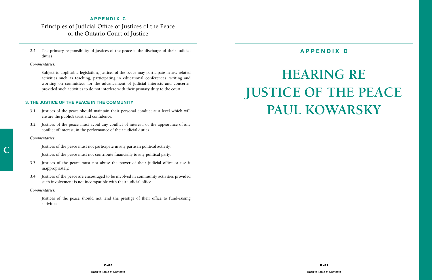C

## <span id="page-47-0"></span>**APPENDIX C** Principles of Judicial Office of Justices of the Peace of the Ontario Court of Justice

2.5 The primary responsibility of justices of the peace is the discharge of their judicial duties.

#### *Commentaries:*

 Subject to applicable legislation, justices of the peace may participate in law related activities such as teaching, participating in educational conferences, writing and working on committees for the advancement of judicial interests and concerns, provided such activities to do not interfere with their primary duty to the court.

#### **3. THE JUSTICE OF THE PEACE IN THE COMMUNITY**

# **Hearing Re Justice of the Peace** PAUL KOWARSKY

- 3.1 Justices of the peace should maintain their personal conduct at a level which will ensure the public's trust and confidence.
- 3.2 Justices of the peace must avoid any conflict of interest, or the appearance of any conflict of interest, in the performance of their judicial duties.

#### *Commentaries:*

Justices of the peace must not participate in any partisan political activity.

Justices of the peace must not contribute financially to any political party.

- 3.3 Justices of the peace must not abuse the power of their judicial office or use it inappropriately.
- 3.4 Justices of the peace are encouraged to be involved in community activities provided such involvement is not incompatible with their judicial office.

#### *Commentaries:*

 Justices of the peace should not lend the prestige of their office to fund-raising activities.

## **APPENDIX D**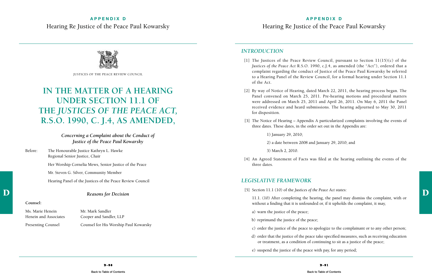## **APPENDIX D** Hearing Re Justice of the Peace Paul Kowarsky



## **IN THE MATTER OF A HEARING UNDER SECTION 11.1 OF THE** *JUSTICES OF THE PEACE ACT,* **R.S.O. 1990, c. J.4, as amended,**

*Concerning a Complaint about the Conduct of Justice of the Peace Paul Kowarsky*

Before: The Honourable Justice Kathryn L. Hawke Regional Senior Justice, Chair

Her Worship Cornelia Mews, Senior Justice of the Peace

Mr. Steven G. Silver, Community Member

[1] The Justices of the Peace Review Council, pursuant to Section  $11(15)(c)$  of the *Justices of the Peace Act* R.S.O. 1990, c.J.4, as amended (the "Act"), ordered that a complaint regarding the conduct of Justice of the Peace Paul Kowarsky be referred to a Hearing Panel of the Review Council, for a formal hearing under Section 11.1

Hearing Panel of the Justices of the Peace Review Council

#### *Reasons for Decision*

#### **Counsel:**

Ms. Marie Henein Mr. Mark Sandler

Henein and Associates Cooper and Sandler, LLP Presenting Counsel Counsel for His Worship Paul Kowarsky

#### *Introduction*

 $[5]$  Section 11.1 (10) of the Justices of the Peace Act states:<br>
Reasons for Decision 11.1. (10) After completing the hearing, the panel may dismiss the complaint, with or without a finding that it is unfounded or, if it upholds the complaint, it may,

[2] By way of Notice of Hearing, dated March 22, 2011, the hearing process began. The Panel convened on March 25, 2011. Pre-hearing motions and procedural matters were addressed on March 25, 2011 and April 26, 2011. On May 6, 2011 the Panel received evidence and heard submissions. The hearing adjourned to May 30, 2011

- of the Act.
- for disposition.
- three dates. These dates, in the order set out in the Appendix are:

[3] The Notice of Hearing – Appendix A particularized complaints involving the events of

1) January 29, 2010;

2) a date between 2008 and January 29, 2010; and

3) March 2, 2010.

[4] An Agreed Statement of Facts was filed at the hearing outlining the events of the

three dates.

## *Legislative Framework*

[5] Section 11.1 (10) of the *Justices of the Peace Act* states:

c) order the justice of the peace to apologize to the complainant or to any other person;

- a) warn the justice of the peace;
- b) reprimand the justice of the peace;
- 
- 
- e) suspend the justice of the peace with pay, for any period;

d) order that the justice of the peace take specified measures, such as receiving education or treatment, as a condition of continuing to sit as a justice of the peace;

[Back to Table of Contents](http://www.ontariocourts.ca/ocj/jprc/) **Back to Table of Contents** Back to Table of Contents **Back to Table of Contents** 

Justices of the Peace Review Council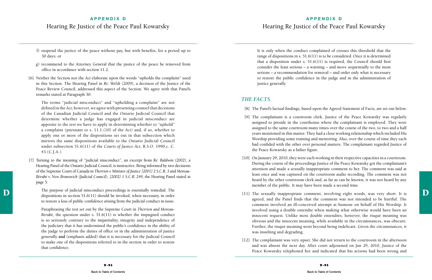## **APPENDIX D** Hearing Re Justice of the Peace Paul Kowarsky

- f) suspend the justice of the peace without pay, but with benefits, for a period up to 30 days; or
- g) recommend to the Attorney General that the justice of the peace be removed from office in accordance with section 11.2.
- [6] Neither the Section nor the *Act* elaborate upon the words "upholds the complaint" used in this Section. The Hearing Panel in *Re: Welsh (2009),* a decision of the Justice of the Peace Review Council, addressed this aspect of the Section. We agree with that Panel's remarks stated at Paragraph 30:

The purpose of judicial misconduct proceedings is essentially remedial. The [11] The sexually inappropriate comment, involving eight words, was very short. It is The purpose of judicial misconduct proceedings is essentially remedial. The dispositions in section 51.6(11) should be invoked, when necessary, in order to restore a loss of public confidence arising from the judicial conduct in issue.

The terms "judicial misconduct" and "upholding a complaint" are not defined in the *Act;* however, we agree with presenting counsel that decisions of the Canadian Judicial Council and the Ontario Judicial Council that determine whether a judge has engaged in judicial misconduct are apposite to the test we have to apply in determining whether to "uphold" a complaint (pursuant to s. 11.1.(10) of the *Act)* and, if so, whether to apply one or more of the dispositions set out in that subsection which mirrors the same dispositions available to the Ontario Judicial Council under subsection 51.6(11) of the *Courts of Justice Act,* R.S.O. 1990,c. C. 43 (C.J.A.).

[7] Turning to the meaning of "judicial misconduct", an excerpt from *Re: Baldwin (2002),* a Hearing Panel of the Ontario Judicial Council, is instructive. Being informed by two decisions of the Supreme Court of Canada in *Therrien v. Minister of Justice [2001] 2 S.C.R. 3* and *Moreau-Bérubé v. New Brunswick (Judicial Council), [2002] 1 S.C.R. 249,* the Hearing Panel stated at page 5:

[10] On January 29, 2010, they were each working in their respective capacities in a courtroom. During the course of the proceedings Justice of the Peace Kowarsky got the complainant's attention and made a sexually inappropriate comment to her. The comment was said at least once and was captured on the courtroom audio recording. The comment was not heard by the other courtroom clerk and, as far as can be known, it was not heard by any

Paraphrasing the test set out by the Supreme Court in *Therrien and Moreau-Bérubé,* the question under s. 51.6(11) is whether the impugned conduct is so seriously contrary to the impartiality, integrity and independence of the judiciary that it has undermined the public's confidence in the ability of the judge to perform the duties of office or in the administration of justice generally **and** (emphasis added) that it is necessary for the Judicial Council to make one of the dispositions referred to in the section in order to restore that confidence.

[12] The complainant was very upset. She did not return to the courtroom in the afternoon and was absent the next day. After court adjourned on Jan 29, 2010, Justice of the Peace Kowarsky telephoned her and indicated that his actions had been wrong and

It is only when the conduct complained of crosses this threshold that the range of dispositions in s. 51.6(11) is to be considered. Once it is determined that a disposition under s.  $51.6(11)$  is required, the Council should first consider the least serious – a warning – and move sequentially to the most serious – a recommendation for removal – and order only what is necessary to restore the public confidence in the judge and in the administration of justice generally.

#### *The Facts*

[8] The Panel's factual findings, based upon the Agreed Statement of Facts, are set out below.

[9] The complainant is a courtroom clerk. Justice of the Peace Kowarsky was regularly assigned to preside in the courthouse where the complainant is employed. They were assigned to the same courtroom many times over the course of the two, to two and a half years mentioned in this matter. They had a close working relationship which included His Worship providing some training and mentoring. Also, over the course of time they each had confided with the other over personal matters. The complainant regarded Justice of

- 
- the Peace Kowarsky as a father figure.
- member of the public. It may have been made a second time.
- was insulting and degrading.
- 

agreed, and the Panel finds that the comment was not intended to be hurtful. The comment involved an ill-conceived attempt at humour on behalf of His Worship. It involved using a double entendre when making what otherwise would have been an innocent request. Unlike most double entendres, however, the risqué meaning was obvious and the innocent meaning, while available in the circumstances, was obscure. Further, the risqué meaning went beyond being indelicate. Given the circumstances, it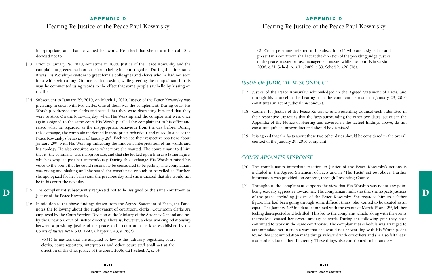## **APPENDIX D** Hearing Re Justice of the Peace Paul Kowarsky

inappropriate, and that he valued her work. He asked that she return his call. She decided not to.

- [13] Prior to January 29, 2010, sometime in 2008, Justice of the Peace Kowarsky and the complainant greeted each other prior to being in court together. During this timeframe it was His Worship's custom to greet female colleagues and clerks who he had not seen for a while with a hug. On one such occasion, while greeting the complainant in this way, he commented using words to the effect that some people say hello by kissing on the lips.
- [14] Subsequent to January 29, 2010, on March 1, 2010, Justice of the Peace Kowarsky was presiding in court with two clerks. One of them was the complainant. During court His Worship addressed the clerks and stated that they were distracting him and that they were to stop. On the following day, when His Worship and the complainant were once again assigned to the same court His Worship called the complainant to his office and raised what he regarded as the inappropriate behaviour from the day before. During this exchange, the complainant denied inappropriate behaviour and raised Justice of the Peace Kowarsky's behaviour of January 29<sup>th</sup>. Each voiced their respective positions about January 29<sup>th</sup>, with His Worship indicating the innocent interpretation of his words and his apology. He also enquired as to what more she wanted. The complainant told him that it (the comment) was inappropriate, and that she looked upon him as a father figure, which is why it upset her tremendously. During this exchange His Worship raised his voice to the point that he could reasonably be considered to be yelling. The complainant was crying and shaking and she stated she wasn't paid enough to be yelled at. Further, she apologized for her behaviour the previous day and she indicated that she would not be in his court the next day.
- The complainant subsequently requested not to be assigned to the same courtroom as<br>
Justice of the peace including Justice of the Peace Kowarsky. Justice of the Peace Kowarsky.
	- [16] In addition to the above findings drawn from the Agreed Statement of Facts, the Panel notes the following about the employment of courtroom clerks. Courtroom clerks are employed by the Court Services Division of the Ministry of the Attorney General and not by the Ontario Court of Justice directly. There is, however, a clear working relationship between a presiding justice of the peace and a courtroom clerk as established by the *Courts of Justice Act* R.S.O. 1990, Chapter C.43, s. 76(2).

[17] Justice of the Peace Kowarsky acknowledged in the Agreed Statement of Facts, and through his counsel at the hearing, that the comment he made on January 29, 2010

[18] Counsel for Justice of the Peace Kowarsky and Presenting Counsel each submitted in their respective capacities that the facts surrounding the other two dates, set out in the Appendix of the Notice of Hearing and covered in the factual findings above, do not

76.(1) In matters that are assigned by law to the judiciary, registrars, court clerks, court reporters, interpreters and other court staff shall act at the direction of the chief justice of the court. 2006, c.21,Sched. A, s. 14.

(2) Court personnel referred to in subsection (1) who are assigned to and present in a courtroom shall act at the direction of the presiding judge, justice of the peace, master or case management master while the court is in session. 2006, c.21, Sched. A, s.14; 2009, c.33, Sched.2, s.20 (16).

## *Issue of Judicial Misconduct*

- constitutes an act of judicial misconduct.
- constitute judicial misconduct and should be dismissed.
- context of the January 29, 2010 complaint.

[19] It is agreed that the facts about these two other dates should be considered in the overall

## *Complainant's Response*

[20] The complainant's immediate reaction to Justice of the Peace Kowarsky's actions is included in the Agreed Statement of Facts and in "The Facts" set out above. Further

- information was provided, on consent, through Presenting Counsel.
- 

[21] Throughout, the complainant supports the view that His Worship was not at any point being sexually aggressive toward her. The complainant indicates that she respects justices of the peace, including Justice of the Peace Kowarsky. She regarded him as a father figure. She had been going through some difficult times. She wanted to be treated as an equal. The January 29<sup>th</sup> incident, combined with the events of March  $1<sup>st</sup>$  and  $2<sup>nd</sup>$ , left her feeling disrespected and belittled. This led to the complaint which, along with the events themselves, caused her severe anxiety at work. During the following year they both continued to work in the same courthouse. The complainant's schedule was arranged to accommodate her in such a way that she would not be working with His Worship. She found this accommodation made things awkward with coworkers and she also felt that it made others look at her differently. These things also contributed to her anxiety.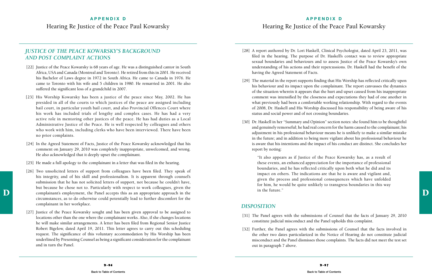#### **APPENDIX D**

## Hearing Re Justice of the Peace Paul Kowarsky

## *Justice of the Peace Kowarsky's Background and Post Complaint Actions*

- [22] Justice of the Peace Kowarsky is 68 years of age. He was a distinguished cantor in South Africa, USA and Canada (Montreal and Toronto). He retired from this in 2001. He received his Bachelor of Laws degree in 1972 in South Africa. He came to Canada in 1976. He came to Toronto with his wife and 5 children in 1980. He remarried in 2001. He also suffered the significant loss of a grandchild in 2007.
- [23] His Worship Kowarsky has been a justice of the peace since May, 2002. He has presided in all of the courts to which justices of the peace are assigned including bail court, in particular youth bail court, and also Provincial Offences Court where his work has included trials of lengthy and complex cases. He has had a very active role in mentoring other justices of the peace. He has had duties as a Local Administrative Justice of the Peace. He is well respected by colleagues and others who work with him, including clerks who have been interviewed. There have been no prior complaints.
- [24] In the Agreed Statement of Facts, Justice of the Peace Kowarsky acknowledged that his comment on January 29, 2010 was completely inappropriate, unwelcomed, and wrong. He also acknowledged that it deeply upset the complainant.
- [25] He made a full apology to the complainant in a letter that was filed in the hearing.
- D complainant's employment, the Panel accepts this as an appropriate approach in the future." [26] Two unsolicited letters of support from colleagues have been filed. They speak of his integrity, and of his skill and professionalism. It is apparent through counsel's submission that he has not solicited letters of support, not because he couldn't have, but because he chose not to. Particularly with respect to work colleagues, given the circumstances, as to do otherwise could potentially lead to further discomfort for the complainant in her workplace.
	- [27] Justice of the Peace Kowarsky sought and has been given approval to be assigned to locations other than the one where the complainant works. Also, if she changes locations he will make similar arrangements. A letter has been filed from Regional Senior Justice Robert Bigelow, dated April 19, 2011. This letter agrees to carry out this scheduling request. The significance of this voluntary accommodation by His Worship has been underlined by Presenting Counsel as being a significant consideration for the complainant and in turn the Panel.

[28] A report authored by Dr. Lori Haskell, Clinical Psychologist, dated April 23, 2011, was filed in the hearing. The purpose of Dr. Haskell's contact was to review appropriate sexual boundaries and behaviours and to assess Justice of the Peace Kowarsky's own understanding of his actions and their repercussions. Dr. Haskell had the benefit of the

[29] The material in the report supports finding that His Worship has reflected critically upon his behaviour and its impact upon the complainant. The report canvasses the dynamics of the situation wherein it appears that the hurt and upset caused from his inappropriate comment was intensified by the closeness and expectations they had of one another in what previously had been a comfortable working relationship. With regard to the events of 2008, Dr. Haskell and His Worship discussed his responsibility of being aware of his

- having the Agreed Statement of Facts.
- status and social power and of not crossing boundaries.
- report by noting:

[30] Dr. Haskell in her "Summary and Opinion" section notes: she found him to be thoughtful and genuinely remorseful; he had real concern for the harm caused to the complainant; his adjustment in his professional behaviour means he is unlikely to make a similar mistake in the future; and in addition to being more vigilant about his professional behaviour he is aware that his intentions and the impact of his conduct are distinct. She concludes her

"It also appears as if Justice of the Peace Kowarsky has, as a result of these events, an enhanced appreciation for the importance of professional boundaries, and he has reflected critically upon both what he did and its impact on others. The indications are that he is aware and vigilant and, given the process and professional consequences which have unfolded for him, he would be quite unlikely to transgress boundaries in this way in the future."

#### *Disposition*

[31] The Panel agrees with the submissions of Counsel that the facts of January 29, 2010

- constitute judicial misconduct and the Panel upholds this complaint.
- out in paragraph 7 above.

[32] Further, the Panel agrees with the submissions of Counsel that the facts involved in the other two dates particularized in the Notice of Hearing do not constitute judicial misconduct and the Panel dismisses those complaints. The facts did not meet the test set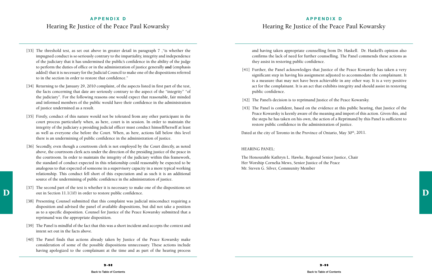## **APPENDIX D** Hearing Re Justice of the Peace Paul Kowarsky

- [33] The threshold test, as set out above in greater detail in paragraph 7, "is whether the impugned conduct is so seriously contrary to the impartiality, integrity and independence of the judiciary that it has undermined the public's confidence in the ability of the judge to perform the duties of office or in the administration of justice generally **and** (emphasis added) that it is necessary for the Judicial Council to make one of the dispositions referred to in the section in order to restore that confidence."
- [34] Returning to the January 29, 2010 complaint, of the aspects listed in first part of the test, the facts concerning that date are seriously contrary to the aspect of the "integrity" "of the judiciary". For the following reasons one would expect that reasonable, fair minded and informed members of the public would have their confidence in the administration of justice undermined as a result.
- [35] Firstly, conduct of this nature would not be tolerated from any other participant in the court process particularly when, as here, court is in session. In order to maintain the integrity of the judiciary a presiding judicial officer must conduct himself/herself at least as well as everyone else before the Court. When, as here, actions fall below this level there is an undermining of public confidence in the administration of justice.
- [36] Secondly, even though a courtroom clerk is not employed by the Court directly, as noted above, the courtroom clerk acts under the direction of the presiding justice of the peace in the courtroom. In order to maintain the integrity of the judiciary within this framework, the standard of conduct expected in this relationship could reasonably be expected to be analogous to that expected of someone in a supervisory capacity in a more typical working relationship. This conduct fell short of this expectation and as such it is an additional source of the undermining of public confidence in the administration of justice.
- D<br>
out in Section 11.1(10) in order to restore public confidence. [37] The second part of the test is whether it is necessary to make one of the dispositions set
	- [38] Presenting Counsel submitted that this complaint was judicial misconduct requiring a disposition and advised the panel of available dispositions, but did not take a position as to a specific disposition. Counsel for Justice of the Peace Kowarsky submitted that a reprimand was the appropriate disposition.
	- [39] The Panel is mindful of the fact that this was a short incident and accepts the context and intent set out in the facts above.
	- [40] The Panel finds that actions already taken by Justice of the Peace Kowarsky make consideration of some of the possible dispositions unnecessary. These actions include having apologized to the complainant at the time and as part of the hearing process

and having taken appropriate counselling from Dr. Haskell. Dr. Haskell's opinion also confirms the lack of need for further counselling. The Panel commends these actions as they assist in restoring public confidence.

[41] Further, the Panel acknowledges that Justice of the Peace Kowarsky has taken a very significant step in having his assignment adjusted to accommodate the complainant. It is a measure that may not have been achievable in any other way. It is a very positive act for the complainant. It is an act that exhibits integrity and should assist in restoring

- public confidence.
- [42] The Panel's decision is to reprimand Justice of the Peace Kowarsky.
- restore public confidence in the administration of justice.

Dated at the city of Toronto in the Province of Ontario, May 30<sup>th</sup>, 2011.

[43] The Panel is confident, based on the evidence at this public hearing, that Justice of the Peace Kowarsky is keenly aware of the meaning and import of this action. Given this, and the steps he has taken on his own, the action of a Reprimand by this Panel is sufficient to

#### HEARING PANEL:

The Honourable Kathryn L. Hawke, Regional Senior Justice, Chair Her Worship Cornelia Mews, Senior Justice of the Peace Mr. Steven G. Silver, Community Member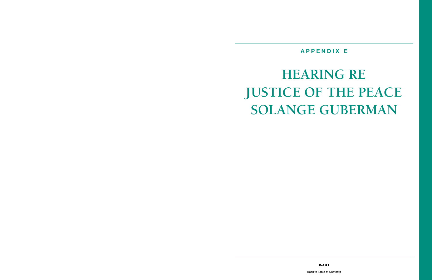## **APPENDIX E**

# <span id="page-53-0"></span>**HEARING RE Justice of the Peace SOLANGE GUBERMAN**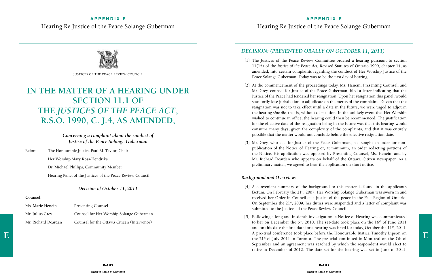#### **APPENDIX E**



#### **APPENDIX E**

Hearing Re Justice of the Peace Solange Guberman

## **IN THE MATTER OF A HEARING UNDER SECTION 11.1 OF THE** *JUSTICES OF THE PEACE ACT***, R.S.O. 1990, c. J.4, as amended,**

*Concerning a complaint about the conduct of Justice of the Peace Solange Guberman*

Before: The Honourable Justice Paul M. Taylor, Chair Her Worship Mary Ross-Hendriks Dr. Michael Phillips, Community Member Hearing Panel of the Justices of the Peace Review Council

#### *Decision of October 11, 2011*

#### **Counsel:**

| Ms. Marie Henein    | <b>Presenting Counsel</b>                   |
|---------------------|---------------------------------------------|
| Mr. Julius Grey     | Counsel for Her Worship Solange Guberman    |
| Mr. Richard Dearden | Counsel for the Ottawa Citizen (Intervenor) |

## *DECISION: (presented orally on October 11, 2011)*

[1] The Justices of the Peace Review Committee ordered a hearing pursuant to section 11(15) of the *Justice of the Peace Act,* Revised Statutes of Ontario 1990, chapter 14, as amended, into certain complaints regarding the conduct of Her Worship Justice of the

[3] Mr. Grey, who acts for Justice of the Peace Guberman, has sought an order for nonpublication of the Notice of Hearing or, at minimum, an order redacting portions of the Notice. His application was opposed by Presenting Counsel, Ms. Henein, and by Mr. Richard Dearden who appears on behalf of the Ottawa Citizen newspaper. As a

[2] At the commencement of the proceedings today, Ms. Henein, Presenting Counsel, and Mr. Grey, counsel for Justice of the Peace Guberman, filed a letter indicating that the Justice of the Peace had tendered her resignation. Upon her resignation this panel, would statutorily lose jurisdiction to adjudicate on the merits of the complaints. Given that the resignation was not to take effect until a date in the future, we were urged to adjourn the hearing *sine die,* that is, without disposition. In the unlikely event that Her Worship wished to continue in office, the hearing could then be recommenced. The justification for the effective date of the resignation being in the future was that this hearing would consume many days, given the complexity of the complaints, and that it was entirely possible that the matter would not conclude before the effective resignation date.

 $\mathbf{E}$  A pre-trial conference took place before the Honourable Justice Timothy Lipson on the 21st of July 2011 in Toronto. The pre-trial continued in Montreal on the 7th of [5] Following a long and in-depth investigation, a Notice of Hearing was communicated to her on December the  $6<sup>th</sup>$ , 2010. The set-date took place on the  $16<sup>th</sup>$  of June 2011 and on this date the first date for a hearing was fixed for today, October the  $11<sup>th</sup>$ , 2011. the 21st of July 2011 in Toronto. The pre-trial continued in Montreal on the 7th of September and an agreement was reached by which the respondent would elect to retire in December of 2012. The date set for the hearing was set in June of 2011;

- Peace Solange Guberman. Today was to be the first day of hearing.
- 
- preliminary matter, we agreed to hear the application on short notice.

#### *Background and Overview:*

[4] A convenient summary of the background to this matter is found in the applicant's factum. On February the 21<sup>st</sup>, 2007, Her Worship Solange Guberman was sworn in and received her Order in Council as a justice of the peace in the East Region of Ontario. On September the 21st, 2009, her duties were suspended and a letter of complaint was

- submitted to the Justices of the Peace Review Council.
- 

Justices of the Peace Review Council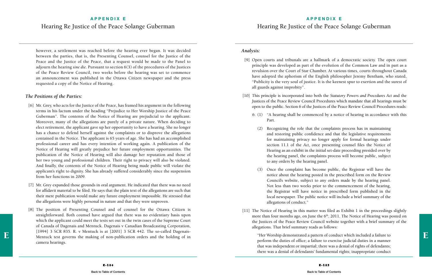## **APPENDIX E** Hearing Re Justice of the Peace Solange Guberman

#### **APPENDIX E**

## Hearing Re Justice of the Peace Solange Guberman

however, a settlement was reached before the hearing ever began. It was decided between the parties, that is, the Presenting Counsel, counsel for the Justice of the Peace and the Justice of the Peace, that a request would be made to the Panel to adjourn the hearing *sine die.* Pursuant to section 6(3) of the procedures of the Justices of the Peace Review Council, two weeks before the hearing was set to commence an announcement was published in the Ottawa Citizen newspaper and the press requested a copy of the Notice of Hearing.

#### *The Positions of the Parties:*

- [6] Mr. Grey, who acts for the Justice of the Peace, has framed his argument in the following terms in his factum under the heading "Prejudice to Her Worship Justice of the Peace Guberman". The contents of the Notice of Hearing are prejudicial to the applicant. Moreover, many of the allegations are purely of a private nature. When deciding to elect retirement, the applicant gave up her opportunity to have a hearing. She no longer has a chance to defend herself against the complaints or to disprove the allegations contained in the Notice. The applicant is 65 years of age. She has had an accomplished professional career and has every intention of working again. A publication of the Notice of Hearing will greatly prejudice her future employment opportunities. The publication of the Notice of Hearing will also damage her reputation and those of her two young and professional children. Their right to privacy will also be violated. And finally, the contents of the Notice of Hearing being made public will violate the applicant's right to dignity. She has already suffered considerably since the suspension from her functions in 2009.
- [7] Mr. Grey expanded those grounds in oral argument. He indicated that there was no need for affidavit material to be filed. He says that the plain text of the allegations are such that their mere publication would make any future employment impossible. He stressed that the allegations were highly personal in nature and that they were unproven.
- E<br>
Mentuck test governs the making of non-publication orders and the holding of in "Her Worship demonstrated a pattern of conduct which included a failure to [8] The position of Presenting Counsel and of counsel for the Ottawa Citizen is straightforward. Both counsel have argued that there was no evidentiary basis upon which the applicant could meet the tests set out in the twin cases of the Supreme Court of Canada of Dagenais and Mentuck. Dagenais v Canadian Broadcasting Corporation, [1994] 3 SCR 835. R. v Mentuck is at [2001] 3 SCR 442. The so-called Dagenaiscamera hearings.

#### *Analysis:*

[9] Open courts and tribunals are a hallmark of a democratic society. The open court principle was developed as part of the evolution of the Common Law and in part as a revulsion over the Court of Star Chamber. At various times, courts throughout Canada have adopted the aphorism of the English philosopher Jeremy Bentham, who stated, "Publicity is the very soul of justice. It is the keenest spur to exertion and the surest of

[10] This principle is incorporated into both the *Statutory Powers and Procedures Act* and the Justices of the Peace Review Council Procedures which mandate that all hearings must be open to the public. Section 6 of the Justices of the Peace Review Council Procedures reads:

6. (1) "A hearing shall be commenced by a notice of hearing in accordance with this

 (2) Recognizing the role that the complaints process has in maintaining and restoring public confidence and that the legislative requirements for maintaining privacy no longer apply for formal hearings under section 11.1 of the *Act,* once presenting counsel files the Notice of Hearing as an exhibit in the initial set-date proceeding presided over by the hearing panel, the complaints process will become public, subject

- all guards against improbity".
- - Part.
		- to any orders by the hearing panel.
		- allegations of conduct."
- allegations. That brief summary reads as follows:

 (3) Once the complaint has become public, the Registrar will have the notice about the hearing posted in the prescribed form on the Review Council's website, subject to any orders made by the hearing panel. Not less than two weeks prior to the commencement of the hearing, the Registrar will have notice in prescribed form published in the local newspaper. The public notice will include a brief summary of the

[11] The Notice of Hearing in this matter was filed as Exhibit 1 in the proceedings slightly more than four months ago, on June the  $6<sup>th</sup>$ , 2011. The Notice of Hearing was posted on the Justices of the Peace Review Council website together with a brief summary of the

"Her Worship demonstrated a pattern of conduct which included a failure to perform the duties of office; a failure to exercise judicial duties in a manner that was independent or impartial; there was a denial of rights of defendants; there was a denial of defendants' fundamental rights; inappropriate conduct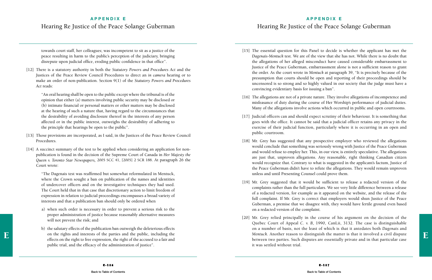## **APPENDIX E** Hearing Re Justice of the Peace Solange Guberman

#### **APPENDIX E**

Hearing Re Justice of the Peace Solange Guberman

towards court staff, her colleagues; was incompetent to sit as a justice of the peace resulting in harm to the public's perception of the judiciary, bringing disrepute upon judicial office, eroding public confidence in that office".

[12] There is a statutory authority in both the *Statutory Powers and Procedures Act* and the Justices of the Peace Review Council Procedures to direct an *in camera* hearing or to make an order of non-publication. Section 9(1) of the *Statutory Powers and Procedures Act* reads:

"An oral hearing shall be open to the public except where the tribunal is of the opinion that either (a) matters involving public security may be disclosed or (b) intimate financial or personal matters or other matters may be disclosed at the hearing of such a nature that, having regard to the circumstances that the desirability of avoiding disclosure thereof in the interests of any person affected or in the public interest, outweighs the desirability of adhering to the principle that hearings be open to the public".

- [13] Those provisions are incorporated, as I said, in the Justices of the Peace Review Council Procedures.
- [14] A succinct summary of the test to be applied when considering an application for nonpublication is found in the decision of the Supreme Court of Canada in *Her Majesty the Queen v. Toronto Star Newspapers,* 2005 SCC 41, [2005] 2 SCR 188. At paragraph 26 the Court wrote:

[16] The allegations are not of a private nature. They involve allegations of incompetence and misfeasance of duty during the course of Her Worship's performance of judicial duties. Many of the allegations involve actions which occurred in public and open courtrooms.

"The Dagenais test was reaffirmed but somewhat reformulated in Mentuck, where the Crown sought a ban on publication of the names and identities of undercover officers and on the investigative techniques they had used. The Court held that in that case that discretionary action to limit freedom of expression in relation to judicial proceedings encompasses a broad variety of interests and that a publication ban should only be ordered when

- a) when such order is necessary in order to prevent a serious risk to the proper administration of justice because reasonably alternative measures will not prevent the risk; and
- effects on the rights and interests of the parties and the public, including the metal of the scrused to a fair and<br>
effects on the right to free expression, the right of the accused to a fair and hetween two parties. Such b) the salutary effects of the publication ban outweigh the deleterious effects on the rights and interests of the parties and the public, including the effects on the right to free expression, the right of the accused to a fair and public trial, and the efficacy of the administration of justice".

[15] The essential question for this Panel to decide is whether the applicant has met the *Dagenais-Mentuck* test. We are of the view that she has not. While there is no doubt that the allegations of her alleged misconduct have caused considerable embarrassment to Justice of the Peace Guberman, embarrassment alone is not a sufficient reason to grant the order. As the court wrote in *Mentuck* at paragraph 39, "It is precisely because of the presumption that courts should be open and reporting of their proceedings should be uncensored is so strong and so highly valued in our society that the judge must have a

[17] Judicial officers can and should expect scrutiny of their behaviour. It is something that goes with the office. It cannot be said that a judicial officer retains any privacy in the exercise of their judicial function, particularly where it is occurring in an open and

[18] Mr. Grey has suggested that any prospective employer who reviewed the allegations would conclude that something was seriously wrong with Justice of the Peace Guberman and would refuse to employ her. This, in our view, is entirely speculative. The allegations are just that, unproven allegations. Any reasonable, right thinking Canadian citizen would recognize that. Contrary to what is suggested in the applicant's factum, Justice of the Peace Guberman didn't have to refute the allegations. They would remain unproven

- convincing evidentiary basis for issuing a ban".
- 
- public courtroom.
- unless and until Presenting Counsel could prove them.
- on a redacted version of the complaint.
- it was settled without trial.

[19] Mr. Grey suggested that it would be sufficient to release a redacted version of the complaints rather than the full particulars. We see very little difference between a release of a redacted version, for example as it appeared on the website, and the release of the full complaint. If Mr. Grey is correct that employers would shun Justice of the Peace Guberman, a premise that we disagree with, they would have fertile ground even based

[20] Mr. Grey relied principally in the course of his argument on the decision of the Quebec Court of Appeal *C. v. B,* 1990, CanLii, 3132. The case is distinguishable on a number of basis, not the least of which is that it antedates both *Dagenais* and between two parties. Such disputes are essentially private and in that particular case